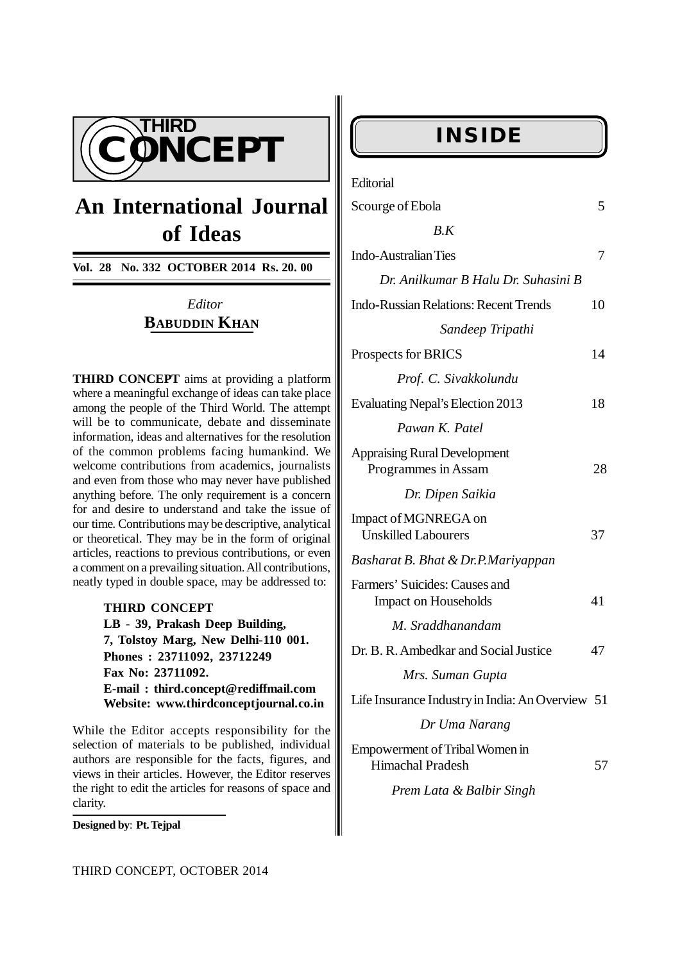

# **An International Journal of Ideas**

**Vol. 28 No. 332 OCTOBER 2014 Rs. 20. 00**

## *Editor* **BABUDDIN KHAN**

**THIRD CONCEPT** aims at providing a platform where a meaningful exchange of ideas can take place among the people of the Third World. The attempt will be to communicate, debate and disseminate information, ideas and alternatives for the resolution of the common problems facing humankind. We welcome contributions from academics, journalists and even from those who may never have published anything before. The only requirement is a concern for and desire to understand and take the issue of our time. Contributions may be descriptive, analytical or theoretical. They may be in the form of original articles, reactions to previous contributions, or even a comment on a prevailing situation. All contributions, neatly typed in double space, may be addressed to:

> **THIRD CONCEPT LB - 39, Prakash Deep Building, 7, Tolstoy Marg, New Delhi-110 001. Phones : 23711092, 23712249 Fax No: 23711092. E-mail : third.concept@rediffmail.com Website: www.thirdconceptjournal.co.in**

While the Editor accepts responsibility for the selection of materials to be published, individual authors are responsible for the facts, figures, and views in their articles. However, the Editor reserves the right to edit the articles for reasons of space and clarity.

**Designed by**: **Pt. Tejpal**

## **INSIDE**

| Editorial                                                    |    |
|--------------------------------------------------------------|----|
| Scourge of Ebola                                             | 5  |
| B.K                                                          |    |
| <b>Indo-Australian Ties</b>                                  | 7  |
| Dr. Anilkumar B Halu Dr. Suhasini B                          |    |
| <b>Indo-Russian Relations: Recent Trends</b>                 | 10 |
| Sandeep Tripathi                                             |    |
| Prospects for BRICS                                          | 14 |
| Prof. C. Sivakkolundu                                        |    |
| Evaluating Nepal's Election 2013                             | 18 |
| Pawan K. Patel                                               |    |
| <b>Appraising Rural Development</b><br>Programmes in Assam   | 28 |
| Dr. Dipen Saikia                                             |    |
| Impact of MGNREGA on<br><b>Unskilled Labourers</b>           | 37 |
| Basharat B. Bhat & Dr.P.Mariyappan                           |    |
| Farmers' Suicides: Causes and<br><b>Impact on Households</b> | 41 |
| M. Sraddhanandam                                             |    |
| Dr. B. R. Ambedkar and Social Justice                        | 47 |
| Mrs. Suman Gupta                                             |    |
| Life Insurance Industry in India: An Overview 51             |    |
| Dr Uma Narang                                                |    |
| Empowerment of Tribal Women in<br><b>Himachal Pradesh</b>    | 57 |

*Prem Lata & Balbir Singh*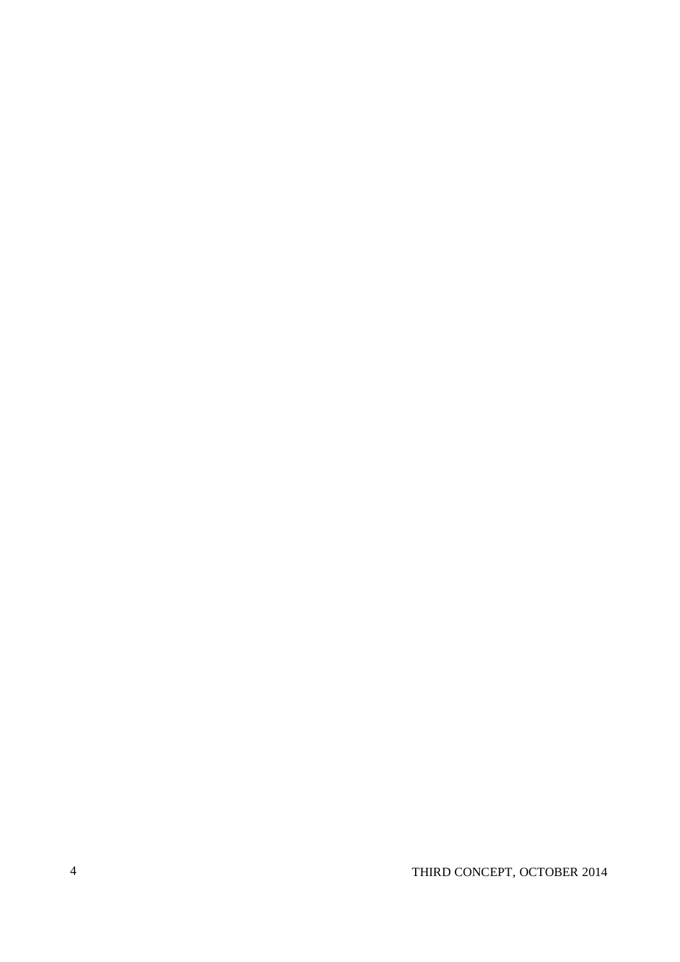THIRD CONCEPT, OCTOBER 2014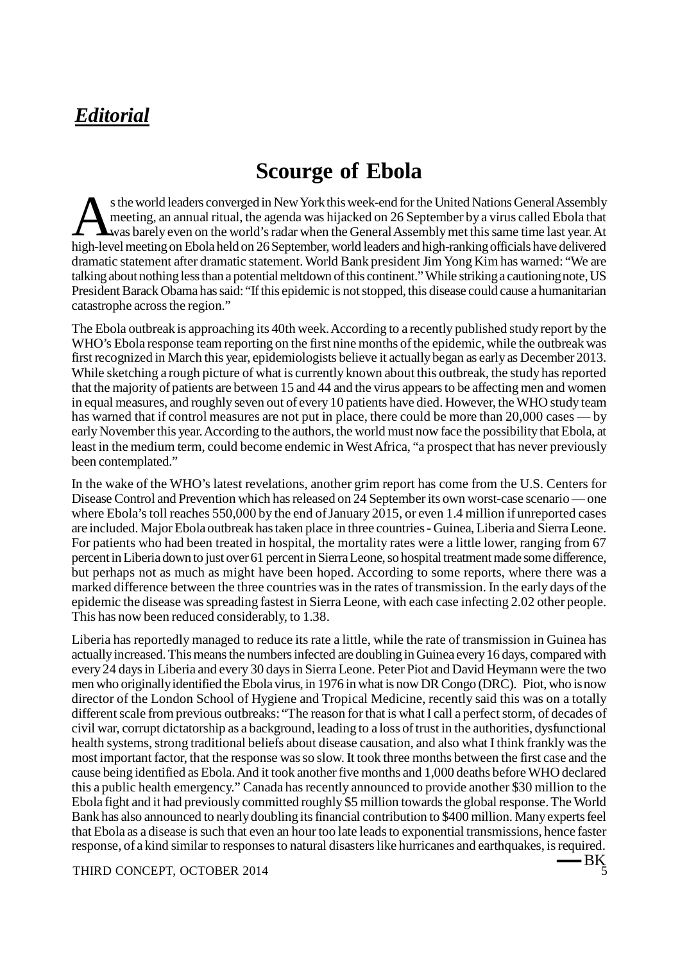## *Editorial*

## **Scourge of Ebola**

s the world leaders converged in New York this week-end for the United Nations General Assembly<br>meeting, an annual ritual, the agenda was hijacked on 26 September by a virus called Ebola that<br>high-level meeting on Ebola he s the world leaders converged in New York this week-end for the United Nations General Assembly meeting, an annual ritual, the agenda was hijacked on 26 September by a virus called Ebola that **L**was barely even on the world's radar when the General Assembly met this same time last year. At dramatic statement after dramatic statement. World Bank president Jim Yong Kim has warned: "We are talking about nothing less than a potential meltdown of this continent." While striking a cautioning note, US President Barack Obama has said: "If this epidemic is not stopped, this disease could cause a humanitarian catastrophe across the region."

The Ebola outbreak is approaching its 40th week. According to a recently published study report by the WHO's Ebola response team reporting on the first nine months of the epidemic, while the outbreak was first recognized in March this year, epidemiologists believe it actually began as early as December 2013. While sketching a rough picture of what is currently known about this outbreak, the study has reported that the majority of patients are between 15 and 44 and the virus appears to be affecting men and women in equal measures, and roughly seven out of every 10 patients have died. However, the WHO study team has warned that if control measures are not put in place, there could be more than 20,000 cases — by early November this year. According to the authors, the world must now face the possibility that Ebola, at least in the medium term, could become endemic in West Africa, "a prospect that has never previously been contemplated."

In the wake of the WHO's latest revelations, another grim report has come from the U.S. Centers for Disease Control and Prevention which has released on 24 September its own worst-case scenario — one where Ebola's toll reaches 550,000 by the end of January 2015, or even 1.4 million if unreported cases are included. Major Ebola outbreak has taken place in three countries - Guinea, Liberia and Sierra Leone. For patients who had been treated in hospital, the mortality rates were a little lower, ranging from 67 percent in Liberia down to just over 61 percent in Sierra Leone, so hospital treatment made some difference, but perhaps not as much as might have been hoped. According to some reports, where there was a marked difference between the three countries was in the rates of transmission. In the early days of the epidemic the disease was spreading fastest in Sierra Leone, with each case infecting 2.02 other people. This has now been reduced considerably, to 1.38.

Liberia has reportedly managed to reduce its rate a little, while the rate of transmission in Guinea has actually increased. This means the numbers infected are doubling in Guinea every 16 days, compared with every 24 days in Liberia and every 30 days in Sierra Leone. Peter Piot and David Heymann were the two men who originally identified the Ebola virus, in 1976 in what is now DR Congo (DRC). Piot, who is now director of the London School of Hygiene and Tropical Medicine, recently said this was on a totally different scale from previous outbreaks: "The reason for that is what I call a perfect storm, of decades of civil war, corrupt dictatorship as a background, leading to a loss of trust in the authorities, dysfunctional health systems, strong traditional beliefs about disease causation, and also what I think frankly was the most important factor, that the response was so slow. It took three months between the first case and the cause being identified as Ebola. And it took another five months and 1,000 deaths before WHO declared this a public health emergency." Canada has recently announced to provide another \$30 million to the Ebola fight and it had previously committed roughly \$5 million towards the global response. The World Bank has also announced to nearly doubling its financial contribution to \$400 million. Many experts feel that Ebola as a disease is such that even an hour too late leads to exponential transmissions, hence faster response, of a kind similar to responses to natural disasters like hurricanes and earthquakes, is required.

THIRD CONCEPT, OCTOBER 2014 5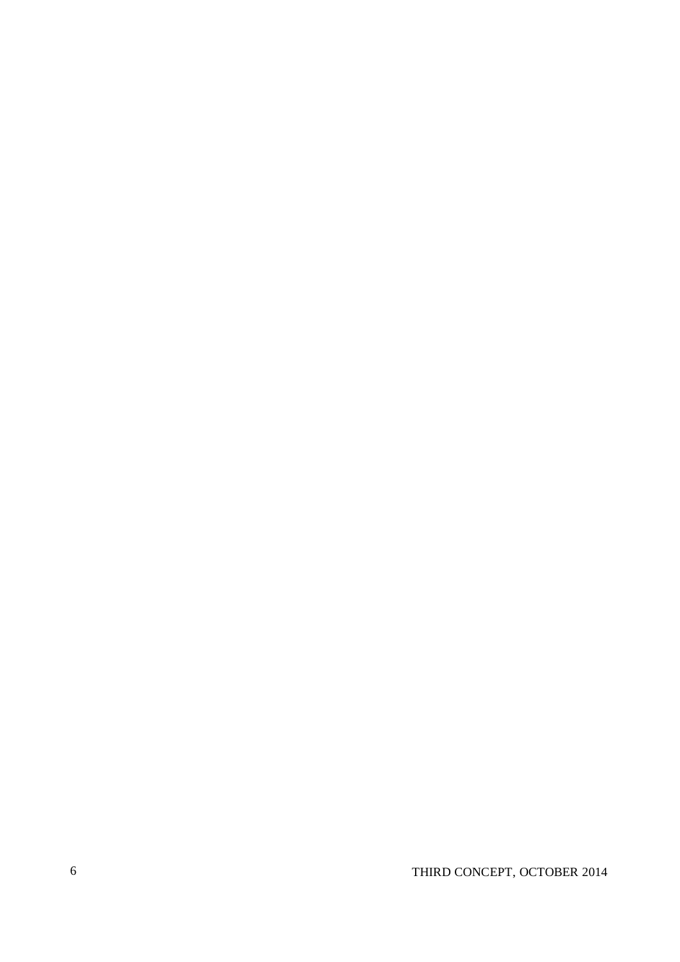THIRD CONCEPT, OCTOBER 2014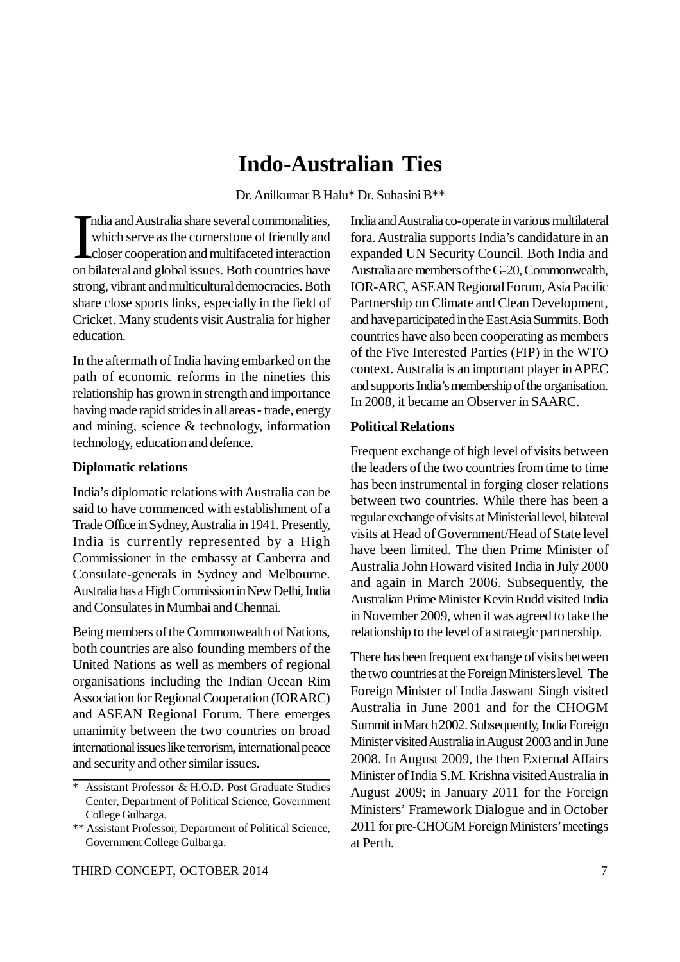## **Indo-Australian Ties**

Dr. Anilkumar B Halu\* Dr. Suhasini B\*\*

India and Australia share several commonalities,<br>which serve as the cornerstone of friendly and<br>closer cooperation and multifaceted interaction<br>on bilateral and global issues. Both countries have ndia and Australia share several commonalities, which serve as the cornerstone of friendly and closer cooperation and multifaceted interaction strong, vibrant and multicultural democracies. Both share close sports links, especially in the field of Cricket. Many students visit Australia for higher education.

In the aftermath of India having embarked on the path of economic reforms in the nineties this relationship has grown in strength and importance having made rapid strides in all areas - trade, energy and mining, science & technology, information technology, education and defence.

#### **Diplomatic relations**

India's diplomatic relations with Australia can be said to have commenced with establishment of a Trade Office in Sydney, Australia in 1941. Presently, India is currently represented by a High Commissioner in the embassy at Canberra and Consulate-generals in Sydney and Melbourne. Australia has a High Commission in New Delhi, India and Consulates in Mumbai and Chennai.

Being members of the Commonwealth of Nations, both countries are also founding members of the United Nations as well as members of regional organisations including the Indian Ocean Rim Association for Regional Cooperation (IORARC) and ASEAN Regional Forum. There emerges unanimity between the two countries on broad international issues like terrorism, international peace and security and other similar issues.

India and Australia co-operate in various multilateral fora. Australia supports India's candidature in an expanded UN Security Council. Both India and Australia are members of the G-20, Commonwealth, IOR-ARC, ASEAN Regional Forum, Asia Pacific Partnership on Climate and Clean Development, and have participated in the East Asia Summits. Both countries have also been cooperating as members of the Five Interested Parties (FIP) in the WTO context. Australia is an important player in APEC and supports India's membership of the organisation. In 2008, it became an Observer in SAARC.

#### **Political Relations**

Frequent exchange of high level of visits between the leaders of the two countries from time to time has been instrumental in forging closer relations between two countries. While there has been a regular exchange of visits at Ministerial level, bilateral visits at Head of Government/Head of State level have been limited. The then Prime Minister of Australia John Howard visited India in July 2000 and again in March 2006. Subsequently, the Australian Prime Minister Kevin Rudd visited India in November 2009, when it was agreed to take the relationship to the level of a strategic partnership.

There has been frequent exchange of visits between the two countries at the Foreign Ministers level. The Foreign Minister of India Jaswant Singh visited Australia in June 2001 and for the CHOGM Summit in March 2002. Subsequently, India Foreign Minister visited Australia in August 2003 and in June 2008. In August 2009, the then External Affairs Minister of India S.M. Krishna visited Australia in August 2009; in January 2011 for the Foreign Ministers' Framework Dialogue and in October 2011 for pre-CHOGM Foreign Ministers' meetings at Perth.

Assistant Professor & H.O.D. Post Graduate Studies Center, Department of Political Science, Government College Gulbarga.

<sup>\*\*</sup> Assistant Professor, Department of Political Science, Government College Gulbarga.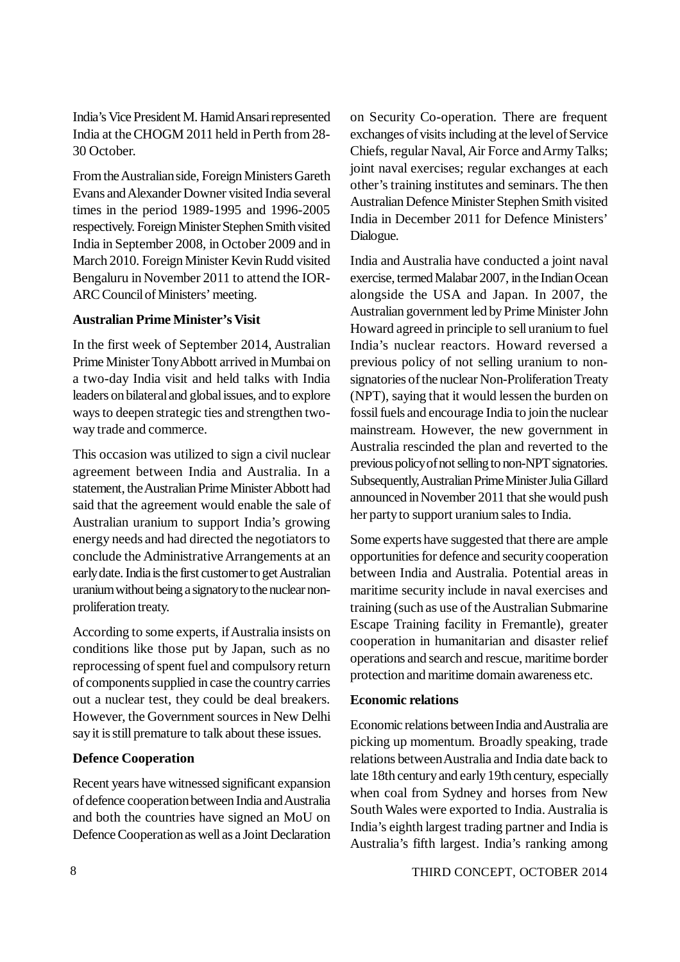India's Vice President M. Hamid Ansari represented India at the CHOGM 2011 held in Perth from 28- 30 October.

From the Australian side, Foreign Ministers Gareth Evans and Alexander Downer visited India several times in the period 1989-1995 and 1996-2005 respectively. Foreign Minister Stephen Smith visited India in September 2008, in October 2009 and in March 2010. Foreign Minister Kevin Rudd visited Bengaluru in November 2011 to attend the IOR-ARC Council of Ministers' meeting.

### **Australian Prime Minister's Visit**

In the first week of September 2014, Australian Prime Minister Tony Abbott arrived in Mumbai on a two-day India visit and held talks with India leaders on bilateral and global issues, and to explore ways to deepen strategic ties and strengthen twoway trade and commerce.

This occasion was utilized to sign a civil nuclear agreement between India and Australia. In a statement, the Australian Prime Minister Abbott had said that the agreement would enable the sale of Australian uranium to support India's growing energy needs and had directed the negotiators to conclude the Administrative Arrangements at an early date. India is the first customer to get Australian uranium without being a signatory to the nuclear nonproliferation treaty.

According to some experts, if Australia insists on conditions like those put by Japan, such as no reprocessing of spent fuel and compulsory return of components supplied in case the country carries out a nuclear test, they could be deal breakers. However, the Government sources in New Delhi say it is still premature to talk about these issues.

#### **Defence Cooperation**

Recent years have witnessed significant expansion of defence cooperation between India and Australia and both the countries have signed an MoU on Defence Cooperation as well as a Joint Declaration on Security Co-operation. There are frequent exchanges of visits including at the level of Service Chiefs, regular Naval, Air Force and Army Talks; joint naval exercises; regular exchanges at each other's training institutes and seminars. The then Australian Defence Minister Stephen Smith visited India in December 2011 for Defence Ministers' Dialogue.

India and Australia have conducted a joint naval exercise, termed Malabar 2007, in the Indian Ocean alongside the USA and Japan. In 2007, the Australian government led by Prime Minister John Howard agreed in principle to sell uranium to fuel India's nuclear reactors. Howard reversed a previous policy of not selling uranium to nonsignatories of the nuclear Non-Proliferation Treaty (NPT), saying that it would lessen the burden on fossil fuels and encourage India to join the nuclear mainstream. However, the new government in Australia rescinded the plan and reverted to the previous policy of not selling to non-NPT signatories. Subsequently, Australian Prime Minister Julia Gillard announced in November 2011 that she would push her party to support uranium sales to India.

Some experts have suggested that there are ample opportunities for defence and security cooperation between India and Australia. Potential areas in maritime security include in naval exercises and training (such as use of the Australian Submarine Escape Training facility in Fremantle), greater cooperation in humanitarian and disaster relief operations and search and rescue, maritime border protection and maritime domain awareness etc.

#### **Economic relations**

Economic relations between India and Australia are picking up momentum. Broadly speaking, trade relations between Australia and India date back to late 18th century and early 19th century, especially when coal from Sydney and horses from New South Wales were exported to India. Australia is India's eighth largest trading partner and India is Australia's fifth largest. India's ranking among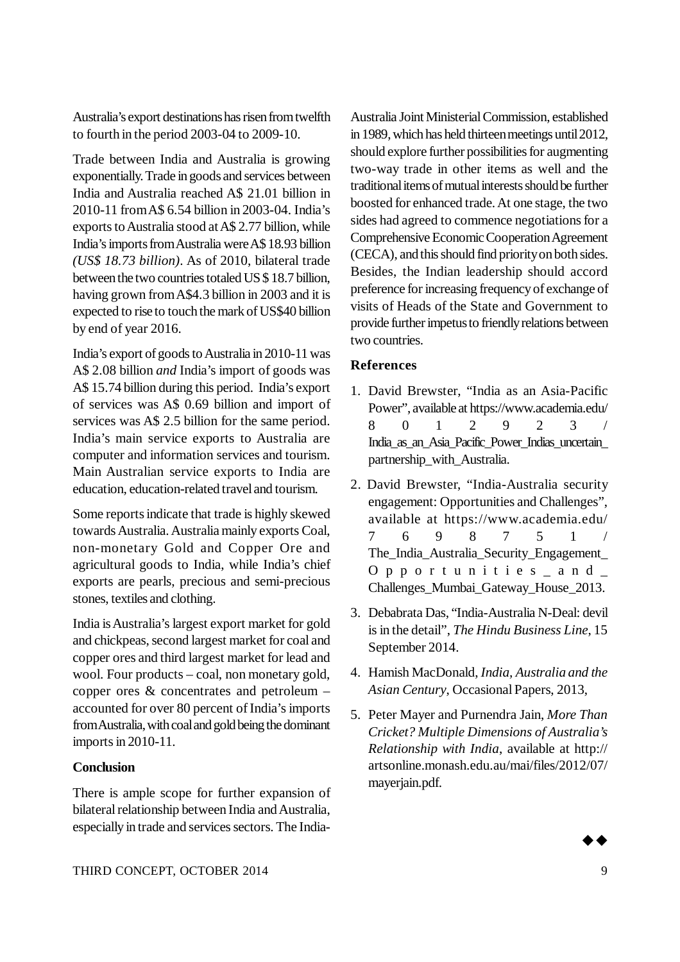Australia's export destinations has risen from twelfth to fourth in the period 2003-04 to 2009-10.

Trade between India and Australia is growing exponentially. Trade in goods and services between India and Australia reached A\$ 21.01 billion in 2010-11 from A\$ 6.54 billion in 2003-04. India's exports to Australia stood at A\$ 2.77 billion, while India's imports from Australia were A\$ 18.93 billion *(US\$ 18.73 billion)*. As of 2010, bilateral trade between the two countries totaled US \$ 18.7 billion, having grown from A\$4.3 billion in 2003 and it is expected to rise to touch the mark of US\$40 billion by end of year 2016.

India's export of goods to Australia in 2010-11 was A\$ 2.08 billion *and* India's import of goods was A\$ 15.74 billion during this period. India's export of services was A\$ 0.69 billion and import of services was A\$ 2.5 billion for the same period. India's main service exports to Australia are computer and information services and tourism. Main Australian service exports to India are education, education-related travel and tourism.

Some reports indicate that trade is highly skewed towards Australia. Australia mainly exports Coal, non-monetary Gold and Copper Ore and agricultural goods to India, while India's chief exports are pearls, precious and semi-precious stones, textiles and clothing.

India is Australia's largest export market for gold and chickpeas, second largest market for coal and copper ores and third largest market for lead and wool. Four products – coal, non monetary gold, copper ores & concentrates and petroleum – accounted for over 80 percent of India's imports from Australia, with coal and gold being the dominant imports in 2010-11.

#### **Conclusion**

There is ample scope for further expansion of bilateral relationship between India and Australia, especially in trade and services sectors. The India-

Australia Joint Ministerial Commission, established in 1989, which has held thirteen meetings until 2012, should explore further possibilities for augmenting two-way trade in other items as well and the traditional items of mutual interests should be further boosted for enhanced trade. At one stage, the two sides had agreed to commence negotiations for a Comprehensive Economic Cooperation Agreement (CECA), and this should find priority on both sides. Besides, the Indian leadership should accord preference for increasing frequency of exchange of visits of Heads of the State and Government to provide further impetus to friendly relations between two countries.

#### **References**

- 1. David Brewster, "India as an Asia-Pacific Power", available at https://www.academia.edu/ 8 0 1 2 9 2 3 / India\_as\_an\_Asia\_Pacific\_Power\_Indias\_uncertain\_ partnership\_with\_Australia.
- 2. David Brewster, "India-Australia security engagement: Opportunities and Challenges", available at https://www.academia.edu/ 7 6 9 8 7 5 1 / The\_India\_Australia\_Security\_Engagement\_ O p p o r t u n i t i e s a n d Challenges\_Mumbai\_Gateway\_House\_2013.
- 3. Debabrata Das, "India-Australia N-Deal: devil is in the detail", *The Hindu Business Line*, 15 September 2014.
- 4. Hamish MacDonald, *India, Australia and the Asian Century*, Occasional Papers, 2013,
- 5. Peter Mayer and Purnendra Jain, *More Than Cricket? Multiple Dimensions of Australia's Relationship with India*, available at http:// artsonline.monash.edu.au/mai/files/2012/07/ mayerjain.pdf.

 $\rightarrow \rightarrow$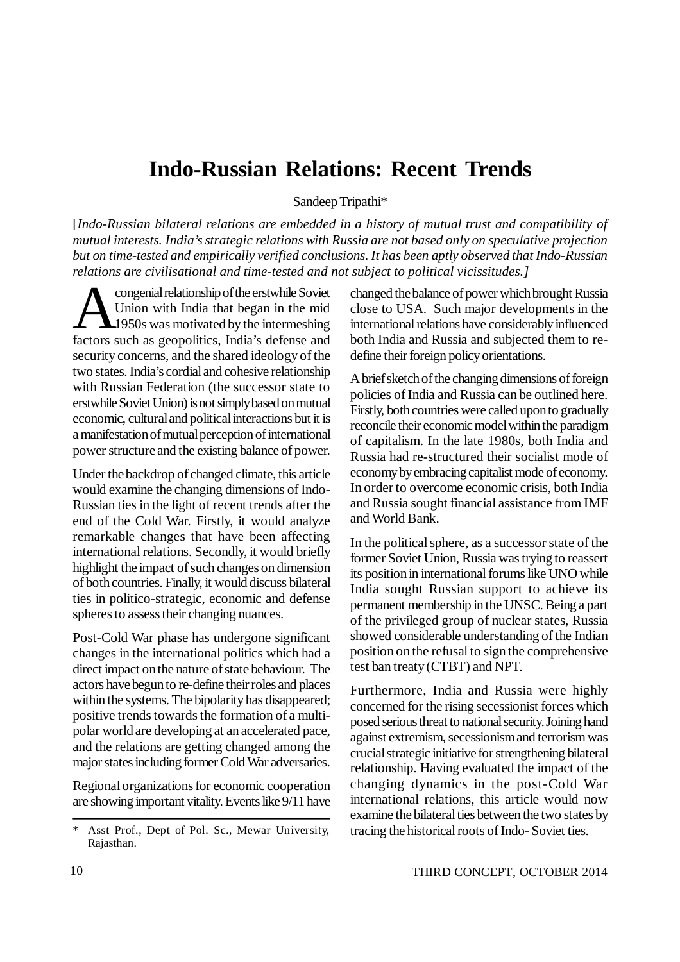## **Indo-Russian Relations: Recent Trends**

Sandeep Tripathi\*

[*Indo-Russian bilateral relations are embedded in a history of mutual trust and compatibility of mutual interests. India's strategic relations with Russia are not based only on speculative projection but on time-tested and empirically verified conclusions. It has been aptly observed that Indo-Russian relations are civilisational and time-tested and not subject to political vicissitudes.]*

Congenial relationship of the erstwhile Soviet<br>Union with India that began in the mid<br>1950s was motivated by the intermeshing<br>factors such as geopolitics, India's defense and congenial relationship of the erstwhile Soviet Union with India that began in the mid 1950s was motivated by the intermeshing security concerns, and the shared ideology of the two states. India's cordial and cohesive relationship with Russian Federation (the successor state to erstwhile Soviet Union) is not simply based on mutual economic, cultural and political interactions but it is a manifestation of mutual perception of international power structure and the existing balance of power.

Under the backdrop of changed climate, this article would examine the changing dimensions of Indo-Russian ties in the light of recent trends after the end of the Cold War. Firstly, it would analyze remarkable changes that have been affecting international relations. Secondly, it would briefly highlight the impact of such changes on dimension of both countries. Finally, it would discuss bilateral ties in politico-strategic, economic and defense spheres to assess their changing nuances.

Post-Cold War phase has undergone significant changes in the international politics which had a direct impact on the nature of state behaviour. The actors have begun to re-define their roles and places within the systems. The bipolarity has disappeared; positive trends towards the formation of a multipolar world are developing at an accelerated pace, and the relations are getting changed among the major states including former Cold War adversaries.

Regional organizations for economic cooperation are showing important vitality. Events like 9/11 have changed the balance of power which brought Russia close to USA. Such major developments in the international relations have considerably influenced both India and Russia and subjected them to redefine their foreign policy orientations.

A brief sketch of the changing dimensions of foreign policies of India and Russia can be outlined here. Firstly, both countries were called upon to gradually reconcile their economic model within the paradigm of capitalism. In the late 1980s, both India and Russia had re-structured their socialist mode of economy by embracing capitalist mode of economy. In order to overcome economic crisis, both India and Russia sought financial assistance from IMF and World Bank.

In the political sphere, as a successor state of the former Soviet Union, Russia was trying to reassert its position in international forums like UNO while India sought Russian support to achieve its permanent membership in the UNSC. Being a part of the privileged group of nuclear states, Russia showed considerable understanding of the Indian position on the refusal to sign the comprehensive test ban treaty (CTBT) and NPT.

Furthermore, India and Russia were highly concerned for the rising secessionist forces which posed serious threat to national security. Joining hand against extremism, secessionism and terrorism was crucial strategic initiative for strengthening bilateral relationship. Having evaluated the impact of the changing dynamics in the post-Cold War international relations, this article would now examine the bilateral ties between the two states by tracing the historical roots of Indo- Soviet ties.

Asst Prof., Dept of Pol. Sc., Mewar University, Rajasthan.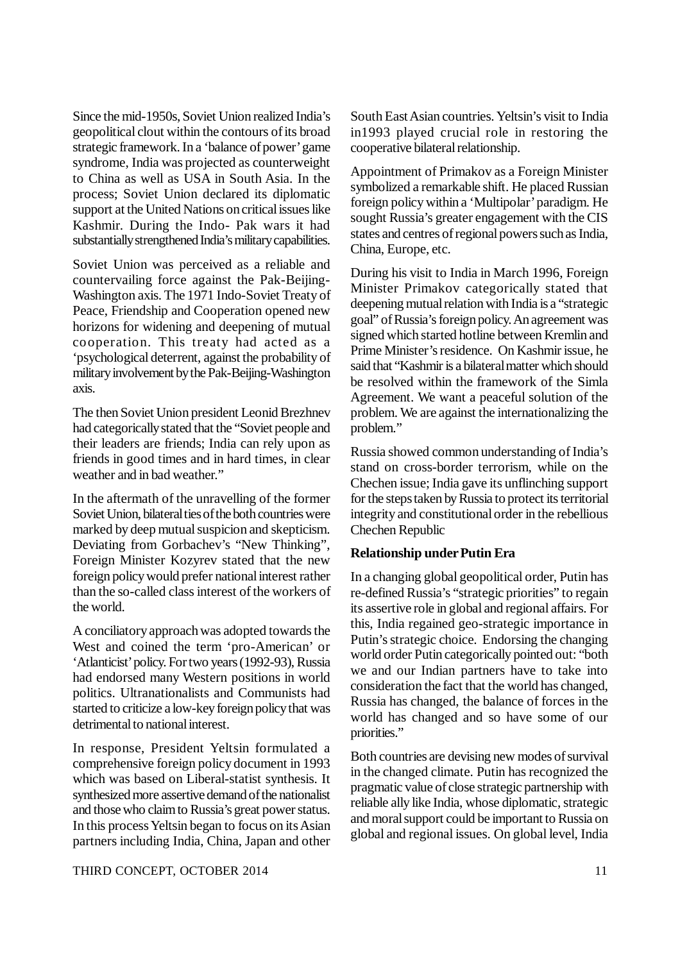Since the mid-1950s, Soviet Union realized India's geopolitical clout within the contours of its broad strategic framework. In a 'balance of power' game syndrome, India was projected as counterweight to China as well as USA in South Asia. In the process; Soviet Union declared its diplomatic support at the United Nations on critical issues like Kashmir. During the Indo- Pak wars it had substantially strengthened India's military capabilities.

Soviet Union was perceived as a reliable and countervailing force against the Pak-Beijing-Washington axis. The 1971 Indo-Soviet Treaty of Peace, Friendship and Cooperation opened new horizons for widening and deepening of mutual cooperation. This treaty had acted as a 'psychological deterrent, against the probability of military involvement by the Pak-Beijing-Washington axis.

The then Soviet Union president Leonid Brezhnev had categorically stated that the "Soviet people and their leaders are friends; India can rely upon as friends in good times and in hard times, in clear weather and in bad weather."

In the aftermath of the unravelling of the former Soviet Union, bilateral ties of the both countries were marked by deep mutual suspicion and skepticism. Deviating from Gorbachev's "New Thinking", Foreign Minister Kozyrev stated that the new foreign policy would prefer national interest rather than the so-called class interest of the workers of the world.

A conciliatory approach was adopted towards the West and coined the term 'pro-American' or 'Atlanticist' policy. For two years (1992-93), Russia had endorsed many Western positions in world politics. Ultranationalists and Communists had started to criticize a low-key foreign policy that was detrimental to national interest.

In response, President Yeltsin formulated a comprehensive foreign policy document in 1993 which was based on Liberal-statist synthesis. It synthesized more assertive demand of the nationalist and those who claim to Russia's great power status. In this process Yeltsin began to focus on its Asian partners including India, China, Japan and other South East Asian countries. Yeltsin's visit to India in1993 played crucial role in restoring the cooperative bilateral relationship.

Appointment of Primakov as a Foreign Minister symbolized a remarkable shift. He placed Russian foreign policy within a 'Multipolar' paradigm. He sought Russia's greater engagement with the CIS states and centres of regional powers such as India, China, Europe, etc.

During his visit to India in March 1996, Foreign Minister Primakov categorically stated that deepening mutual relation with India is a "strategic goal" of Russia's foreign policy. An agreement was signed which started hotline between Kremlin and Prime Minister's residence. On Kashmir issue, he said that "Kashmir is a bilateral matter which should be resolved within the framework of the Simla Agreement. We want a peaceful solution of the problem. We are against the internationalizing the problem."

Russia showed common understanding of India's stand on cross-border terrorism, while on the Chechen issue; India gave its unflinching support for the steps taken by Russia to protect its territorial integrity and constitutional order in the rebellious Chechen Republic

#### **Relationship under Putin Era**

In a changing global geopolitical order, Putin has re-defined Russia's "strategic priorities" to regain its assertive role in global and regional affairs. For this, India regained geo-strategic importance in Putin's strategic choice. Endorsing the changing world order Putin categorically pointed out: "both we and our Indian partners have to take into consideration the fact that the world has changed, Russia has changed, the balance of forces in the world has changed and so have some of our priorities."

Both countries are devising new modes of survival in the changed climate. Putin has recognized the pragmatic value of close strategic partnership with reliable ally like India, whose diplomatic, strategic and moral support could be important to Russia on global and regional issues. On global level, India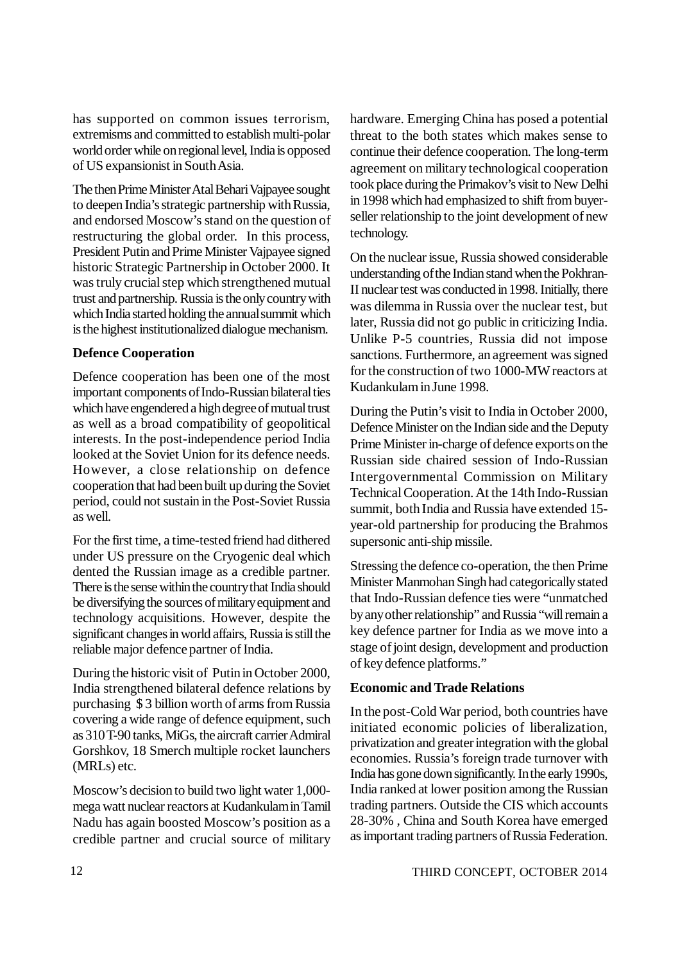has supported on common issues terrorism, extremisms and committed to establish multi-polar world order while on regional level, India is opposed of US expansionist in South Asia.

The then Prime Minister Atal Behari Vajpayee sought to deepen India's strategic partnership with Russia, and endorsed Moscow's stand on the question of restructuring the global order. In this process, President Putin and Prime Minister Vajpayee signed historic Strategic Partnership in October 2000. It was truly crucial step which strengthened mutual trust and partnership. Russia is the only country with which India started holding the annual summit which is the highest institutionalized dialogue mechanism.

### **Defence Cooperation**

Defence cooperation has been one of the most important components of Indo-Russian bilateral ties which have engendered a high degree of mutual trust as well as a broad compatibility of geopolitical interests. In the post-independence period India looked at the Soviet Union for its defence needs. However, a close relationship on defence cooperation that had been built up during the Soviet period, could not sustain in the Post-Soviet Russia as well.

For the first time, a time-tested friend had dithered under US pressure on the Cryogenic deal which dented the Russian image as a credible partner. There is the sense within the country that India should be diversifying the sources of military equipment and technology acquisitions. However, despite the significant changes in world affairs, Russia is still the reliable major defence partner of India.

During the historic visit of Putin in October 2000, India strengthened bilateral defence relations by purchasing \$ 3 billion worth of arms from Russia covering a wide range of defence equipment, such as 310 T-90 tanks, MiGs, the aircraft carrier Admiral Gorshkov, 18 Smerch multiple rocket launchers (MRLs) etc.

Moscow's decision to build two light water 1,000 mega watt nuclear reactors at Kudankulam in Tamil Nadu has again boosted Moscow's position as a credible partner and crucial source of military

hardware. Emerging China has posed a potential threat to the both states which makes sense to continue their defence cooperation. The long-term agreement on military technological cooperation took place during the Primakov's visit to New Delhi in 1998 which had emphasized to shift from buyerseller relationship to the joint development of new technology.

On the nuclear issue, Russia showed considerable understanding of the Indian stand when the Pokhran-II nuclear test was conducted in 1998. Initially, there was dilemma in Russia over the nuclear test, but later, Russia did not go public in criticizing India. Unlike P-5 countries, Russia did not impose sanctions. Furthermore, an agreement was signed for the construction of two 1000-MW reactors at Kudankulam in June 1998.

During the Putin's visit to India in October 2000, Defence Minister on the Indian side and the Deputy Prime Minister in-charge of defence exports on the Russian side chaired session of Indo-Russian Intergovernmental Commission on Military Technical Cooperation. At the 14th Indo-Russian summit, both India and Russia have extended 15 year-old partnership for producing the Brahmos supersonic anti-ship missile.

Stressing the defence co-operation, the then Prime Minister Manmohan Singh had categorically stated that Indo-Russian defence ties were "unmatched by any other relationship" and Russia "will remain a key defence partner for India as we move into a stage of joint design, development and production of key defence platforms."

#### **Economic and Trade Relations**

In the post-Cold War period, both countries have initiated economic policies of liberalization, privatization and greater integration with the global economies. Russia's foreign trade turnover with India has gone down significantly. In the early 1990s, India ranked at lower position among the Russian trading partners. Outside the CIS which accounts 28-30% , China and South Korea have emerged as important trading partners of Russia Federation.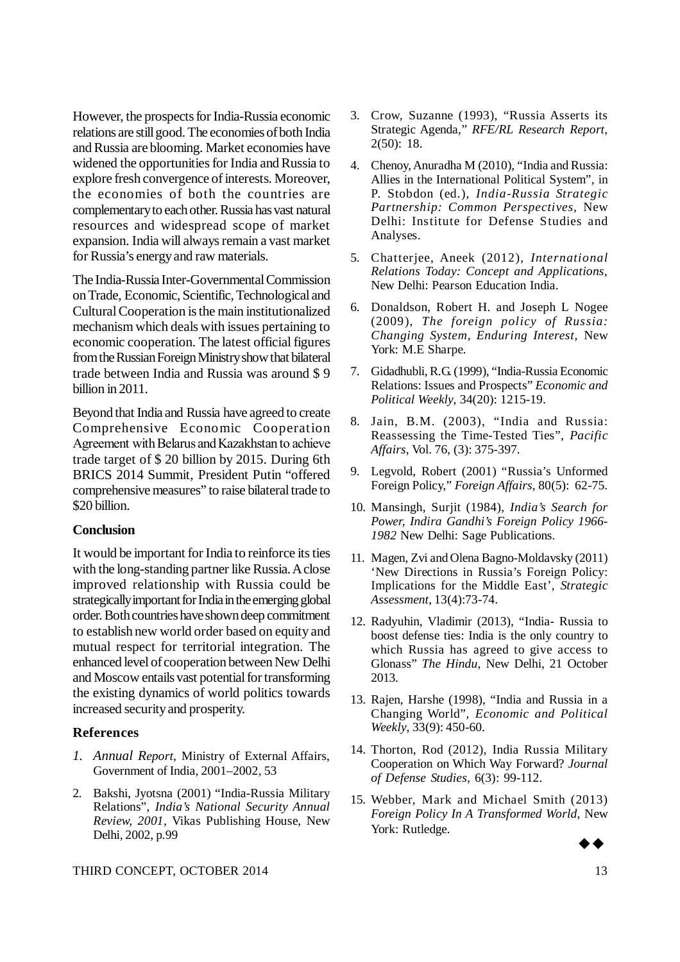However, the prospects for India-Russia economic relations are still good. The economies of both India and Russia are blooming. Market economies have widened the opportunities for India and Russia to explore fresh convergence of interests. Moreover, the economies of both the countries are complementary to each other. Russia has vast natural resources and widespread scope of market expansion. India will always remain a vast market for Russia's energy and raw materials.

The India-Russia Inter-Governmental Commission on Trade, Economic, Scientific, Technological and Cultural Cooperation is the main institutionalized mechanism which deals with issues pertaining to economic cooperation. The latest official figures from the Russian Foreign Ministry show that bilateral trade between India and Russia was around \$ 9 billion in 2011.

Beyond that India and Russia have agreed to create Comprehensive Economic Cooperation Agreement with Belarus and Kazakhstan to achieve trade target of \$ 20 billion by 2015. During 6th BRICS 2014 Summit, President Putin "offered comprehensive measures" to raise bilateral trade to \$20 billion.

#### **Conclusion**

It would be important for India to reinforce its ties with the long-standing partner like Russia. A close improved relationship with Russia could be strategically important for India in the emerging global order.Both countries have shown deep commitment to establish new world order based on equity and mutual respect for territorial integration. The enhanced level of cooperation between New Delhi and Moscow entails vast potential for transforming the existing dynamics of world politics towards increased security and prosperity.

#### **References**

- *1. Annual Report*, Ministry of External Affairs, Government of India, 2001–2002, 53
- 2. Bakshi, Jyotsna (2001) "India-Russia Military Relations", *India's National Security Annual Review, 2001*, Vikas Publishing House, New Delhi, 2002, p.99
- 3. Crow, Suzanne (1993), "Russia Asserts its Strategic Agenda," *RFE/RL Research Report*, 2(50): 18.
- 4. Chenoy, Anuradha M (2010), "India and Russia: Allies in the International Political System", in P. Stobdon (ed.), *India-Russia Strategic Partnership: Common Perspectives,* New Delhi: Institute for Defense Studies and Analyses.
- 5. Chatterjee, Aneek (2012), *International Relations Today: Concept and Applications,* New Delhi: Pearson Education India.
- 6. Donaldson, Robert H. and Joseph L Nogee (2009), *The foreign policy of Russia: Changing System, Enduring Interest,* New York: M.E Sharpe.
- 7. Gidadhubli, R.G. (1999), "India-Russia Economic Relations: Issues and Prospects" *Economic and Political Weekly*, 34(20): 1215-19.
- 8. Jain, B.M. (2003), "India and Russia: Reassessing the Time-Tested Ties", *Pacific Affairs*, Vol. 76, (3): 375-397.
- 9. Legvold, Robert (2001) "Russia's Unformed Foreign Policy," *Foreign Affairs*, 80(5): 62-75.
- 10. Mansingh, Surjit (1984), *India's Search for Power, Indira Gandhi's Foreign Policy 1966- 1982* New Delhi: Sage Publications.
- 11. Magen, Zvi and Olena Bagno-Moldavsky (2011) 'New Directions in Russia's Foreign Policy: Implications for the Middle East', *Strategic Assessment*, 13(4):73-74.
- 12. Radyuhin, Vladimir (2013), "India- Russia to boost defense ties: India is the only country to which Russia has agreed to give access to Glonass" *The Hindu,* New Delhi, 21 October 2013.
- 13. Rajen, Harshe (1998), "India and Russia in a Changing World", *Economic and Political Weekly*, 33(9): 450-60.
- 14. Thorton, Rod (2012), India Russia Military Cooperation on Which Way Forward? *Journal of Defense Studies,* 6(3): 99-112.
- 15. Webber, Mark and Michael Smith (2013) *Foreign Policy In A Transformed World*, New York: Rutledge.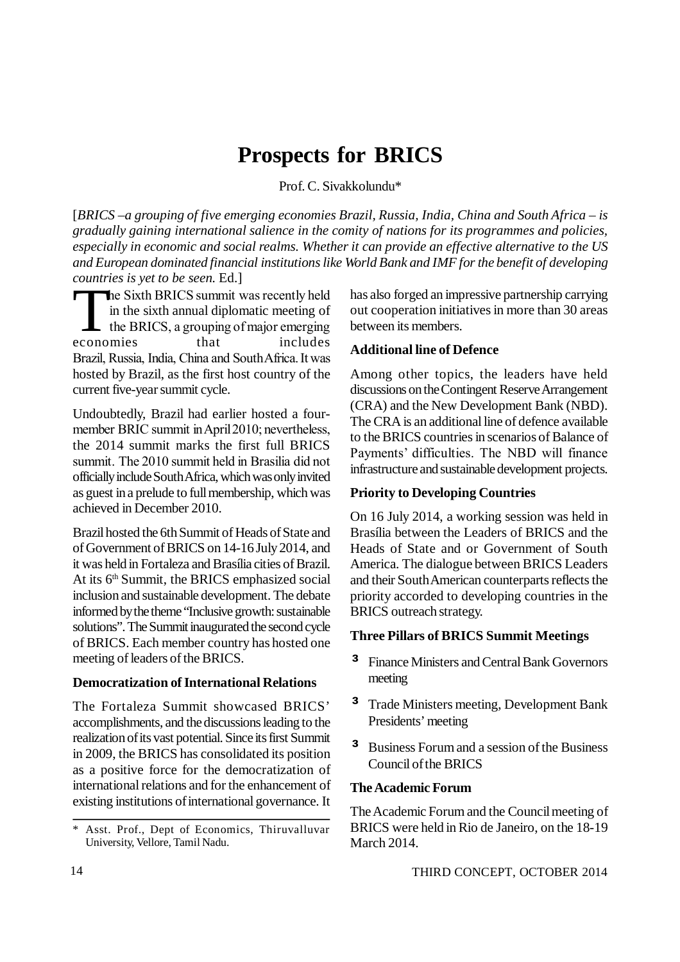# **Prospects for BRICS**

Prof. C. Sivakkolundu\*

[*BRICS –a grouping of five emerging economies Brazil, Russia, India, China and South Africa – is gradually gaining international salience in the comity of nations for its programmes and policies, especially in economic and social realms. Whether it can provide an effective alternative to the US and European dominated financial institutions like World Bank and IMF for the benefit of developing countries is yet to be seen.* Ed.]

The Sixth BRICS summit was recently held<br>in the sixth annual diplomatic meeting of<br>the BRICS, a grouping of major emerging<br>economies that includes **here** Sixth BRICS summit was recently held in the sixth annual diplomatic meeting of  $\mathsf{\mathsf{L}}$  the BRICS, a grouping of major emerging Brazil, Russia, India, China and South Africa. It was hosted by Brazil, as the first host country of the current five-year summit cycle.

Undoubtedly, Brazil had earlier hosted a fourmember BRIC summit in April 2010; nevertheless, the 2014 summit marks the first full BRICS summit. The 2010 summit held in Brasilia did not officially include South Africa, which was only invited as guest in a prelude to full membership, which was achieved in December 2010.

Brazil hosted the 6th Summit of Heads of State and of Government of BRICS on 14-16 July 2014, and it was held in Fortaleza and Brasília cities of Brazil. At its 6<sup>th</sup> Summit, the BRICS emphasized social inclusion and sustainable development. The debate informed by the theme "Inclusive growth: sustainable solutions". The Summit inaugurated the second cycle of BRICS. Each member country has hosted one meeting of leaders of the BRICS.

#### **Democratization of International Relations**

The Fortaleza Summit showcased BRICS' accomplishments, and the discussions leading to the realization of its vast potential. Since its first Summit in 2009, the BRICS has consolidated its position as a positive force for the democratization of international relations and for the enhancement of existing institutions of international governance. It

has also forged an impressive partnership carrying out cooperation initiatives in more than 30 areas between its members.

## **Additional line of Defence**

Among other topics, the leaders have held discussions on the Contingent Reserve Arrangement (CRA) and the New Development Bank (NBD). The CRA is an additional line of defence available to the BRICS countries in scenarios of Balance of Payments' difficulties. The NBD will finance infrastructure and sustainable development projects.

## **Priority to Developing Countries**

On 16 July 2014, a working session was held in Brasília between the Leaders of BRICS and the Heads of State and or Government of South America. The dialogue between BRICS Leaders and their South American counterparts reflects the priority accorded to developing countries in the BRICS outreach strategy.

## **Three Pillars of BRICS Summit Meetings**

- **³** Finance Ministers and Central Bank Governors meeting
- **³** Trade Ministers meeting, Development Bank Presidents' meeting
- **³** Business Forum and a session of the Business Council of the BRICS

## **The Academic Forum**

The Academic Forum and the Council meeting of BRICS were held in Rio de Janeiro, on the 18-19 March 2014.

Asst. Prof., Dept of Economics, Thiruvalluvar University, Vellore, Tamil Nadu.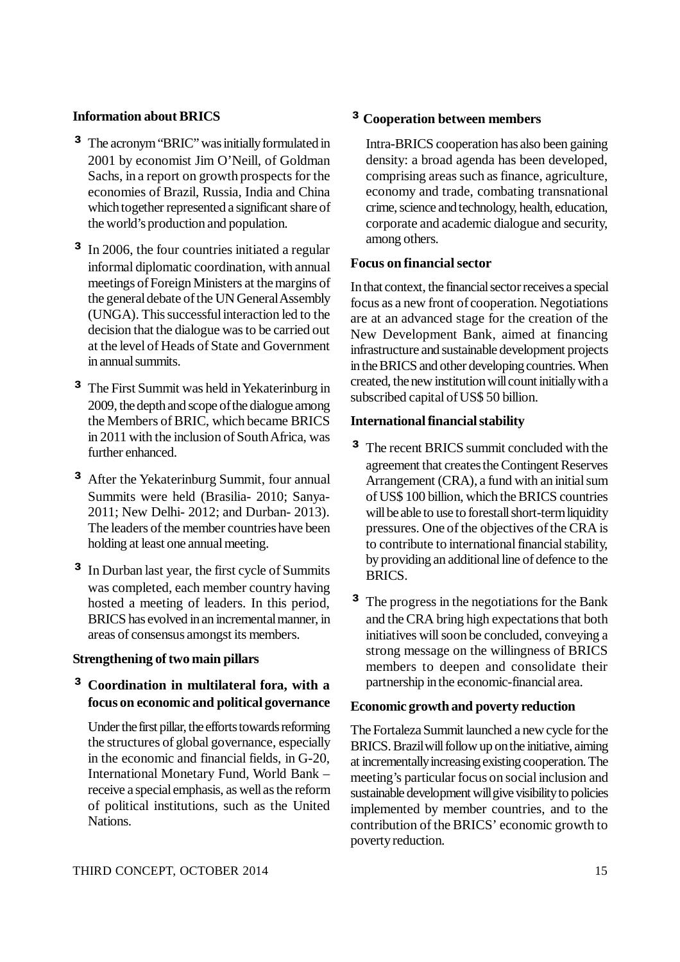#### **Information about BRICS**

- **³** The acronym "BRIC" was initially formulated in 2001 by economist Jim O'Neill, of Goldman Sachs, in a report on growth prospects for the economies of Brazil, Russia, India and China which together represented a significant share of the world's production and population.
- **³** In 2006, the four countries initiated a regular informal diplomatic coordination, with annual meetings of Foreign Ministers at the margins of the general debate of the UN General Assembly (UNGA). This successful interaction led to the decision that the dialogue was to be carried out at the level of Heads of State and Government in annual summits.
- **³** The First Summit was held in Yekaterinburg in 2009, the depth and scope of the dialogue among the Members of BRIC, which became BRICS in 2011 with the inclusion of South Africa, was further enhanced.
- **³** After the Yekaterinburg Summit, four annual Summits were held (Brasilia- 2010; Sanya-2011; New Delhi- 2012; and Durban- 2013). The leaders of the member countries have been holding at least one annual meeting.
- **³** In Durban last year, the first cycle of Summits was completed, each member country having hosted a meeting of leaders. In this period, BRICS has evolved in an incremental manner, in areas of consensus amongst its members.

#### **Strengthening of two main pillars**

## **³ Coordination in multilateral fora, with a focus on economic and political governance**

Under the first pillar, the efforts towards reforming the structures of global governance, especially in the economic and financial fields, in G-20, International Monetary Fund, World Bank – receive a special emphasis, as well as the reform of political institutions, such as the United Nations.

#### **³ Cooperation between members**

Intra-BRICS cooperation has also been gaining density: a broad agenda has been developed, comprising areas such as finance, agriculture, economy and trade, combating transnational crime, science and technology, health, education, corporate and academic dialogue and security, among others.

#### **Focus on financial sector**

In that context, the financial sector receives a special focus as a new front of cooperation. Negotiations are at an advanced stage for the creation of the New Development Bank, aimed at financing infrastructure and sustainable development projects in the BRICS and other developing countries. When created, the new institution will count initially with a subscribed capital of US\$ 50 billion.

#### **International financial stability**

- **³** The recent BRICS summit concluded with the agreement that creates the Contingent Reserves Arrangement (CRA), a fund with an initial sum of US\$ 100 billion, which the BRICS countries will be able to use to forestall short-term liquidity pressures. One of the objectives of the CRA is to contribute to international financial stability, by providing an additional line of defence to the BRICS.
- **³** The progress in the negotiations for the Bank and the CRA bring high expectations that both initiatives will soon be concluded, conveying a strong message on the willingness of BRICS members to deepen and consolidate their partnership in the economic-financial area.

### **Economic growth and poverty reduction**

The Fortaleza Summit launched a new cycle for the BRICS. Brazil will follow up on the initiative, aiming at incrementally increasing existing cooperation. The meeting's particular focus on social inclusion and sustainable development will give visibility to policies implemented by member countries, and to the contribution of the BRICS' economic growth to poverty reduction.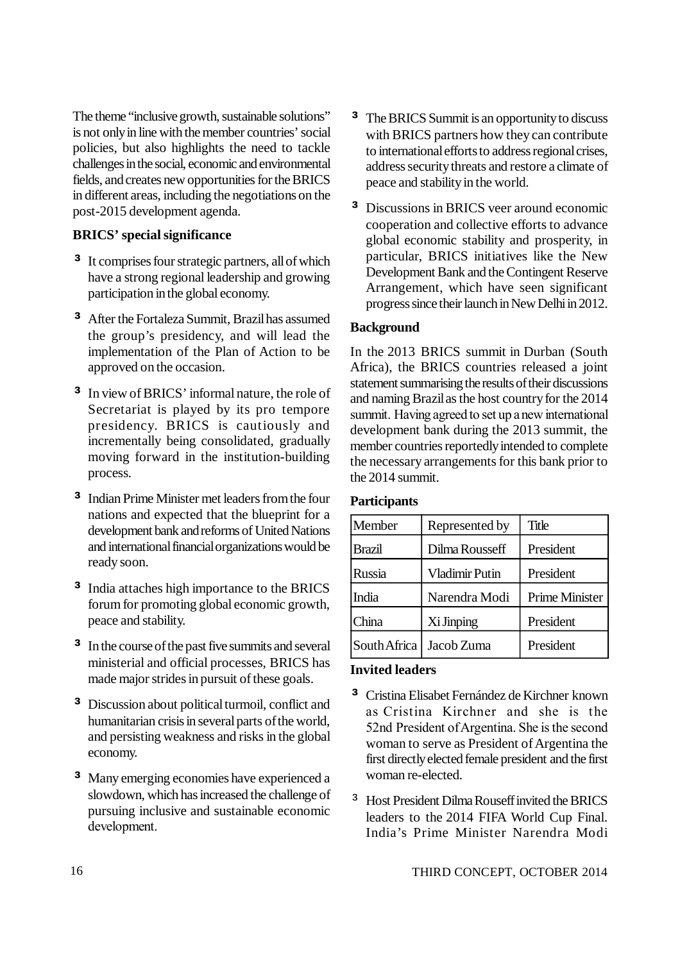The theme "inclusive growth, sustainable solutions" is not only in line with the member countries' social policies, but also highlights the need to tackle challenges in the social, economic and environmental fields, and creates new opportunities for the BRICS in different areas, including the negotiations on the post-2015 development agenda.

### **BRICS' special significance**

- **³** It comprises four strategic partners, all of which have a strong regional leadership and growing participation in the global economy.
- **³** After the Fortaleza Summit, Brazil has assumed the group's presidency, and will lead the implementation of the Plan of Action to be approved on the occasion.
- **³** In view of BRICS' informal nature, the role of Secretariat is played by its pro tempore presidency. BRICS is cautiously and incrementally being consolidated, gradually moving forward in the institution-building process.
- **³** Indian Prime Minister met leaders from the four nations and expected that the blueprint for a development bank and reforms of United Nations and international financial organizations would be ready soon.
- **³** India attaches high importance to the BRICS forum for promoting global economic growth, peace and stability.
- **³** In the course of the past five summits and several ministerial and official processes, BRICS has made major strides in pursuit of these goals.
- **³** Discussion about political turmoil, conflict and humanitarian crisis in several parts of the world, and persisting weakness and risks in the global economy.
- **³** Many emerging economies have experienced a slowdown, which has increased the challenge of pursuing inclusive and sustainable economic development.
- **³** The BRICS Summit is an opportunity to discuss with BRICS partners how they can contribute to international efforts to address regional crises, address security threats and restore a climate of peace and stability in the world.
- **³** Discussions in BRICS veer around economic cooperation and collective efforts to advance global economic stability and prosperity, in particular, BRICS initiatives like the New Development Bank and the Contingent Reserve Arrangement, which have seen significant progress since their launch in New Delhi in 2012.

### **Background**

In the 2013 BRICS summit in Durban (South Africa), the BRICS countries released a joint statement summarising the results of their discussions and naming Brazil as the host country for the 2014 summit. Having agreed to set up a new international development bank during the 2013 summit, the member countries reportedly intended to complete the necessary arrangements for this bank prior to the 2014 summit.

| Member        | Represented by | Title          |
|---------------|----------------|----------------|
| <b>Brazil</b> | Dilma Rousseff | President      |
| Russia        | Vladimir Putin | President      |
| India         | Narendra Modi  | Prime Minister |
| China         | Xi Jinping     | President      |
| South Africa  | Jacob Zuma     | President      |

## **Participants**

## **Invited leaders**

- **³** Cristina Elisabet Fernández de Kirchner known as Cristina Kirchner and she is the 52nd President of Argentina. She is the second woman to serve as President of Argentina the first directly elected female president and the first woman re-elected.
- <sup>3</sup> Host President Dilma Rouseff invited the BRICS leaders to the 2014 FIFA World Cup Final. India's Prime Minister Narendra Modi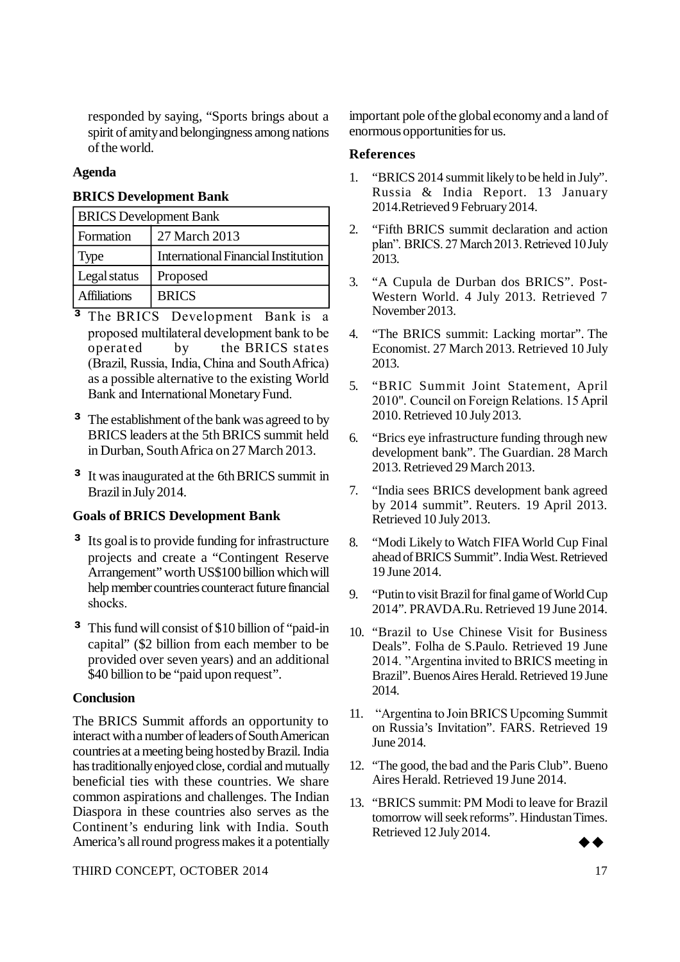responded by saying, "Sports brings about a spirit of amity and belongingness among nations of the world.

#### **Agenda**

#### **BRICS Development Bank**

| <b>BRICS Development Bank</b> |                                            |  |
|-------------------------------|--------------------------------------------|--|
| Formation                     | 27 March 2013                              |  |
| Type                          | <b>International Financial Institution</b> |  |
| Legal status                  | Proposed                                   |  |
| Affiliations                  | <b>BRICS</b>                               |  |

- **³** The BRICS Development Bank is a proposed multilateral development bank to be operated by the BRICS states (Brazil, Russia, India, China and South Africa) as a possible alternative to the existing World Bank and International Monetary Fund.
- **³** The establishment of the bank was agreed to by BRICS leaders at the 5th BRICS summit held in Durban, South Africa on 27 March 2013.
- **³** It was inaugurated at the 6th BRICS summit in Brazil in July 2014.

#### **Goals of BRICS Development Bank**

- **³** Its goal is to provide funding for infrastructure projects and create a "Contingent Reserve Arrangement" worth US\$100 billion which will help member countries counteract future financial shocks.
- **³** This fund will consist of \$10 billion of "paid-in capital" (\$2 billion from each member to be provided over seven years) and an additional \$40 billion to be "paid upon request".

#### **Conclusion**

The BRICS Summit affords an opportunity to interact with a number of leaders of South American countries at a meeting being hosted by Brazil. India has traditionally enjoyed close, cordial and mutually beneficial ties with these countries. We share common aspirations and challenges. The Indian Diaspora in these countries also serves as the Continent's enduring link with India. South America's all round progress makes it a potentially

THIRD CONCEPT, OCTOBER 2014 17

important pole of the global economy and a land of enormous opportunities for us.

#### **References**

- 1. "BRICS 2014 summit likely to be held in July". Russia & India Report. 13 January 2014.Retrieved 9 February 2014.
- 2. "Fifth BRICS summit declaration and action plan". BRICS. 27 March 2013. Retrieved 10 July 2013.
- 3. "A Cupula de Durban dos BRICS". Post-Western World. 4 July 2013. Retrieved 7 November 2013.
- 4. "The BRICS summit: Lacking mortar". The Economist. 27 March 2013. Retrieved 10 July 2013.
- 5. "BRIC Summit Joint Statement, April 2010". Council on Foreign Relations. 15 April 2010. Retrieved 10 July 2013.
- 6. "Brics eye infrastructure funding through new development bank". The Guardian. 28 March 2013. Retrieved 29 March 2013.
- 7. "India sees BRICS development bank agreed by 2014 summit". Reuters. 19 April 2013. Retrieved 10 July 2013.
- 8. "Modi Likely to Watch FIFA World Cup Final ahead of BRICS Summit". India West. Retrieved 19 June 2014.
- 9. "Putin to visit Brazil for final game of World Cup 2014". PRAVDA.Ru. Retrieved 19 June 2014.
- 10. "Brazil to Use Chinese Visit for Business Deals". Folha de S.Paulo. Retrieved 19 June 2014. "Argentina invited to BRICS meeting in Brazil". Buenos Aires Herald. Retrieved 19 June 2014.
- 11. "Argentina to Join BRICS Upcoming Summit on Russia's Invitation". FARS. Retrieved 19 June 2014.
- 12. "The good, the bad and the Paris Club". Bueno Aires Herald. Retrieved 19 June 2014.
- 13. "BRICS summit: PM Modi to leave for Brazil tomorrow will seek reforms". Hindustan Times. Retrieved 12 July 2014.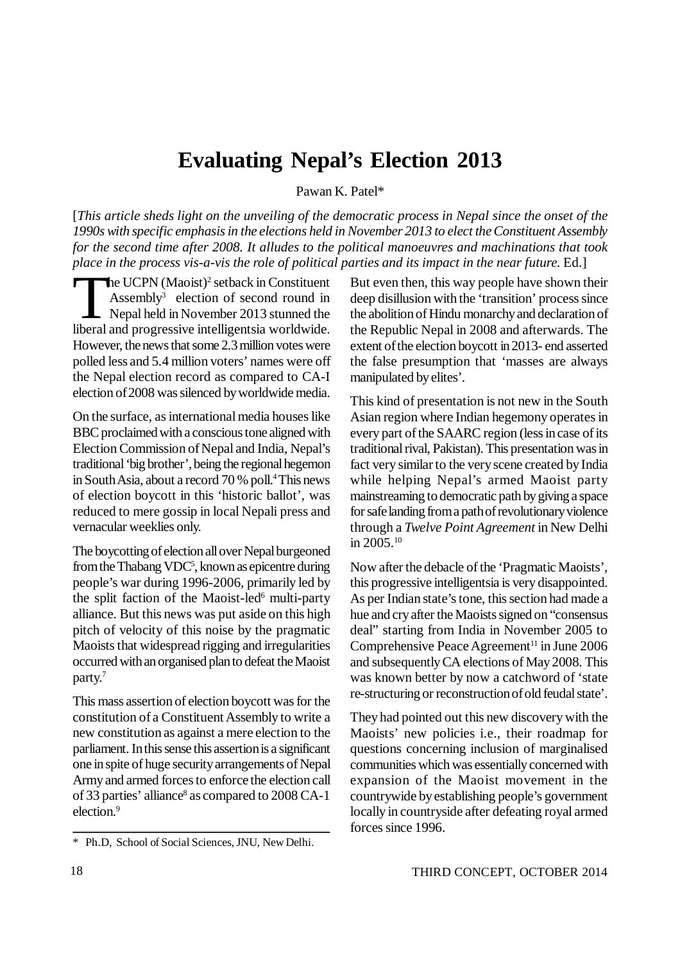## **Evaluating Nepal's Election 2013**

Pawan K. Patel\*

[*This article sheds light on the unveiling of the democratic process in Nepal since the onset of the 1990s with specific emphasis in the elections held in November 2013 to elect the Constituent Assembly for the second time after 2008. It alludes to the political manoeuvres and machinations that took place in the process vis-a-vis the role of political parties and its impact in the near future.* Ed.]

The UCPN (Maoist)<sup>2</sup> setback in Constituent<br>Assembly<sup>3</sup> election of second round in<br>Nepal held in November 2013 stunned the<br>liberal and progressive intelligentsia worldwide. he UCPN (Maoist)<sup>2</sup> setback in Constituent Assembly<sup>3</sup> election of second round in Nepal held in November 2013 stunned the However, the news that some 2.3 million votes were polled less and 5.4 million voters' names were off the Nepal election record as compared to CA-I election of 2008 was silenced by worldwide media.

On the surface, as international media houses like BBC proclaimed with a conscious tone aligned with Election Commission of Nepal and India, Nepal's traditional 'big brother', being the regional hegemon in South Asia, about a record 70 % poll.<sup>4</sup> This news of election boycott in this 'historic ballot', was reduced to mere gossip in local Nepali press and vernacular weeklies only.

The boycotting of election all over Nepal burgeoned from the Thabang VDC<sup>5</sup>, known as epicentre during people's war during 1996-2006, primarily led by the split faction of the Maoist-led<sup>6</sup> multi-party alliance. But this news was put aside on this high pitch of velocity of this noise by the pragmatic Maoists that widespread rigging and irregularities occurred with an organised plan to defeat the Maoist party.<sup>7</sup>

This mass assertion of election boycott was for the constitution of a Constituent Assembly to write a new constitution as against a mere election to the parliament. In this sense this assertion is a significant one in spite of huge security arrangements of Nepal Army and armed forces to enforce the election call of 33 parties' alliance<sup>8</sup> as compared to 2008 CA-1 election.<sup>9</sup>

But even then, this way people have shown their deep disillusion with the 'transition' process since the abolition of Hindu monarchy and declaration of the Republic Nepal in 2008 and afterwards. The extent of the election boycott in 2013- end asserted the false presumption that 'masses are always manipulated by elites'.

This kind of presentation is not new in the South Asian region where Indian hegemony operates in every part of the SAARC region (less in case of its traditional rival, Pakistan). This presentation was in fact very similar to the very scene created by India while helping Nepal's armed Maoist party mainstreaming to democratic path by giving a space for safe landing from a path of revolutionary violence through a *Twelve Point Agreement* in New Delhi in 2005.<sup>10</sup>

Now after the debacle of the 'Pragmatic Maoists', this progressive intelligentsia is very disappointed. As per Indian state's tone, this section had made a hue and cry after the Maoists signed on "consensus deal" starting from India in November 2005 to Comprehensive Peace Agreement<sup>11</sup> in June 2006 and subsequently CA elections of May 2008. This was known better by now a catchword of 'state re-structuring or reconstruction of old feudal state'.

They had pointed out this new discovery with the Maoists' new policies i.e., their roadmap for questions concerning inclusion of marginalised communities which was essentially concerned with expansion of the Maoist movement in the countrywide by establishing people's government locally in countryside after defeating royal armed forces since 1996.

<sup>\*</sup> Ph.D, School of Social Sciences, JNU, New Delhi.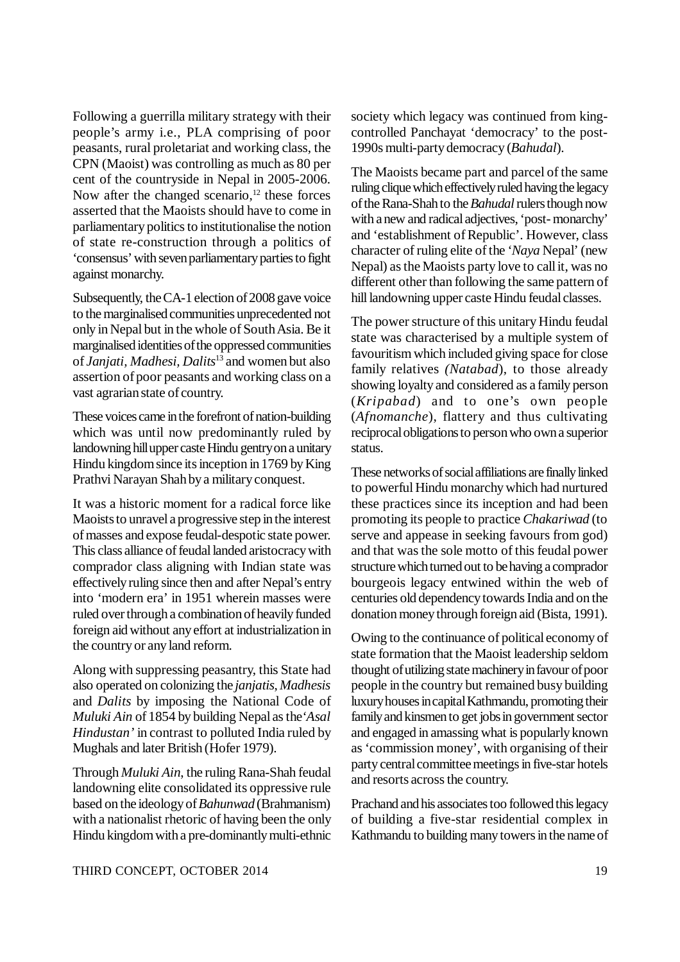Following a guerrilla military strategy with their people's army i.e., PLA comprising of poor peasants, rural proletariat and working class, the CPN (Maoist) was controlling as much as 80 per cent of the countryside in Nepal in 2005-2006. Now after the changed scenario, $12$  these forces asserted that the Maoists should have to come in parliamentary politics to institutionalise the notion of state re-construction through a politics of 'consensus' with seven parliamentary parties to fight against monarchy.

Subsequently, the CA-1 election of 2008 gave voice to the marginalised communities unprecedented not only in Nepal but in the whole of South Asia. Be it marginalised identities of the oppressed communities of *Janjati, Madhesi, Dalits*<sup>13</sup> and women but also assertion of poor peasants and working class on a vast agrarian state of country.

These voices came in the forefront of nation-building which was until now predominantly ruled by landowning hill upper caste Hindu gentry on a unitary Hindu kingdom since its inception in 1769 by King Prathvi Narayan Shah by a military conquest.

It was a historic moment for a radical force like Maoists to unravel a progressive step in the interest of masses and expose feudal-despotic state power. This class alliance of feudal landed aristocracy with comprador class aligning with Indian state was effectively ruling since then and after Nepal's entry into 'modern era' in 1951 wherein masses were ruled over through a combination of heavily funded foreign aid without any effort at industrialization in the country or any land reform.

Along with suppressing peasantry, this State had also operated on colonizing the *janjatis*, *Madhesis* and *Dalits* by imposing the National Code of *Muluki Ain* of 1854 by building Nepal as the*'Asal Hindustan'* in contrast to polluted India ruled by Mughals and later British (Hofer 1979).

Through *Muluki Ain*, the ruling Rana-Shah feudal landowning elite consolidated its oppressive rule based on the ideology of *Bahunwad* (Brahmanism) with a nationalist rhetoric of having been the only Hindu kingdom with a pre-dominantly multi-ethnic society which legacy was continued from kingcontrolled Panchayat 'democracy' to the post-1990s multi-party democracy (*Bahudal*).

The Maoists became part and parcel of the same ruling clique which effectively ruled having the legacy of the Rana-Shah to the *Bahudal* rulers though now with a new and radical adjectives, 'post- monarchy' and 'establishment of Republic'. However, class character of ruling elite of the '*Naya* Nepal' (new Nepal) as the Maoists party love to call it, was no different other than following the same pattern of hill landowning upper caste Hindu feudal classes.

The power structure of this unitary Hindu feudal state was characterised by a multiple system of favouritism which included giving space for close family relatives *(Natabad*), to those already showing loyalty and considered as a family person (*Kripabad*) and to one's own people (*Afnomanche*), flattery and thus cultivating reciprocal obligations to person who own a superior status.

These networks of social affiliations are finally linked to powerful Hindu monarchy which had nurtured these practices since its inception and had been promoting its people to practice *Chakariwad* (to serve and appease in seeking favours from god) and that was the sole motto of this feudal power structure which turned out to be having a comprador bourgeois legacy entwined within the web of centuries old dependency towards India and on the donation money through foreign aid (Bista, 1991).

Owing to the continuance of political economy of state formation that the Maoist leadership seldom thought of utilizing state machinery in favour of poor people in the country but remained busy building luxury houses in capital Kathmandu, promoting their family and kinsmen to get jobs in government sector and engaged in amassing what is popularly known as 'commission money', with organising of their party central committee meetings in five-star hotels and resorts across the country.

Prachand and his associates too followed this legacy of building a five-star residential complex in Kathmandu to building many towers in the name of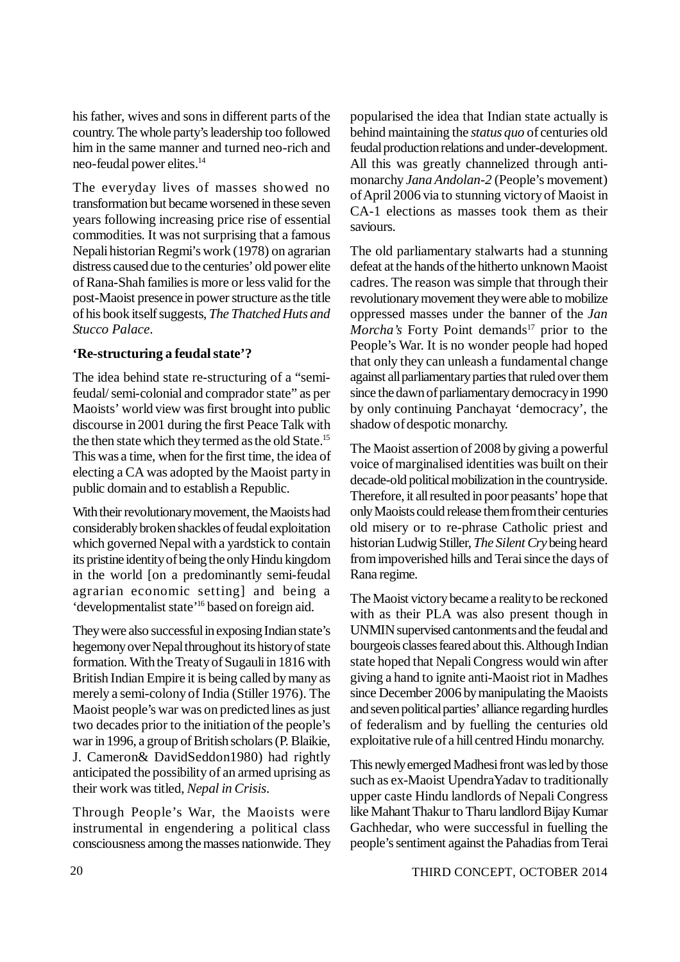his father, wives and sons in different parts of the country. The whole party's leadership too followed him in the same manner and turned neo-rich and neo-feudal power elites.<sup>14</sup>

The everyday lives of masses showed no transformation but became worsened in these seven years following increasing price rise of essential commodities. It was not surprising that a famous Nepali historian Regmi's work (1978) on agrarian distress caused due to the centuries' old power elite of Rana-Shah families is more or less valid for the post-Maoist presence in power structure as the title of his book itself suggests, *The Thatched Huts and Stucco Palace*.

## **'Re-structuring a feudal state'?**

The idea behind state re-structuring of a "semifeudal/ semi-colonial and comprador state" as per Maoists' world view was first brought into public discourse in 2001 during the first Peace Talk with the then state which they termed as the old State.<sup>15</sup> This was a time, when for the first time, the idea of electing a CA was adopted by the Maoist party in public domain and to establish a Republic.

With their revolutionary movement, the Maoists had considerably broken shackles of feudal exploitation which governed Nepal with a yardstick to contain its pristine identity of being the only Hindu kingdom in the world [on a predominantly semi-feudal agrarian economic setting] and being a 'developmentalist state'<sup>16</sup> based on foreign aid.

They were also successful in exposing Indian state's hegemony over Nepal throughout its history of state formation. With the Treaty of Sugauli in 1816 with British Indian Empire it is being called by many as merely a semi-colony of India (Stiller 1976). The Maoist people's war was on predicted lines as just two decades prior to the initiation of the people's war in 1996, a group of British scholars (P. Blaikie, J. Cameron& DavidSeddon1980) had rightly anticipated the possibility of an armed uprising as their work was titled, *Nepal in Crisis*.

Through People's War, the Maoists were instrumental in engendering a political class consciousness among the masses nationwide. They popularised the idea that Indian state actually is behind maintaining the *status quo* of centuries old feudal production relations and under-development. All this was greatly channelized through antimonarchy *Jana Andolan-2* (People's movement) of April 2006 via to stunning victory of Maoist in CA-1 elections as masses took them as their saviours.

The old parliamentary stalwarts had a stunning defeat at the hands of the hitherto unknown Maoist cadres. The reason was simple that through their revolutionary movement they were able to mobilize oppressed masses under the banner of the *Jan Morcha's* Forty Point demands<sup>17</sup> prior to the People's War. It is no wonder people had hoped that only they can unleash a fundamental change against all parliamentary parties that ruled over them since the dawn of parliamentary democracy in 1990 by only continuing Panchayat 'democracy', the shadow of despotic monarchy.

The Maoist assertion of 2008 by giving a powerful voice of marginalised identities was built on their decade-old political mobilization in the countryside. Therefore, it all resulted in poor peasants' hope that only Maoists could release them from their centuries old misery or to re-phrase Catholic priest and historian Ludwig Stiller, *The Silent Cry* being heard from impoverished hills and Terai since the days of Rana regime.

The Maoist victory became a reality to be reckoned with as their PLA was also present though in UNMIN supervised cantonments and the feudal and bourgeois classes feared about this. Although Indian state hoped that Nepali Congress would win after giving a hand to ignite anti-Maoist riot in Madhes since December 2006 by manipulating the Maoists and seven political parties' alliance regarding hurdles of federalism and by fuelling the centuries old exploitative rule of a hill centred Hindu monarchy.

This newly emerged Madhesi front was led by those such as ex-Maoist UpendraYadav to traditionally upper caste Hindu landlords of Nepali Congress like Mahant Thakur to Tharu landlord Bijay Kumar Gachhedar, who were successful in fuelling the people's sentiment against the Pahadias from Terai

#### 20 THIRD CONCEPT, OCTOBER 2014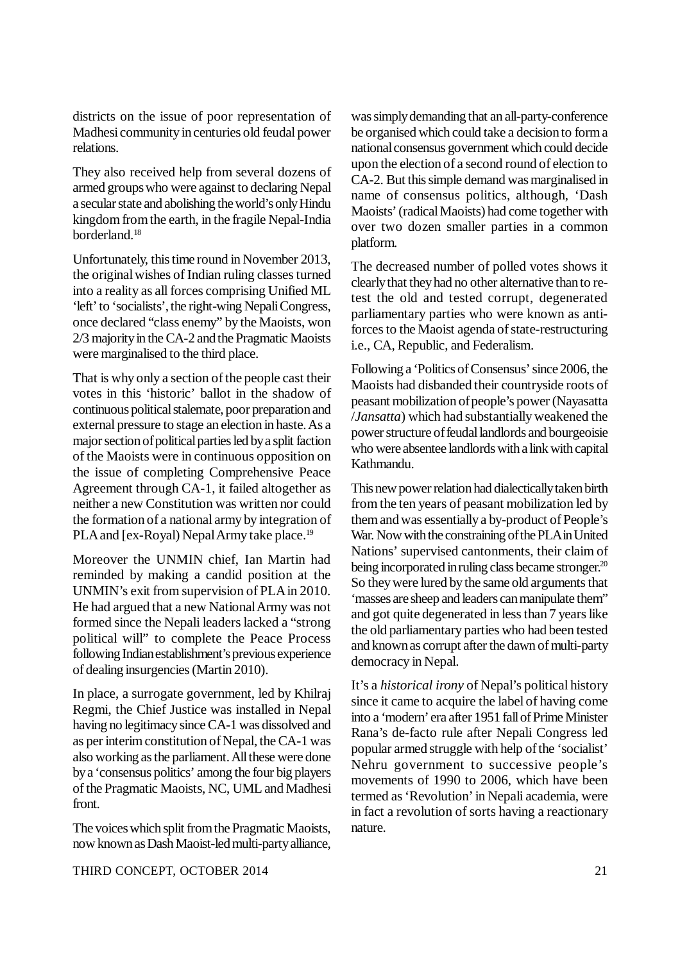districts on the issue of poor representation of Madhesi community in centuries old feudal power relations.

They also received help from several dozens of armed groups who were against to declaring Nepal a secular state and abolishing the world's only Hindu kingdom from the earth, in the fragile Nepal-India borderland.<sup>18</sup>

Unfortunately, this time round in November 2013, the original wishes of Indian ruling classes turned into a reality as all forces comprising Unified ML 'left' to 'socialists', the right-wing Nepali Congress, once declared "class enemy" by the Maoists, won 2/3 majority in the CA-2 and the Pragmatic Maoists were marginalised to the third place.

That is why only a section of the people cast their votes in this 'historic' ballot in the shadow of continuous political stalemate, poor preparation and external pressure to stage an election in haste. As a major section of political parties led by a split faction of the Maoists were in continuous opposition on the issue of completing Comprehensive Peace Agreement through CA-1, it failed altogether as neither a new Constitution was written nor could the formation of a national army by integration of PLA and [ex-Royal) Nepal Army take place.<sup>19</sup>

Moreover the UNMIN chief, Ian Martin had reminded by making a candid position at the UNMIN's exit from supervision of PLA in 2010. He had argued that a new National Army was not formed since the Nepali leaders lacked a "strong political will" to complete the Peace Process following Indian establishment's previous experience of dealing insurgencies (Martin 2010).

In place, a surrogate government, led by Khilraj Regmi, the Chief Justice was installed in Nepal having no legitimacy since CA-1 was dissolved and as per interim constitution of Nepal, the CA-1 was also working as the parliament. All these were done by a 'consensus politics' among the four big players of the Pragmatic Maoists, NC, UML and Madhesi front.

The voices which split from the Pragmatic Maoists, now known as Dash Maoist-led multi-party alliance,

was simply demanding that an all-party-conference be organised which could take a decision to form a national consensus government which could decide upon the election of a second round of election to CA-2. But this simple demand was marginalised in name of consensus politics, although, 'Dash Maoists' (radical Maoists) had come together with over two dozen smaller parties in a common platform.

The decreased number of polled votes shows it clearly that they had no other alternative than to retest the old and tested corrupt, degenerated parliamentary parties who were known as antiforces to the Maoist agenda of state-restructuring i.e., CA, Republic, and Federalism.

Following a 'Politics of Consensus' since 2006, the Maoists had disbanded their countryside roots of peasant mobilization of people's power (Nayasatta /*Jansatta*) which had substantially weakened the power structure of feudal landlords and bourgeoisie who were absentee landlords with a link with capital Kathmandu.

This new power relation had dialectically taken birth from the ten years of peasant mobilization led by them and was essentially a by-product of People's War. Now with the constraining of the PLA in United Nations' supervised cantonments, their claim of being incorporated in ruling class became stronger.<sup>20</sup> So they were lured by the same old arguments that 'masses are sheep and leaders can manipulate them" and got quite degenerated in less than 7 years like the old parliamentary parties who had been tested and known as corrupt after the dawn of multi-party democracy in Nepal.

It's a *historical irony* of Nepal's political history since it came to acquire the label of having come into a 'modern' era after 1951 fall of Prime Minister Rana's de-facto rule after Nepali Congress led popular armed struggle with help of the 'socialist' Nehru government to successive people's movements of 1990 to 2006, which have been termed as 'Revolution' in Nepali academia, were in fact a revolution of sorts having a reactionary nature.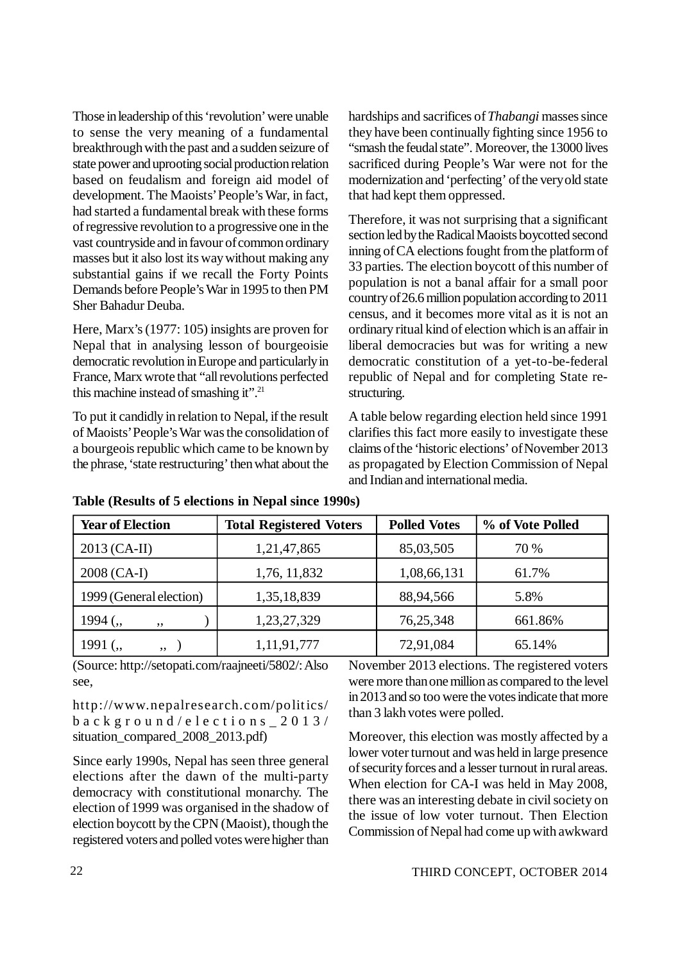Those in leadership of this 'revolution' were unable to sense the very meaning of a fundamental breakthrough with the past and a sudden seizure of state power and uprooting social production relation based on feudalism and foreign aid model of development. The Maoists' People's War, in fact, had started a fundamental break with these forms of regressive revolution to a progressive one in the vast countryside and in favour of common ordinary masses but it also lost its way without making any substantial gains if we recall the Forty Points Demands before People's War in 1995 to then PM Sher Bahadur Deuba.

Here, Marx's (1977: 105) insights are proven for Nepal that in analysing lesson of bourgeoisie democratic revolution in Europe and particularly in France, Marx wrote that "all revolutions perfected this machine instead of smashing it".<sup>21</sup>

To put it candidly in relation to Nepal, if the result of Maoists' People's War was the consolidation of a bourgeois republic which came to be known by the phrase, 'state restructuring' then what about the

hardships and sacrifices of *Thabangi* masses since they have been continually fighting since 1956 to "smash the feudal state". Moreover, the 13000 lives sacrificed during People's War were not for the modernization and 'perfecting' of the very old state that had kept them oppressed.

Therefore, it was not surprising that a significant section led by the Radical Maoists boycotted second inning of CA elections fought from the platform of 33 parties. The election boycott of this number of population is not a banal affair for a small poor country of 26.6 million population according to 2011 census, and it becomes more vital as it is not an ordinary ritual kind of election which is an affair in liberal democracies but was for writing a new democratic constitution of a yet-to-be-federal republic of Nepal and for completing State restructuring.

A table below regarding election held since 1991 clarifies this fact more easily to investigate these claims of the 'historic elections' of November 2013 as propagated by Election Commission of Nepal and Indian and international media.

| <b>Year of Election</b> | <b>Total Registered Voters</b> | <b>Polled Votes</b> | % of Vote Polled |
|-------------------------|--------------------------------|---------------------|------------------|
| $2013$ (CA-II)          | 1,21,47,865                    | 85,03,505           | 70 %             |
| 2008 (CA-I)             | 1,76, 11,832                   | 1,08,66,131         | 61.7%            |
| 1999 (General election) | 1,35,18,839                    | 88,94,566           | 5.8%             |
| 1994(<br>,,             | 1,23,27,329                    | 76,25,348           | 661.86%          |
| 1991 (,,<br>,,          | 1,11,91,777                    | 72,91,084           | 65.14%           |

**Table (Results of 5 elections in Nepal since 1990s)**

(Source: http://setopati.com/raajneeti/5802/: Also see,

http://www.nepalresearch.com/politics/  $b$  a c k g r o u n d / e l e c t i o n s  $2013/$ situation compared 2008 2013.pdf)

Since early 1990s, Nepal has seen three general elections after the dawn of the multi-party democracy with constitutional monarchy. The election of 1999 was organised in the shadow of election boycott by the CPN (Maoist), though the registered voters and polled votes were higher than

November 2013 elections. The registered voters were more than one million as compared to the level in 2013 and so too were the votes indicate that more than 3 lakh votes were polled.

Moreover, this election was mostly affected by a lower voter turnout and was held in large presence of security forces and a lesser turnout in rural areas. When election for CA-I was held in May 2008, there was an interesting debate in civil society on the issue of low voter turnout. Then Election Commission of Nepal had come up with awkward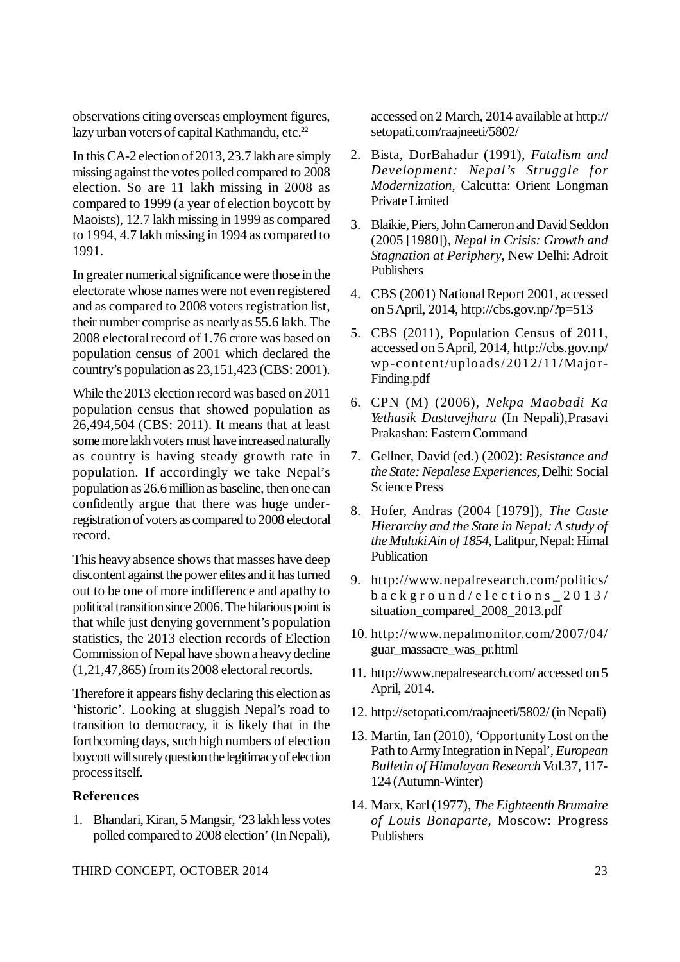observations citing overseas employment figures, lazy urban voters of capital Kathmandu, etc.<sup>22</sup>

In this CA-2 election of 2013, 23.7 lakh are simply missing against the votes polled compared to 2008 election. So are 11 lakh missing in 2008 as compared to 1999 (a year of election boycott by Maoists), 12.7 lakh missing in 1999 as compared to 1994, 4.7 lakh missing in 1994 as compared to 1991.

In greater numerical significance were those in the electorate whose names were not even registered and as compared to 2008 voters registration list, their number comprise as nearly as 55.6 lakh. The 2008 electoral record of 1.76 crore was based on population census of 2001 which declared the country's population as 23,151,423 (CBS: 2001).

While the 2013 election record was based on 2011 population census that showed population as 26,494,504 (CBS: 2011). It means that at least some more lakh voters must have increased naturally as country is having steady growth rate in population. If accordingly we take Nepal's population as 26.6 million as baseline, then one can confidently argue that there was huge underregistration of voters as compared to 2008 electoral record.

This heavy absence shows that masses have deep discontent against the power elites and it has turned out to be one of more indifference and apathy to political transition since 2006. The hilarious point is that while just denying government's population statistics, the 2013 election records of Election Commission of Nepal have shown a heavy decline (1,21,47,865) from its 2008 electoral records.

Therefore it appears fishy declaring this election as 'historic'. Looking at sluggish Nepal's road to transition to democracy, it is likely that in the forthcoming days, such high numbers of election boycott will surely question the legitimacy of election process itself.

#### **References**

1. Bhandari, Kiran, 5 Mangsir, '23 lakh less votes polled compared to 2008 election' (In Nepali), accessed on 2 March, 2014 available at http:// setopati.com/raajneeti/5802/

- 2. Bista, DorBahadur (1991), *Fatalism and Development: Nepal's Struggle for Modernization*, Calcutta: Orient Longman Private Limited
- 3. Blaikie, Piers, John Cameron and David Seddon (2005 [1980]), *Nepal in Crisis: Growth and Stagnation at Periphery*, New Delhi: Adroit Publishers
- 4. CBS (2001) National Report 2001, accessed on 5 April, 2014, http://cbs.gov.np/?p=513
- 5. CBS (2011), Population Census of 2011, accessed on 5 April, 2014, http://cbs.gov.np/ wp-content/uploads/2012/11/Major-Finding.pdf
- 6. CPN (M) (2006), *Nekpa Maobadi Ka Yethasik Dastavejharu* (In Nepali),Prasavi Prakashan: Eastern Command
- 7. Gellner, David (ed.) (2002): *Resistance and the State: Nepalese Experiences*, Delhi: Social Science Press
- 8. Hofer, Andras (2004 [1979]), *The Caste Hierarchy and the State in Nepal: A study of the Muluki Ain of 1854*, Lalitpur, Nepal: Himal Publication
- 9. http://www.nepalresearch.com/politics/  $b$  a c k g r o u n d / e l e c t i o n s  $2013/$ situation compared 2008 2013.pdf
- 10. http://www.nepalmonitor.com/2007/04/ guar\_massacre\_was\_pr.html
- 11. http://www.nepalresearch.com/ accessed on 5 April, 2014.
- 12. http://setopati.com/raajneeti/5802/ (in Nepali)
- 13. Martin, Ian (2010), 'Opportunity Lost on the Path to Army Integration in Nepal', *European Bulletin of Himalayan Research* Vol.37, 117- 124 (Autumn-Winter)
- 14. Marx, Karl (1977), *The Eighteenth Brumaire of Louis Bonaparte*, Moscow: Progress Publishers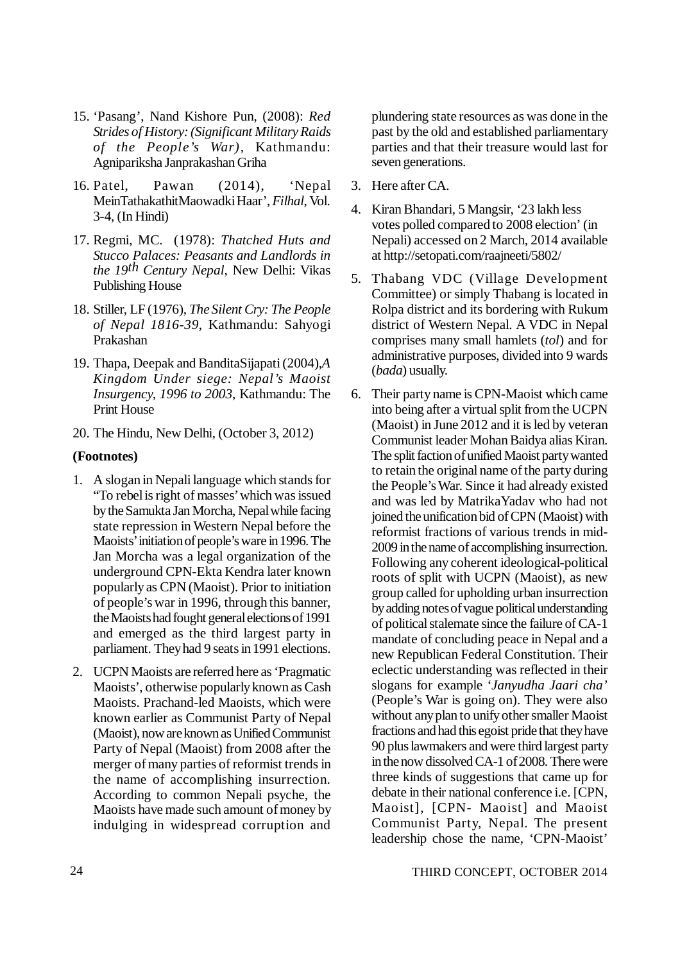- 15. 'Pasang', Nand Kishore Pun, (2008): *Red Strides of History: (Significant Military Raids of the People's War),* Kathmandu: Agnipariksha Janprakashan Griha
- 16. Patel, Pawan (2014), 'Nepal MeinTathakathitMaowadki Haar', *Filhal*, Vol. 3-4, (In Hindi)
- 17. Regmi, MC. (1978): *Thatched Huts and Stucco Palaces: Peasants and Landlords in the 19th Century Nepal*, New Delhi: Vikas Publishing House
- 18. Stiller, LF (1976), *The Silent Cry: The People of Nepal 1816-39*, Kathmandu: Sahyogi Prakashan
- 19. Thapa, Deepak and BanditaSijapati (2004),*A Kingdom Under siege: Nepal's Maoist Insurgency, 1996 to 2003*, Kathmandu: The Print House
- 20. The Hindu, New Delhi, (October 3, 2012)

### **(Footnotes)**

- 1. A slogan in Nepali language which stands for "To rebel is right of masses' which was issued by the Samukta Jan Morcha, Nepal while facing state repression in Western Nepal before the Maoists' initiation of people's ware in 1996. The Jan Morcha was a legal organization of the underground CPN-Ekta Kendra later known popularly as CPN (Maoist). Prior to initiation of people's war in 1996, through this banner, the Maoists had fought general elections of 1991 and emerged as the third largest party in parliament. They had 9 seats in 1991 elections.
- 2. UCPN Maoists are referred here as 'Pragmatic Maoists', otherwise popularly known as Cash Maoists. Prachand-led Maoists, which were known earlier as Communist Party of Nepal (Maoist), now are known as Unified Communist Party of Nepal (Maoist) from 2008 after the merger of many parties of reformist trends in the name of accomplishing insurrection. According to common Nepali psyche, the Maoists have made such amount of money by indulging in widespread corruption and

plundering state resources as was done in the past by the old and established parliamentary parties and that their treasure would last for seven generations.

- 3. Here after CA.
- 4. Kiran Bhandari, 5 Mangsir, '23 lakh less votes polled compared to 2008 election' (in Nepali) accessed on 2 March, 2014 available at http://setopati.com/raajneeti/5802/
- 5. Thabang VDC (Village Development Committee) or simply Thabang is located in Rolpa district and its bordering with Rukum district of Western Nepal. A VDC in Nepal comprises many small hamlets (*tol*) and for administrative purposes, divided into 9 wards (*bada*) usually.
- 6. Their party name is CPN-Maoist which came into being after a virtual split from the UCPN (Maoist) in June 2012 and it is led by veteran Communist leader Mohan Baidya alias Kiran. The split faction of unified Maoist party wanted to retain the original name of the party during the People's War. Since it had already existed and was led by MatrikaYadav who had not joined the unification bid of CPN (Maoist) with reformist fractions of various trends in mid-2009 in the name of accomplishing insurrection. Following any coherent ideological-political roots of split with UCPN (Maoist), as new group called for upholding urban insurrection by adding notes of vague political understanding of political stalemate since the failure of CA-1 mandate of concluding peace in Nepal and a new Republican Federal Constitution. Their eclectic understanding was reflected in their slogans for example '*Janyudha Jaari cha'* (People's War is going on). They were also without any plan to unify other smaller Maoist fractions and had this egoist pride that they have 90 plus lawmakers and were third largest party in the now dissolved CA-1 of 2008. There were three kinds of suggestions that came up for debate in their national conference i.e. [CPN, Maoist], [CPN- Maoist] and Maoist Communist Party, Nepal. The present leadership chose the name, 'CPN-Maoist'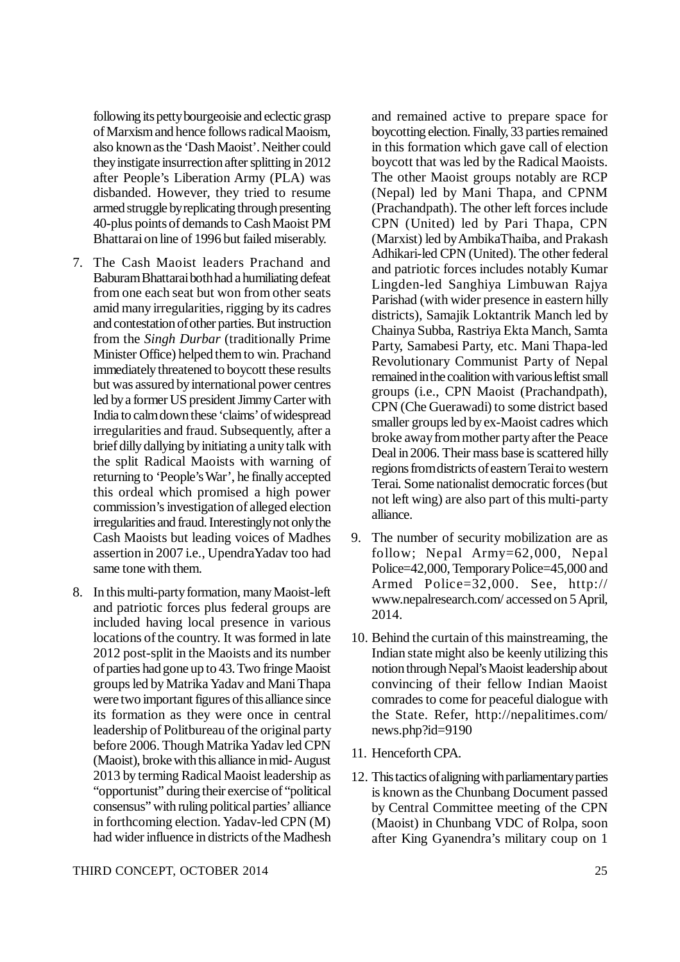following its petty bourgeoisie and eclectic grasp of Marxism and hence follows radical Maoism, also known as the 'Dash Maoist'. Neither could they instigate insurrection after splitting in 2012 after People's Liberation Army (PLA) was disbanded. However, they tried to resume armed struggle by replicating through presenting 40-plus points of demands to Cash Maoist PM Bhattarai on line of 1996 but failed miserably.

- 7. The Cash Maoist leaders Prachand and Baburam Bhattarai both had a humiliating defeat from one each seat but won from other seats amid many irregularities, rigging by its cadres and contestation of other parties. But instruction from the *Singh Durbar* (traditionally Prime Minister Office) helped them to win. Prachand immediately threatened to boycott these results but was assured by international power centres led by a former US president Jimmy Carter with India to calm down these 'claims' of widespread irregularities and fraud. Subsequently, after a brief dilly dallying by initiating a unity talk with the split Radical Maoists with warning of returning to 'People's War', he finally accepted this ordeal which promised a high power commission's investigation of alleged election irregularities and fraud. Interestingly not only the Cash Maoists but leading voices of Madhes assertion in 2007 i.e., UpendraYadav too had same tone with them.
- 8. In this multi-party formation, many Maoist-left and patriotic forces plus federal groups are included having local presence in various locations of the country. It was formed in late 2012 post-split in the Maoists and its number of parties had gone up to 43. Two fringe Maoist groups led by Matrika Yadav and Mani Thapa were two important figures of this alliance since its formation as they were once in central leadership of Politbureau of the original party before 2006. Though Matrika Yadav led CPN (Maoist), broke with this alliance in mid- August 2013 by terming Radical Maoist leadership as "opportunist" during their exercise of "political consensus" with ruling political parties' alliance in forthcoming election. Yadav-led CPN (M) had wider influence in districts of the Madhesh

THIRD CONCEPT, OCTOBER 2014 25

and remained active to prepare space for boycotting election. Finally, 33 parties remained in this formation which gave call of election boycott that was led by the Radical Maoists. The other Maoist groups notably are RCP (Nepal) led by Mani Thapa, and CPNM (Prachandpath). The other left forces include CPN (United) led by Pari Thapa, CPN (Marxist) led by AmbikaThaiba, and Prakash Adhikari-led CPN (United). The other federal and patriotic forces includes notably Kumar Lingden-led Sanghiya Limbuwan Rajya Parishad (with wider presence in eastern hilly districts), Samajik Loktantrik Manch led by Chainya Subba, Rastriya Ekta Manch, Samta Party, Samabesi Party, etc. Mani Thapa-led Revolutionary Communist Party of Nepal remained in the coalition with various leftist small groups (i.e., CPN Maoist (Prachandpath), CPN (Che Guerawadi) to some district based smaller groups led by ex-Maoist cadres which broke away from mother party after the Peace Deal in 2006. Their mass base is scattered hilly regions from districts of eastern Terai to western Terai. Some nationalist democratic forces (but not left wing) are also part of this multi-party alliance.

- 9. The number of security mobilization are as follow; Nepal Army=62,000, Nepal Police=42,000, Temporary Police=45,000 and Armed Police=32,000. See, http:// www.nepalresearch.com/ accessed on 5 April, 2014.
- 10. Behind the curtain of this mainstreaming, the Indian state might also be keenly utilizing this notion through Nepal's Maoist leadership about convincing of their fellow Indian Maoist comrades to come for peaceful dialogue with the State. Refer, http://nepalitimes.com/ news.php?id=9190
- 11. Henceforth CPA.
- 12. This tactics of aligning with parliamentary parties is known as the Chunbang Document passed by Central Committee meeting of the CPN (Maoist) in Chunbang VDC of Rolpa, soon after King Gyanendra's military coup on 1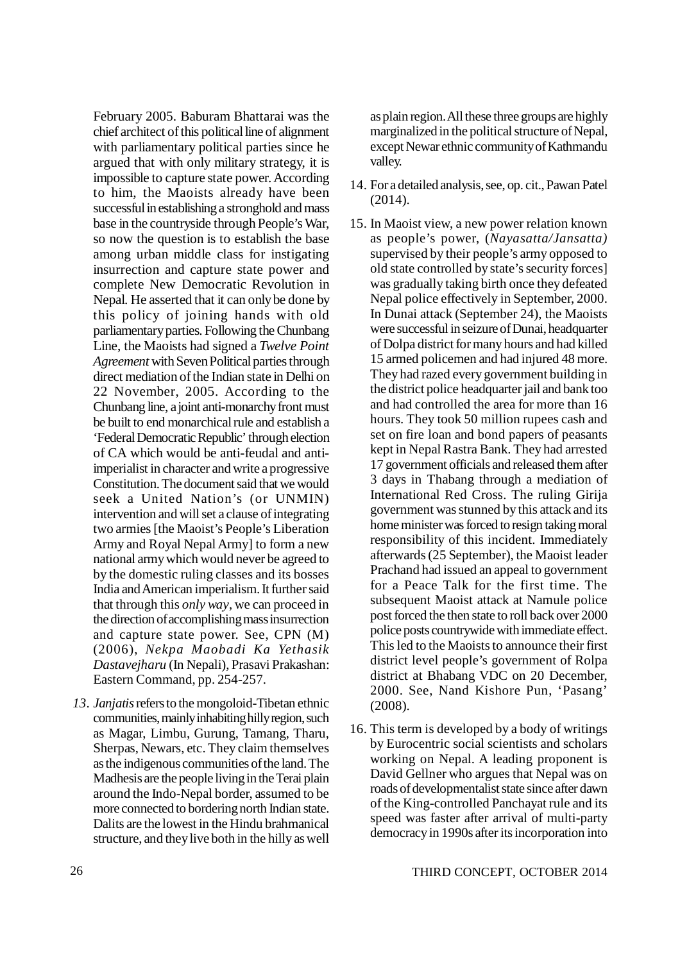February 2005. Baburam Bhattarai was the chief architect of this political line of alignment with parliamentary political parties since he argued that with only military strategy, it is impossible to capture state power. According to him, the Maoists already have been successful in establishing a stronghold and mass base in the countryside through People's War, so now the question is to establish the base among urban middle class for instigating insurrection and capture state power and complete New Democratic Revolution in Nepal. He asserted that it can only be done by this policy of joining hands with old parliamentary parties. Following the Chunbang Line, the Maoists had signed a *Twelve Point Agreement* with Seven Political parties through direct mediation of the Indian state in Delhi on 22 November, 2005. According to the Chunbang line, a joint anti-monarchy front must be built to end monarchical rule and establish a 'Federal Democratic Republic' through election of CA which would be anti-feudal and antiimperialist in character and write a progressive Constitution. The document said that we would seek a United Nation's (or UNMIN) intervention and will set a clause of integrating two armies [the Maoist's People's Liberation Army and Royal Nepal Army] to form a new national army which would never be agreed to by the domestic ruling classes and its bosses India and American imperialism. It further said that through this *only way*, we can proceed in the direction of accomplishing mass insurrection and capture state power. See, CPN (M) (2006), *Nekpa Maobadi Ka Yethasik Dastavejharu* (In Nepali), Prasavi Prakashan: Eastern Command, pp. 254-257.

*13. Janjatis* refers to the mongoloid-Tibetan ethnic communities, mainly inhabiting hilly region, such as Magar, Limbu, Gurung, Tamang, Tharu, Sherpas, Newars, etc. They claim themselves as the indigenous communities of the land. The Madhesis are the people living in the Terai plain around the Indo-Nepal border, assumed to be more connected to bordering north Indian state. Dalits are the lowest in the Hindu brahmanical structure, and they live both in the hilly as well as plain region. All these three groups are highly marginalized in the political structure of Nepal, except Newar ethnic community of Kathmandu valley.

- 14. For a detailed analysis, see, op. cit., Pawan Patel (2014).
- 15. In Maoist view, a new power relation known as people's power, (*Nayasatta/Jansatta)* supervised by their people's army opposed to old state controlled by state's security forces] was gradually taking birth once they defeated Nepal police effectively in September, 2000. In Dunai attack (September 24), the Maoists were successful in seizure of Dunai, headquarter of Dolpa district for many hours and had killed 15 armed policemen and had injured 48 more. They had razed every government building in the district police headquarter jail and bank too and had controlled the area for more than 16 hours. They took 50 million rupees cash and set on fire loan and bond papers of peasants kept in Nepal Rastra Bank. They had arrested 17 government officials and released them after 3 days in Thabang through a mediation of International Red Cross. The ruling Girija government was stunned by this attack and its home minister was forced to resign taking moral responsibility of this incident. Immediately afterwards (25 September), the Maoist leader Prachand had issued an appeal to government for a Peace Talk for the first time. The subsequent Maoist attack at Namule police post forced the then state to roll back over 2000 police posts countrywide with immediate effect. This led to the Maoists to announce their first district level people's government of Rolpa district at Bhabang VDC on 20 December, 2000. See, Nand Kishore Pun, 'Pasang' (2008).
- 16. This term is developed by a body of writings by Eurocentric social scientists and scholars working on Nepal. A leading proponent is David Gellner who argues that Nepal was on roads of developmentalist state since after dawn of the King-controlled Panchayat rule and its speed was faster after arrival of multi-party democracy in 1990s after its incorporation into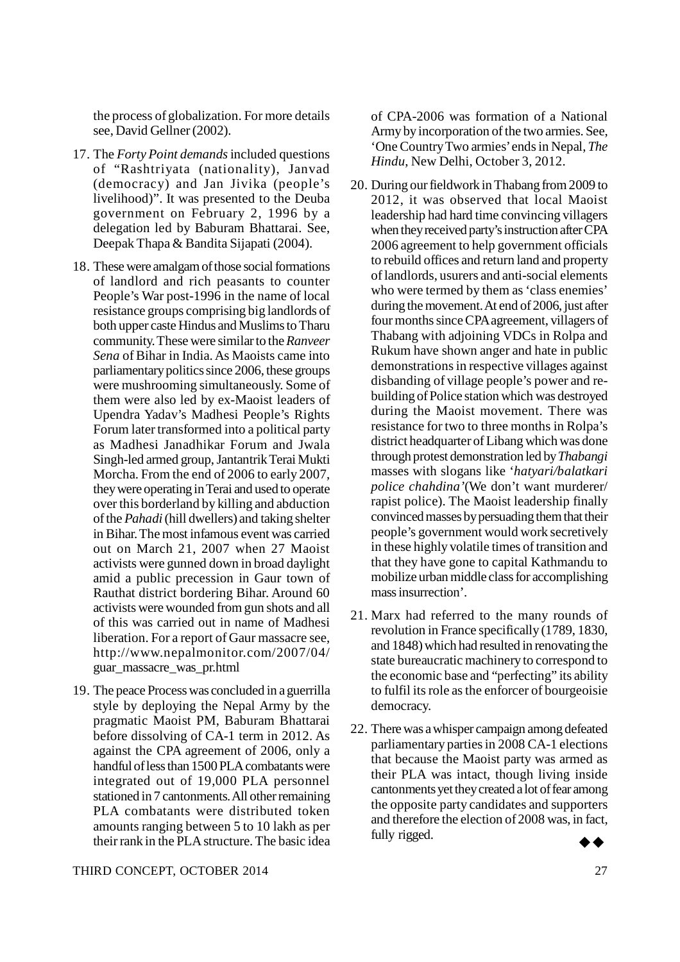the process of globalization. For more details see, David Gellner (2002).

- 17. The *Forty Point demands* included questions of "Rashtriyata (nationality), Janvad (democracy) and Jan Jivika (people's livelihood)". It was presented to the Deuba government on February 2, 1996 by a delegation led by Baburam Bhattarai. See, Deepak Thapa & Bandita Sijapati (2004).
- 18. These were amalgam of those social formations of landlord and rich peasants to counter People's War post-1996 in the name of local resistance groups comprising big landlords of both upper caste Hindus and Muslims to Tharu community. These were similar to the *Ranveer Sena* of Bihar in India. As Maoists came into parliamentary politics since 2006, these groups were mushrooming simultaneously. Some of them were also led by ex-Maoist leaders of Upendra Yadav's Madhesi People's Rights Forum later transformed into a political party as Madhesi Janadhikar Forum and Jwala Singh-led armed group, Jantantrik Terai Mukti Morcha. From the end of 2006 to early 2007, they were operating in Terai and used to operate over this borderland by killing and abduction of the *Pahadi* (hill dwellers) and taking shelter in Bihar. The most infamous event was carried out on March 21, 2007 when 27 Maoist activists were gunned down in broad daylight amid a public precession in Gaur town of Rauthat district bordering Bihar. Around 60 activists were wounded from gun shots and all of this was carried out in name of Madhesi liberation. For a report of Gaur massacre see, http://www.nepalmonitor.com/2007/04/ guar\_massacre\_was\_pr.html
- 19. The peace Process was concluded in a guerrilla style by deploying the Nepal Army by the pragmatic Maoist PM, Baburam Bhattarai before dissolving of CA-1 term in 2012. As against the CPA agreement of 2006, only a handful of less than 1500 PLA combatants were integrated out of 19,000 PLA personnel stationed in 7 cantonments. All other remaining PLA combatants were distributed token amounts ranging between 5 to 10 lakh as per their rank in the PLA structure. The basic idea

#### THIRD CONCEPT, OCTOBER 2014 27

of CPA-2006 was formation of a National Army by incorporation of the two armies. See, 'One Country Two armies' ends in Nepal, *The Hindu*, New Delhi, October 3, 2012.

- 20. During our fieldwork in Thabang from 2009 to 2012, it was observed that local Maoist leadership had hard time convincing villagers when they received party's instruction after CPA 2006 agreement to help government officials to rebuild offices and return land and property of landlords, usurers and anti-social elements who were termed by them as 'class enemies' during the movement. At end of 2006, just after four months since CPA agreement, villagers of Thabang with adjoining VDCs in Rolpa and Rukum have shown anger and hate in public demonstrations in respective villages against disbanding of village people's power and rebuilding of Police station which was destroyed during the Maoist movement. There was resistance for two to three months in Rolpa's district headquarter of Libang which was done through protest demonstration led by *Thabangi* masses with slogans like '*hatyari/balatkari police chahdina'*(We don't want murderer/ rapist police). The Maoist leadership finally convinced masses by persuading them that their people's government would work secretively in these highly volatile times of transition and that they have gone to capital Kathmandu to mobilize urban middle class for accomplishing mass insurrection'.
- 21. Marx had referred to the many rounds of revolution in France specifically (1789, 1830, and 1848) which had resulted in renovating the state bureaucratic machinery to correspond to the economic base and "perfecting" its ability to fulfil its role as the enforcer of bourgeoisie democracy.
- 22. There was a whisper campaign among defeated parliamentary parties in 2008 CA-1 elections that because the Maoist party was armed as their PLA was intact, though living inside cantonments yet they created a lot of fear among the opposite party candidates and supporters and therefore the election of 2008 was, in fact, fully rigged.

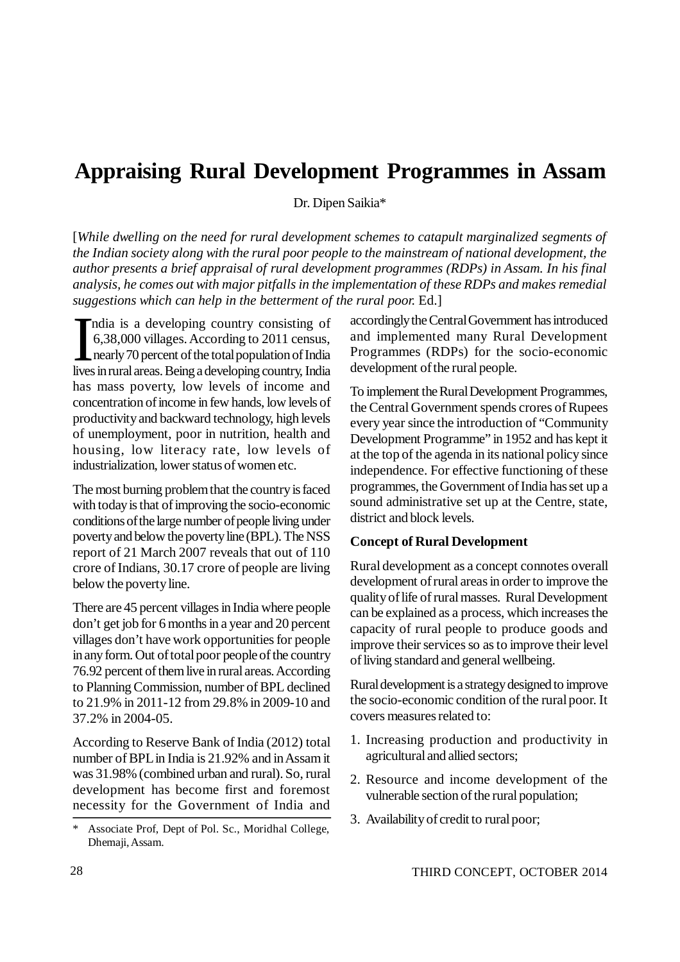## **Appraising Rural Development Programmes in Assam**

Dr. Dipen Saikia\*

[*While dwelling on the need for rural development schemes to catapult marginalized segments of the Indian society along with the rural poor people to the mainstream of national development, the author presents a brief appraisal of rural development programmes (RDPs) in Assam. In his final analysis, he comes out with major pitfalls in the implementation of these RDPs and makes remedial suggestions which can help in the betterment of the rural poor.* Ed.]

India is a developing country consisting of 6,38,000 villages. According to 2011 census, nearly 70 percent of the total population of India lives in rural areas. Being a developing country, India ndia is a developing country consisting of 6,38,000 villages. According to 2011 census, nearly 70 percent of the total population of India has mass poverty, low levels of income and concentration of income in few hands, low levels of productivity and backward technology, high levels of unemployment, poor in nutrition, health and housing, low literacy rate, low levels of industrialization, lower status of women etc.

The most burning problem that the country is faced with today is that of improving the socio-economic conditions of the large number of people living under poverty and below the poverty line (BPL). The NSS report of 21 March 2007 reveals that out of 110 crore of Indians, 30.17 crore of people are living below the poverty line.

There are 45 percent villages in India where people don't get job for 6 months in a year and 20 percent villages don't have work opportunities for people in any form. Out of total poor people of the country 76.92 percent of them live in rural areas. According to Planning Commission, number of BPL declined to 21.9% in 2011-12 from 29.8% in 2009-10 and 37.2% in 2004-05.

According to Reserve Bank of India (2012) total number of BPL in India is 21.92% and in Assam it was 31.98% (combined urban and rural). So, rural development has become first and foremost necessity for the Government of India and

accordingly the Central Government has introduced and implemented many Rural Development Programmes (RDPs) for the socio-economic development of the rural people.

To implement the Rural Development Programmes, the Central Government spends crores of Rupees every year since the introduction of "Community Development Programme" in 1952 and has kept it at the top of the agenda in its national policy since independence. For effective functioning of these programmes, the Government of India has set up a sound administrative set up at the Centre, state, district and block levels.

#### **Concept of Rural Development**

Rural development as a concept connotes overall development of rural areas in order to improve the quality of life of rural masses. Rural Development can be explained as a process, which increases the capacity of rural people to produce goods and improve their services so as to improve their level of living standard and general wellbeing.

Rural development is a strategy designed to improve the socio-economic condition of the rural poor. It covers measures related to:

- 1. Increasing production and productivity in agricultural and allied sectors;
- 2. Resource and income development of the vulnerable section of the rural population;
- 3. Availability of credit to rural poor;

Associate Prof, Dept of Pol. Sc., Moridhal College, Dhemaji, Assam.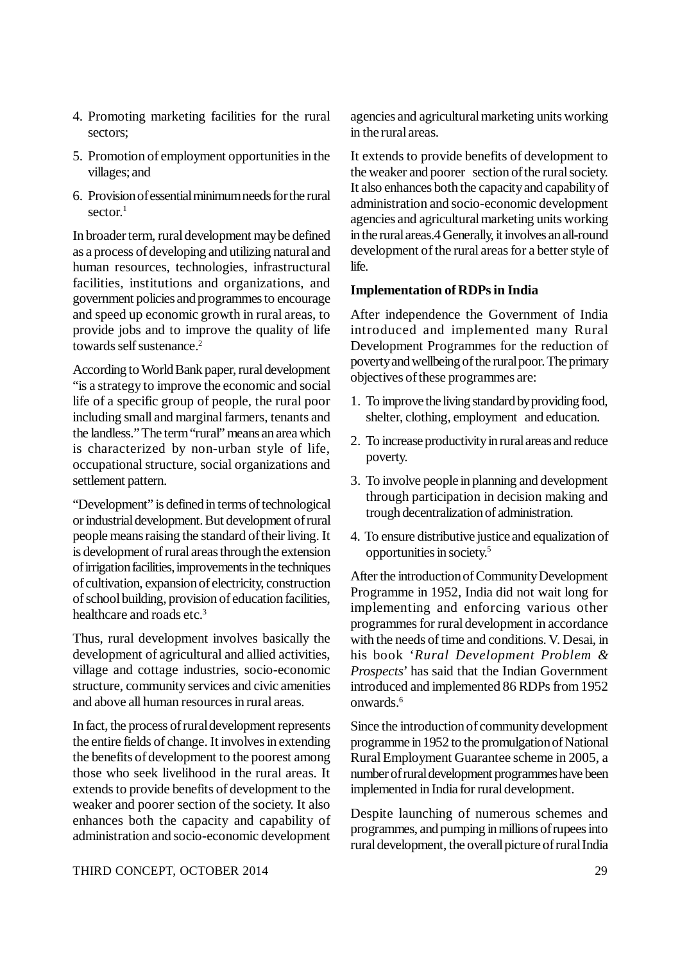- 4. Promoting marketing facilities for the rural sectors;
- 5. Promotion of employment opportunities in the villages; and
- 6. Provision of essential minimum needs for the rural sector $1$

In broader term, rural development may be defined as a process of developing and utilizing natural and human resources, technologies, infrastructural facilities, institutions and organizations, and government policies and programmes to encourage and speed up economic growth in rural areas, to provide jobs and to improve the quality of life towards self sustenance.<sup>2</sup>

According to World Bank paper, rural development "is a strategy to improve the economic and social life of a specific group of people, the rural poor including small and marginal farmers, tenants and the landless." The term "rural" means an area which is characterized by non-urban style of life, occupational structure, social organizations and settlement pattern.

"Development" is defined in terms of technological or industrial development. But development of rural people means raising the standard of their living. It is development of rural areas through the extension of irrigation facilities, improvements in the techniques of cultivation, expansion of electricity, construction of school building, provision of education facilities, healthcare and roads etc.<sup>3</sup>

Thus, rural development involves basically the development of agricultural and allied activities, village and cottage industries, socio-economic structure, community services and civic amenities and above all human resources in rural areas.

In fact, the process of rural development represents the entire fields of change. It involves in extending the benefits of development to the poorest among those who seek livelihood in the rural areas. It extends to provide benefits of development to the weaker and poorer section of the society. It also enhances both the capacity and capability of administration and socio-economic development agencies and agricultural marketing units working in the rural areas.

It extends to provide benefits of development to the weaker and poorer section of the rural society. It also enhances both the capacity and capability of administration and socio-economic development agencies and agricultural marketing units working in the rural areas.4 Generally, it involves an all-round development of the rural areas for a better style of life.

#### **Implementation of RDPs in India**

After independence the Government of India introduced and implemented many Rural Development Programmes for the reduction of poverty and wellbeing of the rural poor. The primary objectives of these programmes are:

- 1. To improve the living standard by providing food, shelter, clothing, employment and education.
- 2. To increase productivity in rural areas and reduce poverty.
- 3. To involve people in planning and development through participation in decision making and trough decentralization of administration.
- 4. To ensure distributive justice and equalization of opportunities in society.<sup>5</sup>

After the introduction of Community Development Programme in 1952, India did not wait long for implementing and enforcing various other programmes for rural development in accordance with the needs of time and conditions. V. Desai, in his book '*Rural Development Problem & Prospects*' has said that the Indian Government introduced and implemented 86 RDPs from 1952 onwards.<sup>6</sup>

Since the introduction of community development programme in 1952 to the promulgation of National Rural Employment Guarantee scheme in 2005, a number of rural development programmes have been implemented in India for rural development.

Despite launching of numerous schemes and programmes, and pumping in millions of rupees into rural development, the overall picture of rural India

#### THIRD CONCEPT, OCTOBER 2014 29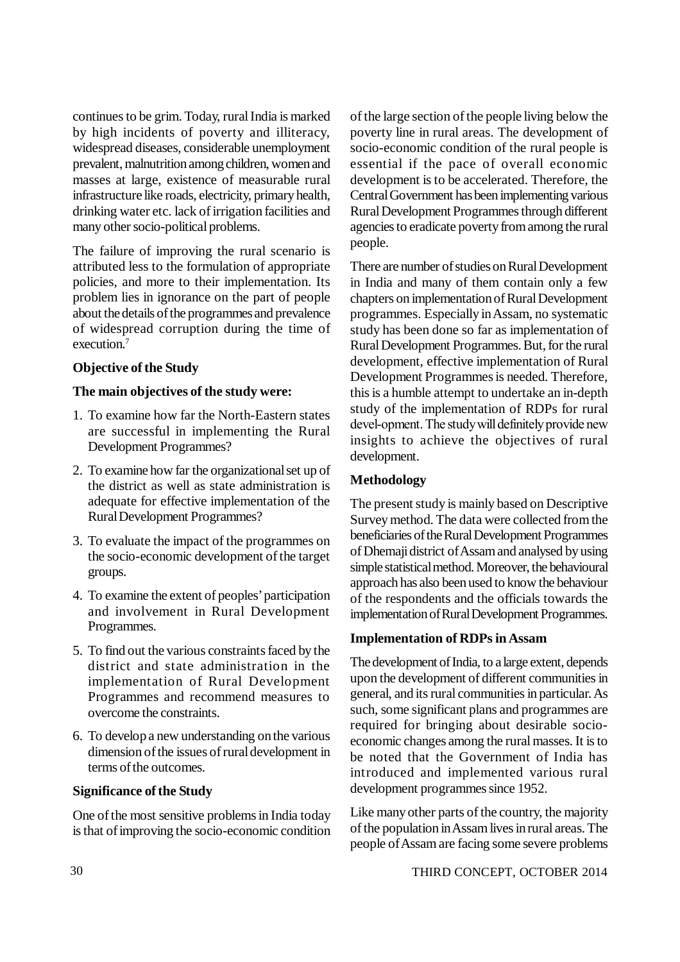continues to be grim. Today, rural India is marked by high incidents of poverty and illiteracy, widespread diseases, considerable unemployment prevalent, malnutrition among children, women and masses at large, existence of measurable rural infrastructure like roads, electricity, primary health, drinking water etc. lack of irrigation facilities and many other socio-political problems.

The failure of improving the rural scenario is attributed less to the formulation of appropriate policies, and more to their implementation. Its problem lies in ignorance on the part of people about the details of the programmes and prevalence of widespread corruption during the time of execution.<sup>7</sup>

### **Objective of the Study**

#### **The main objectives of the study were:**

- 1. To examine how far the North-Eastern states are successful in implementing the Rural Development Programmes?
- 2. To examine how far the organizational set up of the district as well as state administration is adequate for effective implementation of the Rural Development Programmes?
- 3. To evaluate the impact of the programmes on the socio-economic development of the target groups.
- 4. To examine the extent of peoples' participation and involvement in Rural Development Programmes.
- 5. To find out the various constraints faced by the district and state administration in the implementation of Rural Development Programmes and recommend measures to overcome the constraints.
- 6. To develop a new understanding on the various dimension of the issues of rural development in terms of the outcomes.

#### **Significance of the Study**

One of the most sensitive problems in India today is that of improving the socio-economic condition of the large section of the people living below the poverty line in rural areas. The development of socio-economic condition of the rural people is essential if the pace of overall economic development is to be accelerated. Therefore, the Central Government has been implementing various Rural Development Programmes through different agencies to eradicate poverty from among the rural people.

There are number of studies on Rural Development in India and many of them contain only a few chapters on implementation of Rural Development programmes. Especially in Assam, no systematic study has been done so far as implementation of Rural Development Programmes. But, for the rural development, effective implementation of Rural Development Programmes is needed. Therefore, this is a humble attempt to undertake an in-depth study of the implementation of RDPs for rural devel-opment. The study will definitely provide new insights to achieve the objectives of rural development.

#### **Methodology**

The present study is mainly based on Descriptive Survey method. The data were collected from the beneficiaries of the Rural Development Programmes of Dhemaji district of Assam and analysed by using simple statistical method. Moreover, the behavioural approach has also been used to know the behaviour of the respondents and the officials towards the implementation of Rural Development Programmes.

#### **Implementation of RDPs in Assam**

The development of India, to a large extent, depends upon the development of different communities in general, and its rural communities in particular. As such, some significant plans and programmes are required for bringing about desirable socioeconomic changes among the rural masses. It is to be noted that the Government of India has introduced and implemented various rural development programmes since 1952.

Like many other parts of the country, the majority of the population in Assam lives in rural areas. The people of Assam are facing some severe problems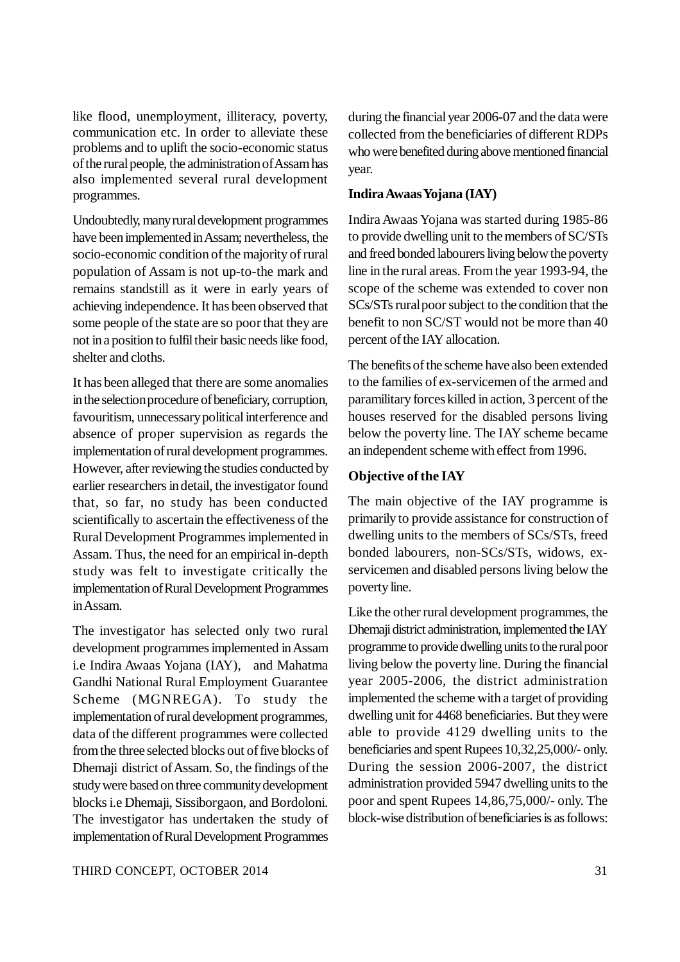like flood, unemployment, illiteracy, poverty, communication etc. In order to alleviate these problems and to uplift the socio-economic status of the rural people, the administration of Assam has also implemented several rural development programmes.

Undoubtedly, many rural development programmes have been implemented in Assam; nevertheless, the socio-economic condition of the majority of rural population of Assam is not up-to-the mark and remains standstill as it were in early years of achieving independence. It has been observed that some people of the state are so poor that they are not in a position to fulfil their basic needs like food, shelter and cloths.

It has been alleged that there are some anomalies in the selection procedure of beneficiary, corruption, favouritism, unnecessary political interference and absence of proper supervision as regards the implementation of rural development programmes. However, after reviewing the studies conducted by earlier researchers in detail, the investigator found that, so far, no study has been conducted scientifically to ascertain the effectiveness of the Rural Development Programmes implemented in Assam. Thus, the need for an empirical in-depth study was felt to investigate critically the implementation of Rural Development Programmes in Assam.

The investigator has selected only two rural development programmes implemented in Assam i.e Indira Awaas Yojana (IAY), and Mahatma Gandhi National Rural Employment Guarantee Scheme (MGNREGA). To study the implementation of rural development programmes, data of the different programmes were collected from the three selected blocks out of five blocks of Dhemaji district of Assam. So, the findings of the study were based on three community development blocks i.e Dhemaji, Sissiborgaon, and Bordoloni. The investigator has undertaken the study of implementation of Rural Development Programmes

during the financial year 2006-07 and the data were collected from the beneficiaries of different RDPs who were benefited during above mentioned financial year.

#### **Indira Awaas Yojana (IAY)**

Indira Awaas Yojana was started during 1985-86 to provide dwelling unit to the members of SC/STs and freed bonded labourers living below the poverty line in the rural areas. From the year 1993-94, the scope of the scheme was extended to cover non SCs/STs rural poor subject to the condition that the benefit to non SC/ST would not be more than 40 percent of the IAY allocation.

The benefits of the scheme have also been extended to the families of ex-servicemen of the armed and paramilitary forces killed in action, 3 percent of the houses reserved for the disabled persons living below the poverty line. The IAY scheme became an independent scheme with effect from 1996.

### **Objective of the IAY**

The main objective of the IAY programme is primarily to provide assistance for construction of dwelling units to the members of SCs/STs, freed bonded labourers, non-SCs/STs, widows, exservicemen and disabled persons living below the poverty line.

Like the other rural development programmes, the Dhemaji district administration, implemented the IAY programme to provide dwelling units to the rural poor living below the poverty line. During the financial year 2005-2006, the district administration implemented the scheme with a target of providing dwelling unit for 4468 beneficiaries. But they were able to provide 4129 dwelling units to the beneficiaries and spent Rupees 10,32,25,000/- only. During the session 2006-2007, the district administration provided 5947 dwelling units to the poor and spent Rupees 14,86,75,000/- only. The block-wise distribution of beneficiaries is as follows: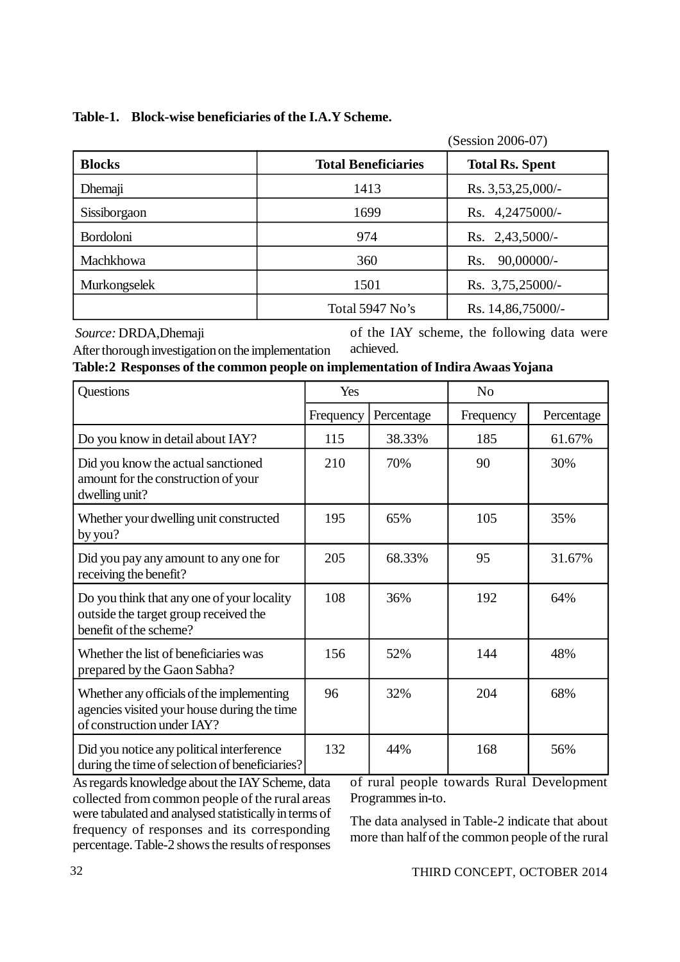### **Table-1. Block-wise beneficiaries of the I.A.Y Scheme.**

|               |                            | (Session 2006-07)      |
|---------------|----------------------------|------------------------|
| <b>Blocks</b> | <b>Total Beneficiaries</b> | <b>Total Rs. Spent</b> |
| Dhemaji       | 1413                       | Rs. 3,53,25,000/-      |
| Sissiborgaon  | 1699                       | Rs. 4,2475000/-        |
| Bordoloni     | 974                        | Rs. 2,43,5000/-        |
| Machkhowa     | 360                        | 90,00000/-<br>Rs.      |
| Murkongselek  | 1501                       | Rs. 3,75,25000/-       |
|               | Total 5947 No's            | Rs. 14,86,75000/-      |

 *Source:* DRDA,Dhemaji

After thorough investigation on the implementation

of the IAY scheme, the following data were achieved.

### **Table:2 Responses of the common people on implementation of Indira Awaas Yojana**

| Questions                                                                                                              | Yes       |            | N <sub>0</sub> |            |
|------------------------------------------------------------------------------------------------------------------------|-----------|------------|----------------|------------|
|                                                                                                                        | Frequency | Percentage | Frequency      | Percentage |
| Do you know in detail about IAY?                                                                                       | 115       | 38.33%     | 185            | 61.67%     |
| Did you know the actual sanctioned<br>amount for the construction of your<br>dwelling unit?                            | 210       | 70%        | 90             | 30%        |
| Whether your dwelling unit constructed<br>by you?                                                                      | 195       | 65%        | 105            | 35%        |
| Did you pay any amount to any one for<br>receiving the benefit?                                                        | 205       | 68.33%     | 95             | 31.67%     |
| Do you think that any one of your locality<br>outside the target group received the<br>benefit of the scheme?          | 108       | 36%        | 192            | 64%        |
| Whether the list of beneficiaries was<br>prepared by the Gaon Sabha?                                                   | 156       | 52%        | 144            | 48%        |
| Whether any officials of the implementing<br>agencies visited your house during the time<br>of construction under IAY? | 96        | 32%        | 204            | 68%        |
| Did you notice any political interference<br>during the time of selection of beneficiaries?                            | 132       | 44%        | 168            | 56%        |

As regards knowledge about the IAY Scheme, data collected from common people of the rural areas were tabulated and analysed statistically in terms of frequency of responses and its corresponding percentage. Table-2 shows the results of responses

of rural people towards Rural Development Programmes in-to.

The data analysed in Table-2 indicate that about more than half of the common people of the rural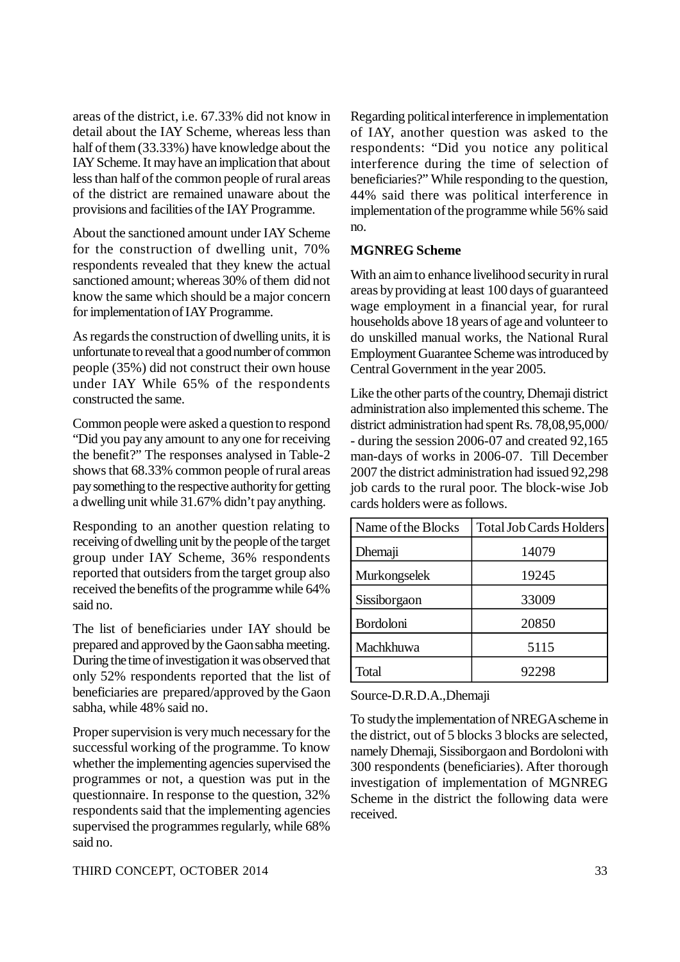areas of the district, i.e. 67.33% did not know in detail about the IAY Scheme, whereas less than half of them (33.33%) have knowledge about the IAY Scheme. It may have an implication that about less than half of the common people of rural areas of the district are remained unaware about the provisions and facilities of the IAY Programme.

About the sanctioned amount under IAY Scheme for the construction of dwelling unit, 70% respondents revealed that they knew the actual sanctioned amount; whereas 30% of them did not know the same which should be a major concern for implementation of IAY Programme.

As regards the construction of dwelling units, it is unfortunate to reveal that a good number of common people (35%) did not construct their own house under IAY While 65% of the respondents constructed the same.

Common people were asked a question to respond "Did you pay any amount to any one for receiving the benefit?" The responses analysed in Table-2 shows that 68.33% common people of rural areas pay something to the respective authority for getting a dwelling unit while 31.67% didn't pay anything.

Responding to an another question relating to receiving of dwelling unit by the people of the target group under IAY Scheme, 36% respondents reported that outsiders from the target group also received the benefits of the programme while 64% said no.

The list of beneficiaries under IAY should be prepared and approved by the Gaon sabha meeting. During the time of investigation it was observed that only 52% respondents reported that the list of beneficiaries are prepared/approved by the Gaon sabha, while 48% said no.

Proper supervision is very much necessary for the successful working of the programme. To know whether the implementing agencies supervised the programmes or not, a question was put in the questionnaire. In response to the question, 32% respondents said that the implementing agencies supervised the programmes regularly, while 68% said no.

Regarding political interference in implementation of IAY, another question was asked to the respondents: "Did you notice any political interference during the time of selection of beneficiaries?" While responding to the question, 44% said there was political interference in implementation of the programme while 56% said no.

#### **MGNREG Scheme**

With an aim to enhance livelihood security in rural areas by providing at least 100 days of guaranteed wage employment in a financial year, for rural households above 18 years of age and volunteer to do unskilled manual works, the National Rural Employment Guarantee Scheme was introduced by Central Government in the year 2005.

Like the other parts of the country, Dhemaji district administration also implemented this scheme. The district administration had spent Rs. 78,08,95,000/ - during the session 2006-07 and created 92,165 man-days of works in 2006-07. Till December 2007 the district administration had issued 92,298 job cards to the rural poor. The block-wise Job cards holders were as follows.

| Name of the Blocks | <b>Total Job Cards Holders</b> |
|--------------------|--------------------------------|
| Dhemaji            | 14079                          |
| Murkongselek       | 19245                          |
| Sissiborgaon       | 33009                          |
| <b>Bordoloni</b>   | 20850                          |
| Machkhuwa          | 5115                           |
| Total              | 92298                          |

#### Source-D.R.D.A.,Dhemaji

To study the implementation of NREGA scheme in the district, out of 5 blocks 3 blocks are selected, namely Dhemaji, Sissiborgaon and Bordoloni with 300 respondents (beneficiaries). After thorough investigation of implementation of MGNREG Scheme in the district the following data were received.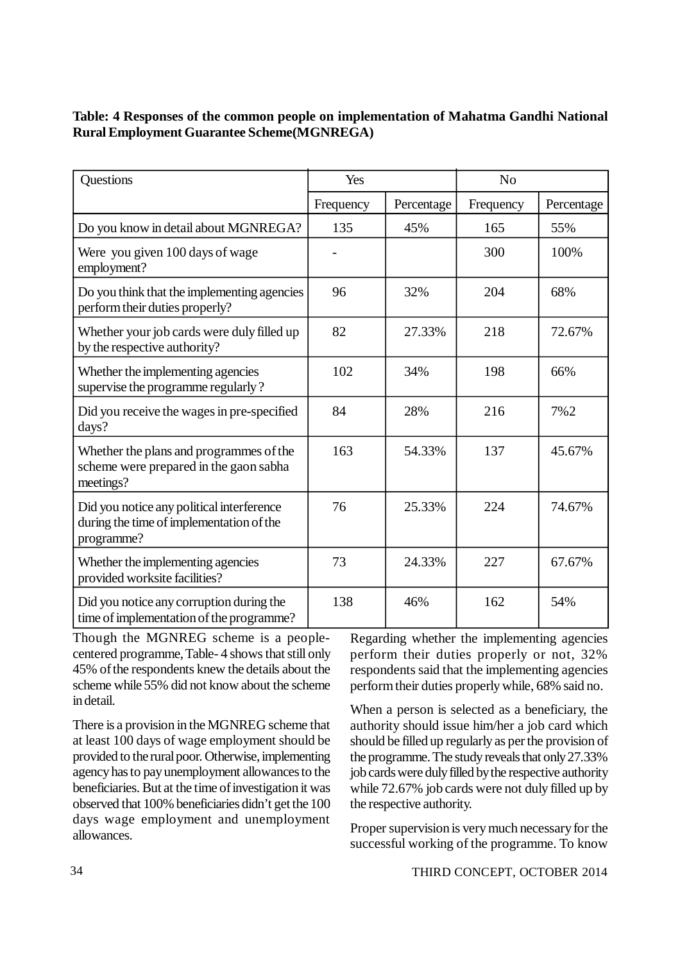## **Table: 4 Responses of the common people on implementation of Mahatma Gandhi National Rural Employment Guarantee Scheme(MGNREGA)**

| Questions                                                                                           | Yes       |            | N <sub>0</sub> |            |
|-----------------------------------------------------------------------------------------------------|-----------|------------|----------------|------------|
|                                                                                                     | Frequency | Percentage | Frequency      | Percentage |
| Do you know in detail about MGNREGA?                                                                | 135       | 45%        | 165            | 55%        |
| Were you given 100 days of wage<br>employment?                                                      |           |            | 300            | 100%       |
| Do you think that the implementing agencies<br>perform their duties properly?                       | 96        | 32%        | 204            | 68%        |
| Whether your job cards were duly filled up<br>by the respective authority?                          | 82        | 27.33%     | 218            | 72.67%     |
| Whether the implementing agencies<br>supervise the programme regularly?                             | 102       | 34%        | 198            | 66%        |
| Did you receive the wages in pre-specified<br>days?                                                 | 84        | 28%        | 216            | 7%2        |
| Whether the plans and programmes of the<br>scheme were prepared in the gaon sabha<br>meetings?      | 163       | 54.33%     | 137            | 45.67%     |
| Did you notice any political interference<br>during the time of implementation of the<br>programme? | 76        | 25.33%     | 224            | 74.67%     |
| Whether the implementing agencies<br>provided worksite facilities?                                  | 73        | 24.33%     | 227            | 67.67%     |
| Did you notice any corruption during the<br>time of implementation of the programme?                | 138       | 46%        | 162            | 54%        |

Though the MGNREG scheme is a peoplecentered programme, Table- 4 shows that still only 45% of the respondents knew the details about the scheme while 55% did not know about the scheme in detail.

There is a provision in the MGNREG scheme that at least 100 days of wage employment should be provided to the rural poor. Otherwise, implementing agency has to pay unemployment allowances to the beneficiaries. But at the time of investigation it was observed that 100% beneficiaries didn't get the 100 days wage employment and unemployment allowances.

Regarding whether the implementing agencies perform their duties properly or not, 32% respondents said that the implementing agencies perform their duties properly while, 68% said no.

When a person is selected as a beneficiary, the authority should issue him/her a job card which should be filled up regularly as per the provision of the programme. The study reveals that only 27.33% job cards were duly filled by the respective authority while 72.67% job cards were not duly filled up by the respective authority.

Proper supervision is very much necessary for the successful working of the programme. To know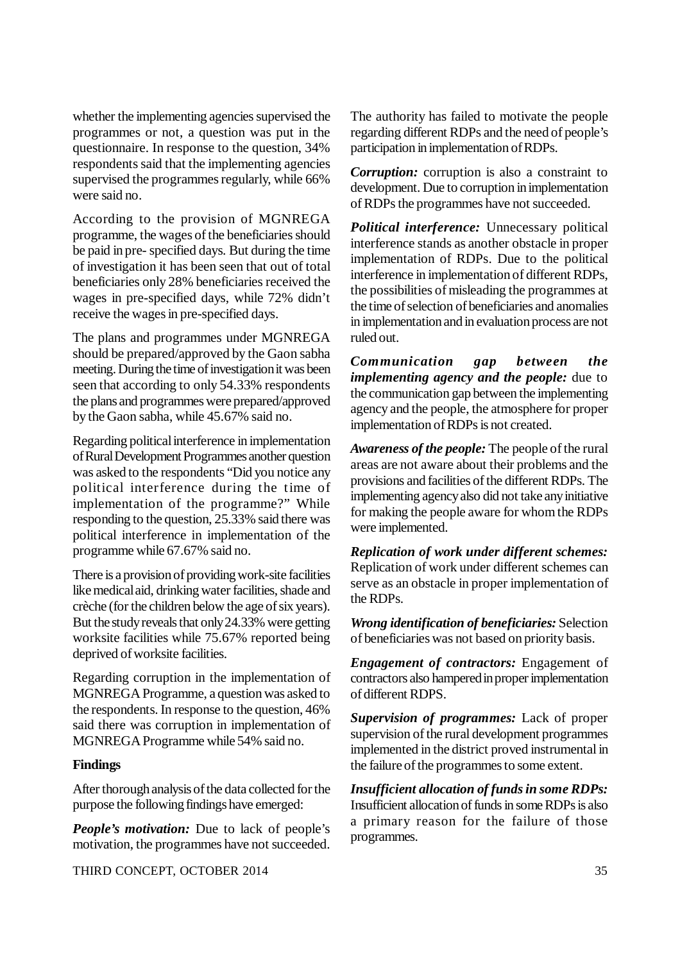whether the implementing agencies supervised the programmes or not, a question was put in the questionnaire. In response to the question, 34% respondents said that the implementing agencies supervised the programmes regularly, while 66% were said no.

According to the provision of MGNREGA programme, the wages of the beneficiaries should be paid in pre- specified days. But during the time of investigation it has been seen that out of total beneficiaries only 28% beneficiaries received the wages in pre-specified days, while 72% didn't receive the wages in pre-specified days.

The plans and programmes under MGNREGA should be prepared/approved by the Gaon sabha meeting. During the time of investigation it was been seen that according to only 54.33% respondents the plans and programmes were prepared/approved by the Gaon sabha, while 45.67% said no.

Regarding political interference in implementation of Rural Development Programmes another question was asked to the respondents "Did you notice any political interference during the time of implementation of the programme?" While responding to the question, 25.33% said there was political interference in implementation of the programme while 67.67% said no.

There is a provision of providing work-site facilities like medical aid, drinking water facilities, shade and crèche (for the children below the age of six years). But the study reveals that only 24.33% were getting worksite facilities while 75.67% reported being deprived of worksite facilities.

Regarding corruption in the implementation of MGNREGA Programme, a question was asked to the respondents. In response to the question, 46% said there was corruption in implementation of MGNREGA Programme while 54% said no.

#### **Findings**

After thorough analysis of the data collected for the purpose the following findings have emerged:

*People's motivation:* Due to lack of people's motivation, the programmes have not succeeded.

THIRD CONCEPT, OCTOBER 2014 35

The authority has failed to motivate the people regarding different RDPs and the need of people's participation in implementation of RDPs.

*Corruption:* corruption is also a constraint to development. Due to corruption in implementation of RDPs the programmes have not succeeded.

*Political interference:* Unnecessary political interference stands as another obstacle in proper implementation of RDPs. Due to the political interference in implementation of different RDPs, the possibilities of misleading the programmes at the time of selection of beneficiaries and anomalies in implementation and in evaluation process are not ruled out.

*Communication gap between the implementing agency and the people:* due to the communication gap between the implementing agency and the people, the atmosphere for proper implementation of RDPs is not created.

*Awareness of the people:* The people of the rural areas are not aware about their problems and the provisions and facilities of the different RDPs. The implementing agency also did not take any initiative for making the people aware for whom the RDPs were implemented.

*Replication of work under different schemes:* Replication of work under different schemes can serve as an obstacle in proper implementation of the RDPs.

*Wrong identification of beneficiaries:* Selection of beneficiaries was not based on priority basis.

*Engagement of contractors:* Engagement of contractors also hampered in proper implementation of different RDPS.

*Supervision of programmes:* Lack of proper supervision of the rural development programmes implemented in the district proved instrumental in the failure of the programmes to some extent.

*Insufficient allocation of funds in some RDPs:* Insufficient allocation of funds in some RDPs is also a primary reason for the failure of those programmes.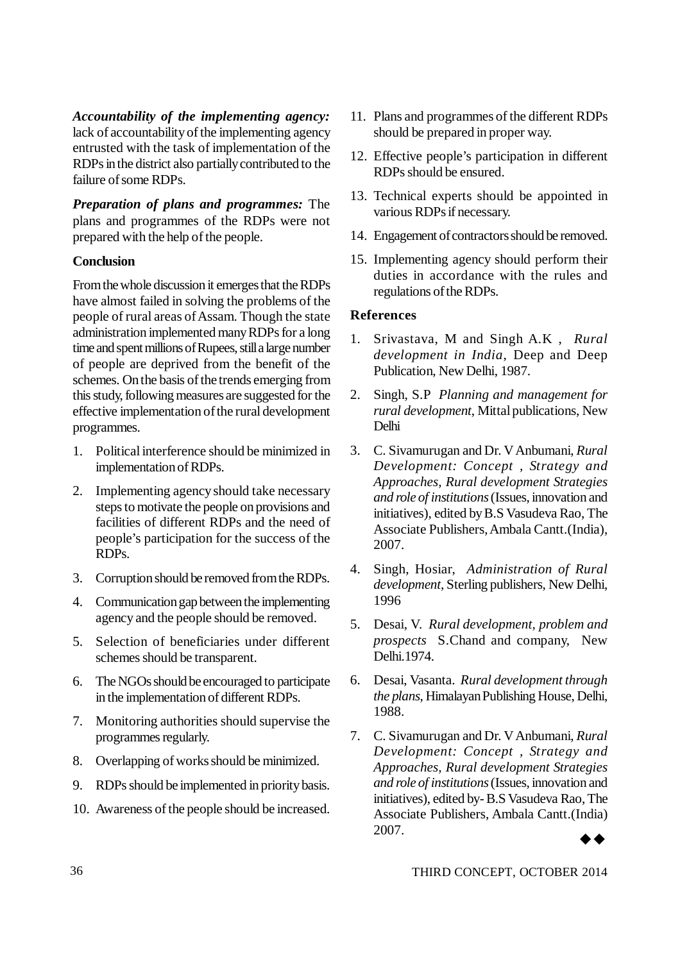*Accountability of the implementing agency:* lack of accountability of the implementing agency entrusted with the task of implementation of the RDPs in the district also partially contributed to the failure of some RDPs.

*Preparation of plans and programmes:* The plans and programmes of the RDPs were not prepared with the help of the people.

### **Conclusion**

From the whole discussion it emerges that the RDPs have almost failed in solving the problems of the people of rural areas of Assam. Though the state administration implemented many RDPs for a long time and spent millions of Rupees, still a large number of people are deprived from the benefit of the schemes. On the basis of the trends emerging from this study, following measures are suggested for the effective implementation of the rural development programmes.

- 1. Political interference should be minimized in implementation of RDPs.
- 2. Implementing agency should take necessary steps to motivate the people on provisions and facilities of different RDPs and the need of people's participation for the success of the RDPs.
- 3. Corruption should be removed from the RDPs.
- 4. Communication gap between the implementing agency and the people should be removed.
- 5. Selection of beneficiaries under different schemes should be transparent.
- 6. The NGOs should be encouraged to participate in the implementation of different RDPs.
- 7. Monitoring authorities should supervise the programmes regularly.
- 8. Overlapping of works should be minimized.
- 9. RDPs should be implemented in priority basis.
- 10. Awareness of the people should be increased.
- 11. Plans and programmes of the different RDPs should be prepared in proper way.
- 12. Effective people's participation in different RDPs should be ensured.
- 13. Technical experts should be appointed in various RDPs if necessary.
- 14. Engagement of contractors should be removed.
- 15. Implementing agency should perform their duties in accordance with the rules and regulations of the RDPs.

### **References**

- 1. Srivastava, M and Singh A.K , *Rural development in India*, Deep and Deep Publication, New Delhi, 1987.
- 2. Singh, S.P *Planning and management for rural development*, Mittal publications, New Delhi
- 3. C. Sivamurugan and Dr. V Anbumani, *Rural Development: Concept , Strategy and Approaches, Rural development Strategies and role of institutions* (Issues, innovation and initiatives), edited by B.S Vasudeva Rao, The Associate Publishers, Ambala Cantt.(India), 2007.
- 4. Singh, Hosiar, *Administration of Rural development,* Sterling publishers, New Delhi, 1996
- 5. Desai, V. *Rural development, problem and prospects* S.Chand and company, New Delhi.1974.
- 6. Desai, Vasanta. *Rural development through the plans*, Himalayan Publishing House, Delhi, 1988.
- 7. C. Sivamurugan and Dr. V Anbumani, *Rural Development: Concept , Strategy and Approaches, Rural development Strategies and role of institutions* (Issues, innovation and initiatives), edited by- B.S Vasudeva Rao, The Associate Publishers, Ambala Cantt.(India) 2007.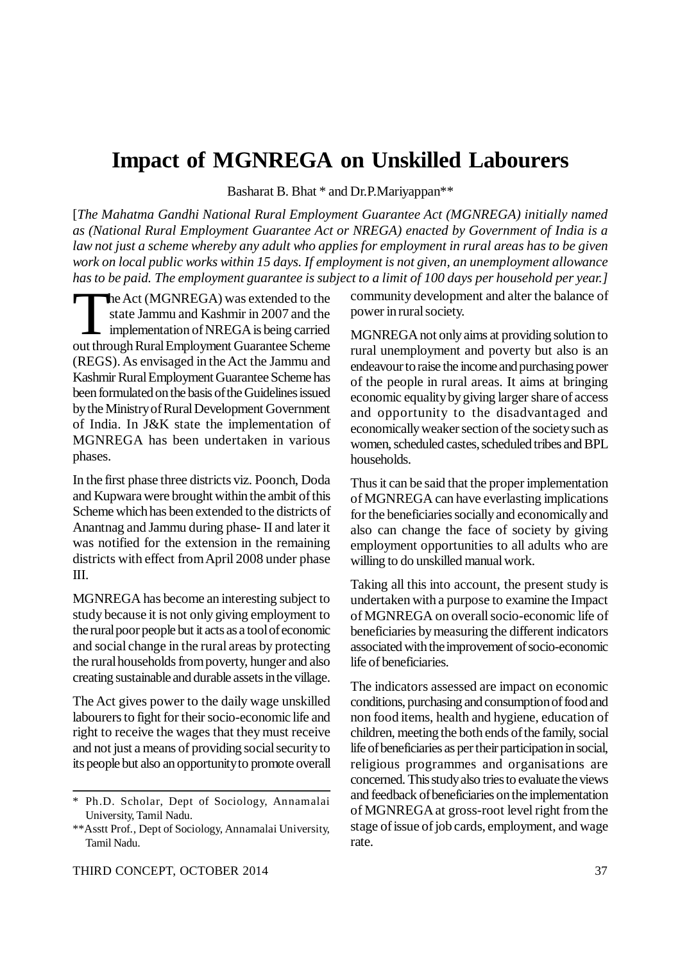## **Impact of MGNREGA on Unskilled Labourers**

Basharat B. Bhat \* and Dr.P.Mariyappan\*\*

[*The Mahatma Gandhi National Rural Employment Guarantee Act (MGNREGA) initially named as (National Rural Employment Guarantee Act or NREGA) enacted by Government of India is a law not just a scheme whereby any adult who applies for employment in rural areas has to be given work on local public works within 15 days. If employment is not given, an unemployment allowance has to be paid. The employment guarantee is subject to a limit of 100 days per household per year.]*

The Act (MGNREGA) was extended to the<br>state Jammu and Kashmir in 2007 and the<br>implementation of NREGA is being carried<br>out through Rural Employment Guarantee Scheme **he Act (MGNREGA)** was extended to the state Jammu and Kashmir in 2007 and the  $L$  implementation of NREGA is being carried (REGS). As envisaged in the Act the Jammu and Kashmir Rural Employment Guarantee Scheme has been formulated on the basis of the Guidelines issued by the Ministry of Rural Development Government of India. In J&K state the implementation of MGNREGA has been undertaken in various phases.

In the first phase three districts viz. Poonch, Doda and Kupwara were brought within the ambit of this Scheme which has been extended to the districts of Anantnag and Jammu during phase- II and later it was notified for the extension in the remaining districts with effect from April 2008 under phase III.

MGNREGA has become an interesting subject to study because it is not only giving employment to the rural poor people but it acts as a tool of economic and social change in the rural areas by protecting the rural households from poverty, hunger and also creating sustainable and durable assets in the village.

The Act gives power to the daily wage unskilled labourers to fight for their socio-economic life and right to receive the wages that they must receive and not just a means of providing social security to its people but also an opportunity to promote overall

community development and alter the balance of power in rural society.

MGNREGA not only aims at providing solution to rural unemployment and poverty but also is an endeavour to raise the income and purchasing power of the people in rural areas. It aims at bringing economic equality by giving larger share of access and opportunity to the disadvantaged and economically weaker section of the society such as women, scheduled castes, scheduled tribes and BPL households.

Thus it can be said that the proper implementation of MGNREGA can have everlasting implications for the beneficiaries socially and economically and also can change the face of society by giving employment opportunities to all adults who are willing to do unskilled manual work.

Taking all this into account, the present study is undertaken with a purpose to examine the Impact of MGNREGA on overall socio-economic life of beneficiaries by measuring the different indicators associated with the improvement of socio-economic life of beneficiaries.

The indicators assessed are impact on economic conditions, purchasing and consumption of food and non food items, health and hygiene, education of children, meeting the both ends of the family, social life of beneficiaries as per their participation in social, religious programmes and organisations are concerned. This study also tries to evaluate the views and feedback of beneficiaries on the implementation of MGNREGA at gross-root level right from the stage of issue of job cards, employment, and wage rate.

<sup>\*</sup> Ph.D. Scholar, Dept of Sociology, Annamalai University, Tamil Nadu.

<sup>\*\*</sup>Asstt Prof., Dept of Sociology, Annamalai University, Tamil Nadu.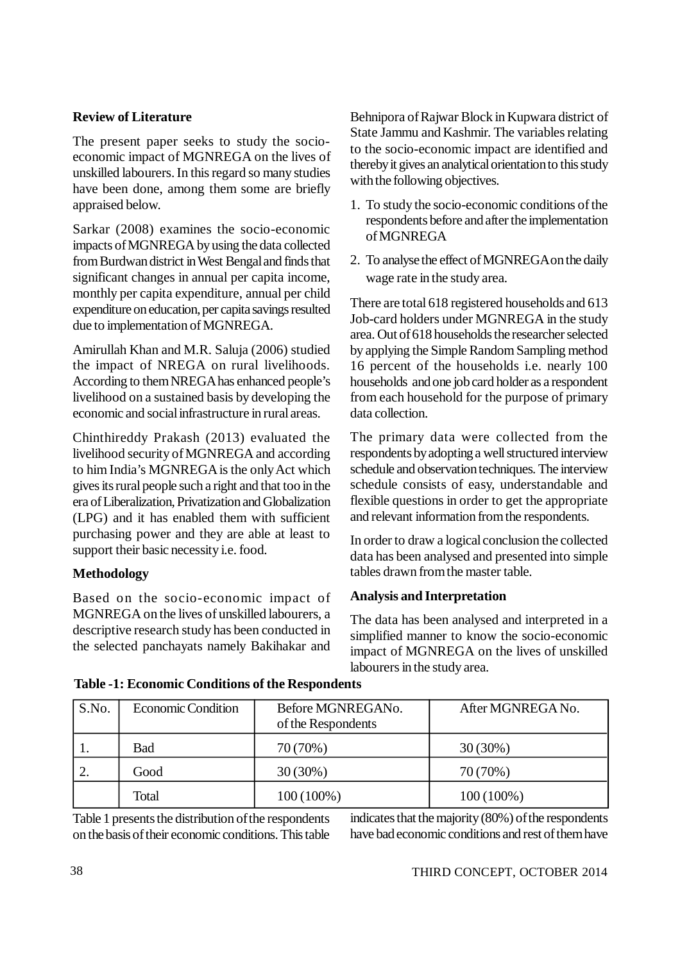### **Review of Literature**

The present paper seeks to study the socioeconomic impact of MGNREGA on the lives of unskilled labourers. In this regard so many studies have been done, among them some are briefly appraised below.

Sarkar (2008) examines the socio-economic impacts of MGNREGA by using the data collected from Burdwan district in West Bengal and finds that significant changes in annual per capita income, monthly per capita expenditure, annual per child expenditure on education, per capita savings resulted due to implementation of MGNREGA.

Amirullah Khan and M.R. Saluja (2006) studied the impact of NREGA on rural livelihoods. According to them NREGA has enhanced people's livelihood on a sustained basis by developing the economic and social infrastructure in rural areas.

Chinthireddy Prakash (2013) evaluated the livelihood security of MGNREGA and according to him India's MGNREGA is the only Act which gives its rural people such a right and that too in the era of Liberalization, Privatization and Globalization (LPG) and it has enabled them with sufficient purchasing power and they are able at least to support their basic necessity i.e. food.

## **Methodology**

Based on the socio-economic impact of MGNREGA on the lives of unskilled labourers, a descriptive research study has been conducted in the selected panchayats namely Bakihakar and Behnipora of Rajwar Block in Kupwara district of State Jammu and Kashmir. The variables relating to the socio-economic impact are identified and thereby it gives an analytical orientation to this study with the following objectives.

- 1. To study the socio-economic conditions of the respondents before and after the implementation of MGNREGA
- 2. To analyse the effect of MGNREGA on the daily wage rate in the study area.

There are total 618 registered households and 613 Job-card holders under MGNREGA in the study area. Out of 618 households the researcher selected by applying the Simple Random Sampling method 16 percent of the households i.e. nearly 100 households and one job card holder as a respondent from each household for the purpose of primary data collection.

The primary data were collected from the respondents by adopting a well structured interview schedule and observation techniques. The interview schedule consists of easy, understandable and flexible questions in order to get the appropriate and relevant information from the respondents.

In order to draw a logical conclusion the collected data has been analysed and presented into simple tables drawn from the master table.

## **Analysis and Interpretation**

The data has been analysed and interpreted in a simplified manner to know the socio-economic impact of MGNREGA on the lives of unskilled labourers in the study area.

| S.No. | <b>Economic Condition</b> | Before MGNREGANo.<br>of the Respondents | After MGNREGA No. |
|-------|---------------------------|-----------------------------------------|-------------------|
|       | Bad                       | 70 (70%)                                | $30(30\%)$        |
|       | Good                      | $30(30\%)$                              | 70 (70%)          |
|       | Total                     | $100(100\%)$                            | $100(100\%)$      |

**Table -1: Economic Conditions of the Respondents**

Table 1 presents the distribution of the respondents on the basis of their economic conditions. This table indicates that the majority (80%) of the respondents have bad economic conditions and rest of them have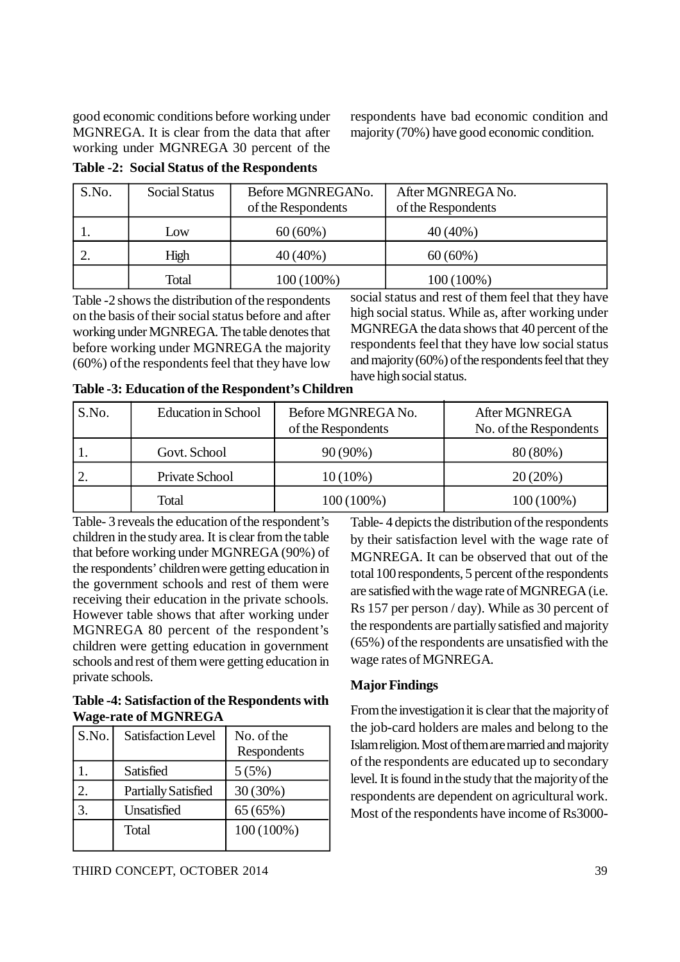good economic conditions before working under MGNREGA. It is clear from the data that after working under MGNREGA 30 percent of the

**Table -2: Social Status of the Respondents**

S.No. Social Status Before MGNREGANo. After MGNREGA No. of the Respondents of the Respondents 1.  $\text{Low}$  60 (60%)  $40 (40\%)$ 2.  $\left| \right|$  High  $40 (40\%)$   $60 (60\%)$ Total 100 (100%) 100 (100%)

Table -2 shows the distribution of the respondents on the basis of their social status before and after working under MGNREGA. The table denotes that before working under MGNREGA the majority (60%) of the respondents feel that they have low

social status and rest of them feel that they have high social status. While as, after working under MGNREGA the data shows that 40 percent of the respondents feel that they have low social status and majority (60%) of the respondents feel that they have high social status.

respondents have bad economic condition and majority (70%) have good economic condition.

|  | Table -3: Education of the Respondent's Children |  |  |  |
|--|--------------------------------------------------|--|--|--|
|--|--------------------------------------------------|--|--|--|

| S.No. | <b>Education in School</b> | Before MGNREGA No.<br>of the Respondents | <b>After MGNREGA</b><br>No. of the Respondents |
|-------|----------------------------|------------------------------------------|------------------------------------------------|
|       | Govt. School               | $90(90\%)$                               | 80 (80%)                                       |
|       | Private School             | $10(10\%)$                               | $20(20\%)$                                     |
|       | Total                      | $100(100\%)$                             | $100(100\%)$                                   |

Table- 3 reveals the education of the respondent's children in the study area. It is clear from the table that before working under MGNREGA (90%) of the respondents' children were getting education in the government schools and rest of them were receiving their education in the private schools. However table shows that after working under MGNREGA 80 percent of the respondent's children were getting education in government schools and rest of them were getting education in private schools.

**Table -4: Satisfaction of the Respondents with Wage-rate of MGNREGA**

| S.No. | <b>Satisfaction Level</b>  | No. of the<br>Respondents |
|-------|----------------------------|---------------------------|
|       | Satisfied                  | 5(5%)                     |
|       | <b>Partially Satisfied</b> | $30(30\%)$                |
|       | Unsatisfied                | 65 (65%)                  |
|       | Total                      | 100 (100%)                |

Table- 4 depicts the distribution of the respondents by their satisfaction level with the wage rate of MGNREGA. It can be observed that out of the total 100 respondents, 5 percent of the respondents are satisfied with the wage rate of MGNREGA (i.e. Rs 157 per person / day). While as 30 percent of the respondents are partially satisfied and majority (65%) of the respondents are unsatisfied with the wage rates of MGNREGA.

#### **Major Findings**

From the investigation it is clear that the majority of the job-card holders are males and belong to the Islam religion. Most of them are married and majority of the respondents are educated up to secondary level. It is found in the study that the majority of the respondents are dependent on agricultural work. Most of the respondents have income of Rs3000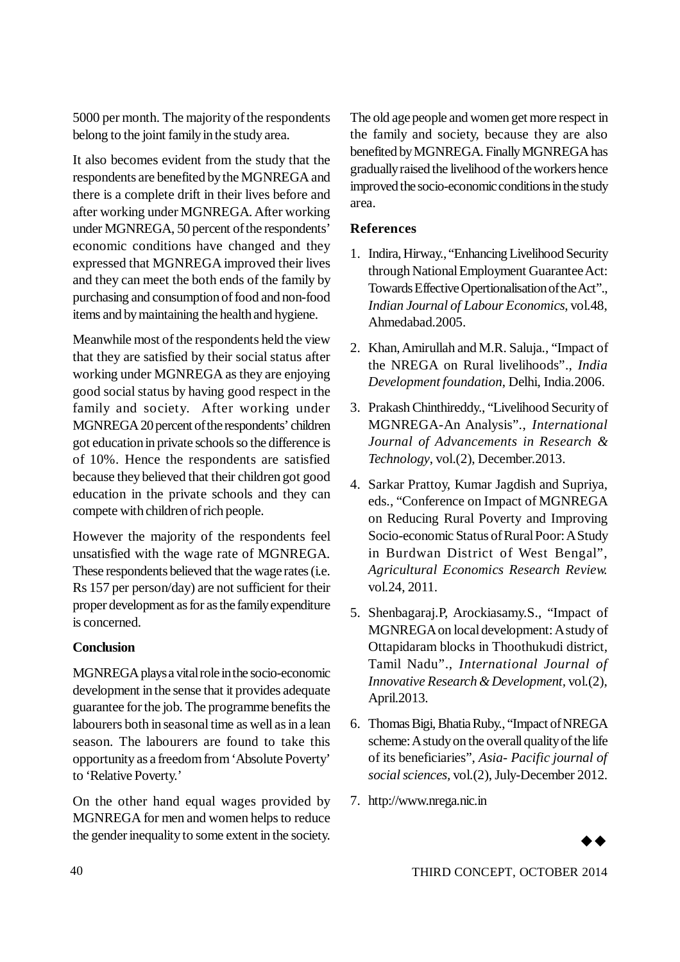5000 per month. The majority of the respondents belong to the joint family in the study area.

It also becomes evident from the study that the respondents are benefited by the MGNREGA and there is a complete drift in their lives before and after working under MGNREGA. After working under MGNREGA, 50 percent of the respondents' economic conditions have changed and they expressed that MGNREGA improved their lives and they can meet the both ends of the family by purchasing and consumption of food and non-food items and by maintaining the health and hygiene.

Meanwhile most of the respondents held the view that they are satisfied by their social status after working under MGNREGA as they are enjoying good social status by having good respect in the family and society. After working under MGNREGA 20 percent of the respondents' children got education in private schools so the difference is of 10%. Hence the respondents are satisfied because they believed that their children got good education in the private schools and they can compete with children of rich people.

However the majority of the respondents feel unsatisfied with the wage rate of MGNREGA. These respondents believed that the wage rates (i.e. Rs 157 per person/day) are not sufficient for their proper development as for as the family expenditure is concerned.

## **Conclusion**

MGNREGA plays a vital role in the socio-economic development in the sense that it provides adequate guarantee for the job. The programme benefits the labourers both in seasonal time as well as in a lean season. The labourers are found to take this opportunity as a freedom from 'Absolute Poverty' to 'Relative Poverty.'

On the other hand equal wages provided by MGNREGA for men and women helps to reduce the gender inequality to some extent in the society.

The old age people and women get more respect in the family and society, because they are also benefited by MGNREGA. Finally MGNREGA has gradually raised the livelihood of the workers hence improved the socio-economic conditions in the study area.

## **References**

- 1. Indira, Hirway., "Enhancing Livelihood Security through National Employment Guarantee Act: Towards Effective Opertionalisation of the Act"., *Indian Journal of Labour Economics*, vol.48, Ahmedabad.2005.
- 2. Khan, Amirullah and M.R. Saluja., "Impact of the NREGA on Rural livelihoods"., *India Development foundation*, Delhi, India.2006.
- 3. Prakash Chinthireddy., "Livelihood Security of MGNREGA-An Analysis"., *International Journal of Advancements in Research & Technology*, vol.(2), December.2013.
- 4. Sarkar Prattoy, Kumar Jagdish and Supriya, eds., "Conference on Impact of MGNREGA on Reducing Rural Poverty and Improving Socio-economic Status of Rural Poor: A Study in Burdwan District of West Bengal", *Agricultural Economics Research Review.* vol.24, 2011.
- 5. Shenbagaraj.P, Arockiasamy.S., "Impact of MGNREGA on local development: A study of Ottapidaram blocks in Thoothukudi district, Tamil Nadu"., *International Journal of Innovative Research & Development,* vol.(2), April.2013.
- 6. Thomas Bigi, Bhatia Ruby., "Impact of NREGA scheme: A study on the overall quality of the life of its beneficiaries", *Asia- Pacific journal of social sciences,* vol.(2), July-December 2012.
- 7. http://www.nrega.nic.in

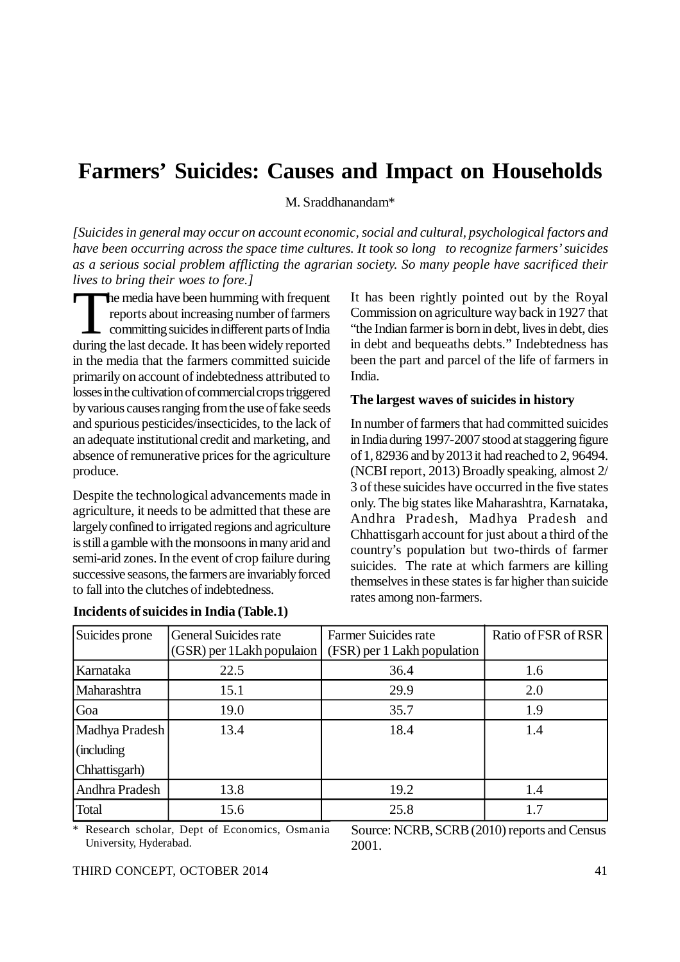## **Farmers' Suicides: Causes and Impact on Households**

M. Sraddhanandam\*

*[Suicides in general may occur on account economic, social and cultural, psychological factors and have been occurring across the space time cultures. It took so long to recognize farmers' suicides as a serious social problem afflicting the agrarian society. So many people have sacrificed their lives to bring their woes to fore.]*

The media have been humming with frequent reports about increasing number of farmers committing suicides in different parts of India during the last decade. It has been widely reported **h** media have been humming with frequent reports about increasing number of farmers committing suicides in different parts of India in the media that the farmers committed suicide primarily on account of indebtedness attributed to losses in the cultivation of commercial crops triggered by various causes ranging from the use of fake seeds and spurious pesticides/insecticides, to the lack of an adequate institutional credit and marketing, and absence of remunerative prices for the agriculture produce.

Despite the technological advancements made in agriculture, it needs to be admitted that these are largely confined to irrigated regions and agriculture is still a gamble with the monsoons in many arid and semi-arid zones. In the event of crop failure during successive seasons, the farmers are invariably forced to fall into the clutches of indebtedness.

| Suicides prone | General Suicides rate<br>(GSR) per 1 Lakh populaion | Farmer Suicides rate<br>(FSR) per 1 Lakh population | Ratio of FSR of RSR |
|----------------|-----------------------------------------------------|-----------------------------------------------------|---------------------|
| Karnataka      | 22.5                                                | 36.4                                                | 1.6                 |
| Maharashtra    | 15.1                                                | 29.9                                                | 2.0                 |
| Goa            | 19.0                                                | 35.7                                                | 1.9                 |
| Madhya Pradesh | 13.4                                                | 18.4                                                | 1.4                 |
| (including)    |                                                     |                                                     |                     |
| Chhattisgarh)  |                                                     |                                                     |                     |
| Andhra Pradesh | 13.8                                                | 19.2                                                | 1.4                 |
| Total          | 15.6                                                | 25.8                                                | 1.7                 |

#### **Incidents of suicides in India (Table.1)**

Research scholar, Dept of Economics, Osmania University, Hyderabad.

It has been rightly pointed out by the Royal Commission on agriculture way back in 1927 that "the Indian farmer is born in debt, lives in debt, dies in debt and bequeaths debts." Indebtedness has been the part and parcel of the life of farmers in India.

#### **The largest waves of suicides in history**

In number of farmers that had committed suicides in India during 1997-2007 stood at staggering figure of 1, 82936 and by 2013 it had reached to 2, 96494. (NCBI report, 2013) Broadly speaking, almost 2/ 3 of these suicides have occurred in the five states only. The big states like Maharashtra, Karnataka, Andhra Pradesh, Madhya Pradesh and Chhattisgarh account for just about a third of the country's population but two-thirds of farmer suicides. The rate at which farmers are killing themselves in these states is far higher than suicide rates among non-farmers.

Source: NCRB, SCRB (2010) reports and Census 2001.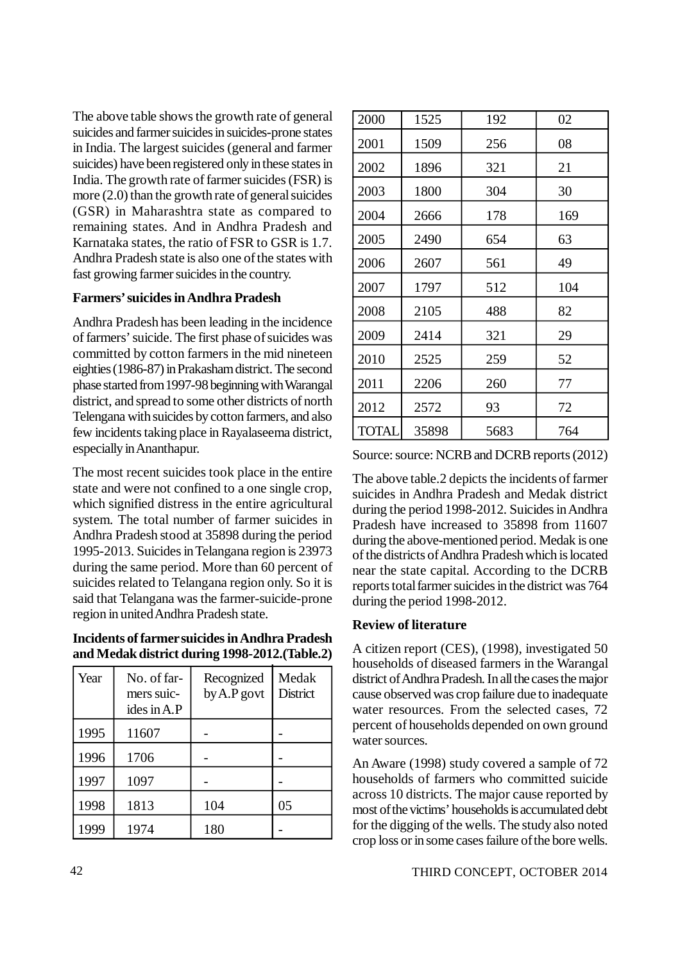The above table shows the growth rate of general suicides and farmer suicides in suicides-prone states in India. The largest suicides (general and farmer suicides) have been registered only in these states in India. The growth rate of farmer suicides (FSR) is more (2.0) than the growth rate of general suicides (GSR) in Maharashtra state as compared to remaining states. And in Andhra Pradesh and Karnataka states, the ratio of FSR to GSR is 1.7. Andhra Pradesh state is also one of the states with fast growing farmer suicides in the country.

### **Farmers' suicides in Andhra Pradesh**

Andhra Pradesh has been leading in the incidence of farmers' suicide. The first phase of suicides was committed by cotton farmers in the mid nineteen eighties (1986-87) in Prakasham district. The second phase started from 1997-98 beginning with Warangal district, and spread to some other districts of north Telengana with suicides by cotton farmers, and also few incidents taking place in Rayalaseema district, especially in Ananthapur.

The most recent suicides took place in the entire state and were not confined to a one single crop, which signified distress in the entire agricultural system. The total number of farmer suicides in Andhra Pradesh stood at 35898 during the period 1995-2013. Suicides in Telangana region is 23973 during the same period. More than 60 percent of suicides related to Telangana region only. So it is said that Telangana was the farmer-suicide-prone region in united Andhra Pradesh state.

### **Incidents of farmer suicides in Andhra Pradesh and Medak district during 1998-2012.(Table.2)**

| Year | No. of far-<br>mers suic-<br>ides in A.P | Recognized<br>by A.P govt | Medak<br><b>District</b> |
|------|------------------------------------------|---------------------------|--------------------------|
| 1995 | 11607                                    |                           |                          |
| 1996 | 1706                                     |                           |                          |
| 1997 | 1097                                     |                           |                          |
| 1998 | 1813                                     | 104                       | 05                       |
| 1999 | 1974                                     | 180                       |                          |

| 2000  | 1525  | 192  | 02  |
|-------|-------|------|-----|
| 2001  | 1509  | 256  | 08  |
| 2002  | 1896  | 321  | 21  |
| 2003  | 1800  | 304  | 30  |
| 2004  | 2666  | 178  | 169 |
| 2005  | 2490  | 654  | 63  |
| 2006  | 2607  | 561  | 49  |
| 2007  | 1797  | 512  | 104 |
| 2008  | 2105  | 488  | 82  |
| 2009  | 2414  | 321  | 29  |
| 2010  | 2525  | 259  | 52  |
| 2011  | 2206  | 260  | 77  |
| 2012  | 2572  | 93   | 72  |
| TOTAL | 35898 | 5683 | 764 |

Source: source: NCRB and DCRB reports (2012)

The above table.2 depicts the incidents of farmer suicides in Andhra Pradesh and Medak district during the period 1998-2012. Suicides in Andhra Pradesh have increased to 35898 from 11607 during the above-mentioned period. Medak is one of the districts of Andhra Pradesh which is located near the state capital. According to the DCRB reports total farmer suicides in the district was 764 during the period 1998-2012.

## **Review of literature**

A citizen report (CES), (1998), investigated 50 households of diseased farmers in the Warangal district of Andhra Pradesh. In all the cases the major cause observed was crop failure due to inadequate water resources. From the selected cases, 72 percent of households depended on own ground water sources.

An Aware (1998) study covered a sample of 72 households of farmers who committed suicide across 10 districts. The major cause reported by most of the victims' households is accumulated debt for the digging of the wells. The study also noted crop loss or in some cases failure of the bore wells.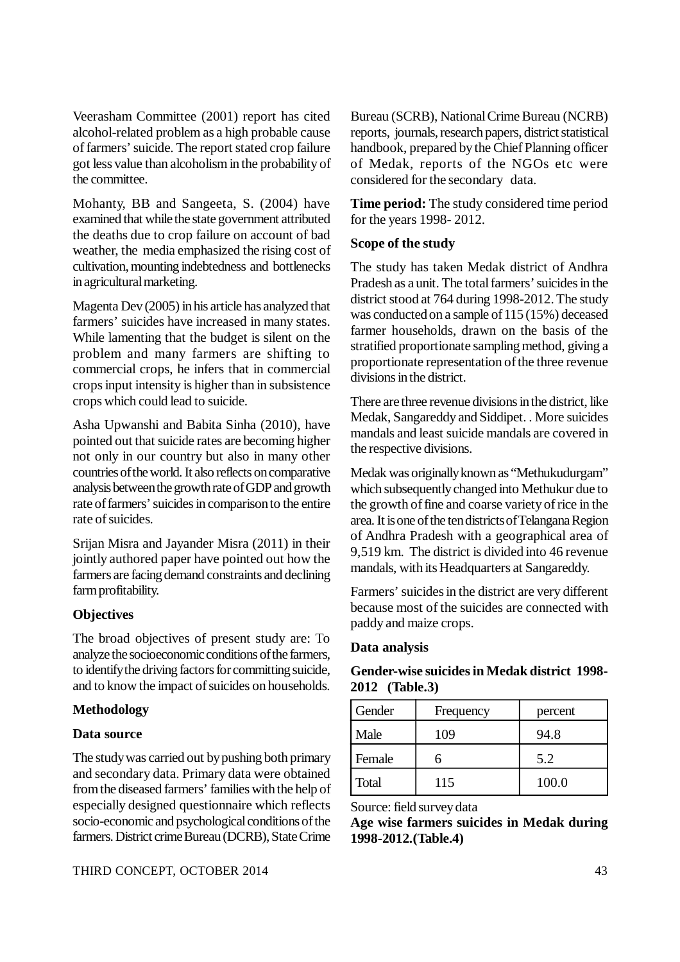Veerasham Committee (2001) report has cited alcohol-related problem as a high probable cause of farmers' suicide. The report stated crop failure got less value than alcoholism in the probability of the committee.

Mohanty, BB and Sangeeta, S. (2004) have examined that while the state government attributed the deaths due to crop failure on account of bad weather, the media emphasized the rising cost of cultivation, mounting indebtedness and bottlenecks in agricultural marketing.

Magenta Dev (2005) in his article has analyzed that farmers' suicides have increased in many states. While lamenting that the budget is silent on the problem and many farmers are shifting to commercial crops, he infers that in commercial crops input intensity is higher than in subsistence crops which could lead to suicide.

Asha Upwanshi and Babita Sinha (2010), have pointed out that suicide rates are becoming higher not only in our country but also in many other countries of the world. It also reflects on comparative analysis between the growth rate of GDP and growth rate of farmers' suicides in comparison to the entire rate of suicides.

Srijan Misra and Jayander Misra (2011) in their jointly authored paper have pointed out how the farmers are facing demand constraints and declining farm profitability.

#### **Objectives**

The broad objectives of present study are: To analyze the socioeconomic conditions of the farmers, to identify the driving factors for committing suicide, and to know the impact of suicides on households.

#### **Methodology**

#### **Data source**

The study was carried out by pushing both primary and secondary data. Primary data were obtained from the diseased farmers' families with the help of especially designed questionnaire which reflects socio-economic and psychological conditions of the farmers. District crime Bureau (DCRB), State Crime

THIRD CONCEPT, OCTOBER 2014 43

Bureau (SCRB), National Crime Bureau (NCRB) reports, journals, research papers, district statistical handbook, prepared by the Chief Planning officer of Medak, reports of the NGOs etc were considered for the secondary data.

**Time period:** The study considered time period for the years 1998- 2012.

#### **Scope of the study**

The study has taken Medak district of Andhra Pradesh as a unit. The total farmers' suicides in the district stood at 764 during 1998-2012. The study was conducted on a sample of 115 (15%) deceased farmer households, drawn on the basis of the stratified proportionate sampling method, giving a proportionate representation of the three revenue divisions in the district.

There are three revenue divisions in the district, like Medak, Sangareddy and Siddipet. . More suicides mandals and least suicide mandals are covered in the respective divisions.

Medak was originally known as "Methukudurgam" which subsequently changed into Methukur due to the growth of fine and coarse variety of rice in the area. It is one of the ten districts of Telangana Region of Andhra Pradesh with a geographical area of 9,519 km. The district is divided into 46 revenue mandals, with its Headquarters at Sangareddy.

Farmers' suicides in the district are very different because most of the suicides are connected with paddy and maize crops.

#### **Data analysis**

| Gender | Frequency | percent |
|--------|-----------|---------|
| Male   | 109       | 94.8    |
| Female |           | 5.2     |
| Total  | 115       | 100.0   |

## **Gender-wise suicides in Medak district 1998- 2012 (Table.3)**

#### Source: field survey data

**Age wise farmers suicides in Medak during 1998-2012.(Table.4)**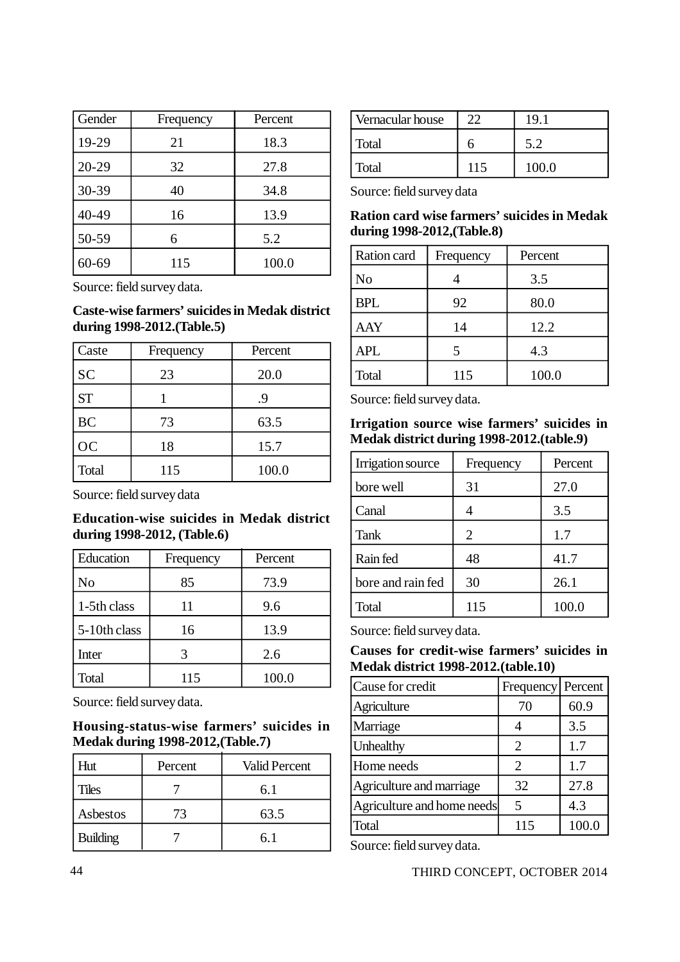| Gender    | Frequency | Percent |
|-----------|-----------|---------|
| 19-29     | 21        | 18.3    |
| $20 - 29$ | 32        | 27.8    |
| 30-39     | 40        | 34.8    |
| 40-49     | 16        | 13.9    |
| 50-59     |           | 5.2     |
| $60 - 69$ | 115       | 100.0   |

Source: field survey data.

## **Caste-wise farmers' suicides in Medak district during 1998-2012.(Table.5)**

| Caste     | Frequency | Percent |
|-----------|-----------|---------|
| <b>SC</b> | 23        | 20.0    |
| <b>ST</b> |           | .9      |
| <b>BC</b> | 73        | 63.5    |
| <b>OC</b> | 18        | 15.7    |
| Total     | 115       | 100.0   |

Source: field survey data

### **Education-wise suicides in Medak district during 1998-2012, (Table.6)**

| Education      | Frequency | Percent |
|----------------|-----------|---------|
| N <sub>o</sub> | 85        | 73.9    |
| 1-5th class    | 11        | 9.6     |
| 5-10th class   | 16        | 13.9    |
| Inter          | 3         | 2.6     |
| Total          | 115       | 100.0   |

Source: field survey data.

## **Housing-status-wise farmers' suicides in Medak during 1998-2012,(Table.7)**

| Hut             | Percent | Valid Percent |
|-----------------|---------|---------------|
| Tiles           |         | 6.1           |
| Asbestos        | 73      | 63.5          |
| <b>Building</b> |         | 6.1           |

| Vernacular house |     | 19.1  |
|------------------|-----|-------|
| Total            |     |       |
| Total            | 115 | 100 Q |

Source: field survey data

|  | Ration card wise farmers' suicides in Medak |  |  |
|--|---------------------------------------------|--|--|
|  | during 1998-2012, (Table.8)                 |  |  |

| Ration card | Frequency | Percent |
|-------------|-----------|---------|
| No          |           | 3.5     |
| <b>BPL</b>  | 92        | 80.0    |
| AAY         | 14        | 12.2    |
| <b>APL</b>  | 5         | 4.3     |
| Total       | 115       | 100.0   |

Source: field survey data.

**Irrigation source wise farmers' suicides in Medak district during 1998-2012.(table.9)**

| Irrigation source | Frequency | Percent |
|-------------------|-----------|---------|
| bore well         | 31        | 27.0    |
| Canal             |           | 3.5     |
| <b>Tank</b>       | 2         | 1.7     |
| Rain fed          | 48        | 41.7    |
| bore and rain fed | 30        | 26.1    |
| Total             | 115       | 100.0   |

Source: field survey data.

**Causes for credit-wise farmers' suicides in Medak district 1998-2012.(table.10)**

| Cause for credit           | Frequency Percent |       |
|----------------------------|-------------------|-------|
| Agriculture                | 70                | 60.9  |
| Marriage                   | 4                 | 3.5   |
| Unhealthy                  | 2                 | 1.7   |
| Home needs                 | $\overline{2}$    | 1.7   |
| Agriculture and marriage   | 32                | 27.8  |
| Agriculture and home needs | 5                 | 4.3   |
| Total                      | 115               | 100.0 |

Source: field survey data.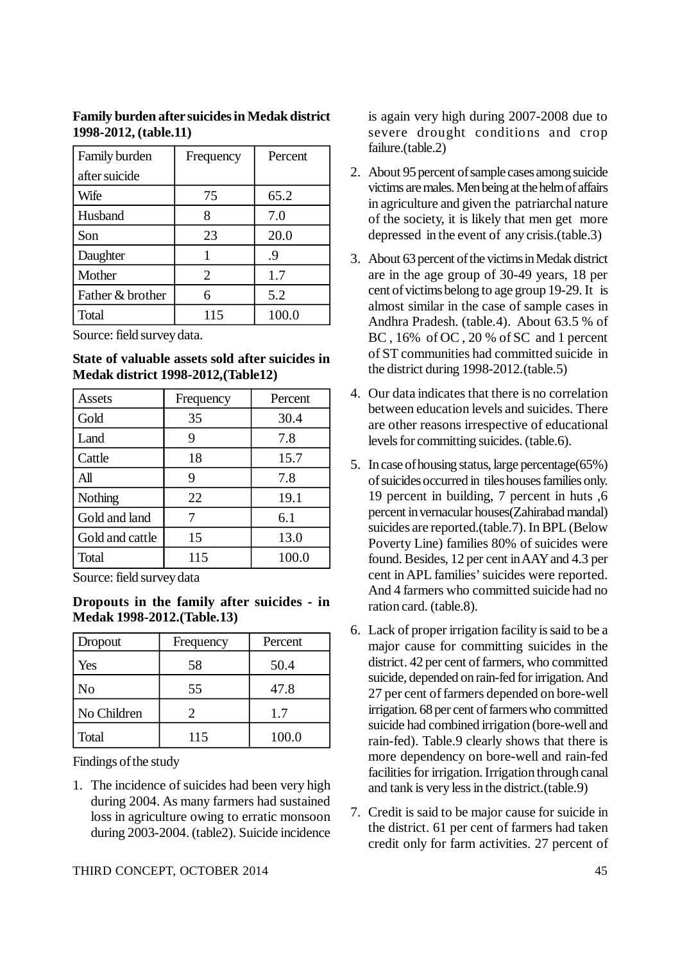| Family burden    | Frequency      | Percent   |
|------------------|----------------|-----------|
| after suicide    |                |           |
| Wife             | 75             | 65.2      |
| Husband          | 8              | 7.0       |
| Son              | 23             | 20.0      |
| Daughter         |                | $\cdot$ 9 |
| Mother           | $\mathfrak{D}$ | 1.7       |
| Father & brother |                | 5.2       |
| Total            | 115            | 100.0     |

## **Family burden after suicides in Medak district 1998-2012, (table.11)**

Source: field survey data.

**State of valuable assets sold after suicides in Medak district 1998-2012,(Table12)**

| <b>Assets</b>   | Frequency | Percent |
|-----------------|-----------|---------|
| Gold            | 35        | 30.4    |
| Land            | 9         | 7.8     |
| Cattle          | 18        | 15.7    |
| All             | 9         | 7.8     |
| Nothing         | 22        | 19.1    |
| Gold and land   |           | 6.1     |
| Gold and cattle | 15        | 13.0    |
| Total           | 115       | 100.0   |

Source: field survey data

**Dropouts in the family after suicides - in Medak 1998-2012.(Table.13)**

| Dropout     | Frequency | Percent |
|-------------|-----------|---------|
| Yes         | 58        | 50.4    |
| No          | 55        | 47.8    |
| No Children |           | 1.7     |
| Total       | 115       | 100.0   |

Findings of the study

1. The incidence of suicides had been very high during 2004. As many farmers had sustained loss in agriculture owing to erratic monsoon during 2003-2004. (table2). Suicide incidence

THIRD CONCEPT, OCTOBER 2014 45

is again very high during 2007-2008 due to severe drought conditions and crop failure.(table.2)

- 2. About 95 percent of sample cases among suicide victims are males. Men being at the helm of affairs in agriculture and given the patriarchal nature of the society, it is likely that men get more depressed in the event of any crisis.(table.3)
- 3. About 63 percent of the victims in Medak district are in the age group of 30-49 years, 18 per cent of victims belong to age group 19-29. It is almost similar in the case of sample cases in Andhra Pradesh. (table.4). About 63.5 % of BC , 16% of OC , 20 % of SC and 1 percent of ST communities had committed suicide in the district during 1998-2012.(table.5)
- 4. Our data indicates that there is no correlation between education levels and suicides. There are other reasons irrespective of educational levels for committing suicides. (table.6).
- 5. In case of housing status, large percentage(65%) of suicides occurred in tiles houses families only. 19 percent in building, 7 percent in huts ,6 percent in vernacular houses(Zahirabad mandal) suicides are reported.(table.7). In BPL (Below Poverty Line) families 80% of suicides were found. Besides, 12 per cent in AAY and 4.3 per cent in APL families' suicides were reported. And 4 farmers who committed suicide had no ration card. (table.8).
- 6. Lack of proper irrigation facility is said to be a major cause for committing suicides in the district. 42 per cent of farmers, who committed suicide, depended on rain-fed for irrigation. And 27 per cent of farmers depended on bore-well irrigation. 68 per cent of farmers who committed suicide had combined irrigation (bore-well and rain-fed). Table.9 clearly shows that there is more dependency on bore-well and rain-fed facilities for irrigation. Irrigation through canal and tank is very less in the district.(table.9)
- 7. Credit is said to be major cause for suicide in the district. 61 per cent of farmers had taken credit only for farm activities. 27 percent of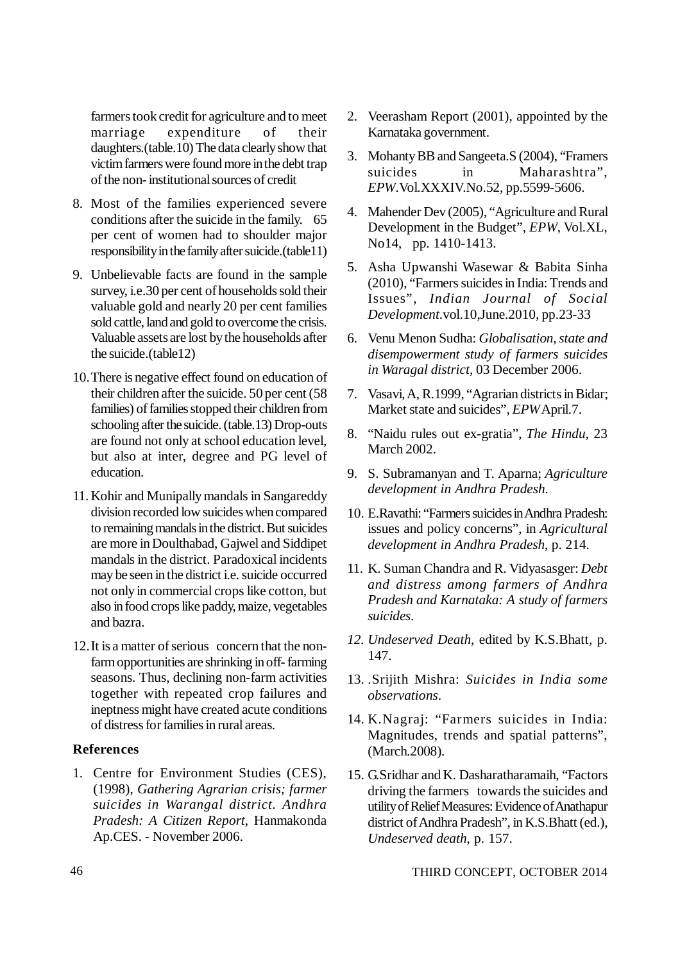farmers took credit for agriculture and to meet marriage expenditure of their daughters.(table.10) The data clearly show that victim farmers were found more in the debt trap of the non- institutional sources of credit

- 8. Most of the families experienced severe conditions after the suicide in the family. 65 per cent of women had to shoulder major responsibility in the family after suicide.(table11)
- 9. Unbelievable facts are found in the sample survey, i.e.30 per cent of households sold their valuable gold and nearly 20 per cent families sold cattle, land and gold to overcome the crisis. Valuable assets are lost by the households after the suicide.(table12)
- 10.There is negative effect found on education of their children after the suicide. 50 per cent (58 families) of families stopped their children from schooling after the suicide. (table.13) Drop-outs are found not only at school education level, but also at inter, degree and PG level of education.
- 11. Kohir and Munipally mandals in Sangareddy division recorded low suicides when compared to remaining mandals in the district. But suicides are more in Doulthabad, Gajwel and Siddipet mandals in the district. Paradoxical incidents may be seen in the district i.e. suicide occurred not only in commercial crops like cotton, but also in food crops like paddy, maize, vegetables and bazra.
- 12.It is a matter of serious concern that the nonfarm opportunities are shrinking in off- farming seasons. Thus, declining non-farm activities together with repeated crop failures and ineptness might have created acute conditions of distress for families in rural areas.

#### **References**

1. Centre for Environment Studies (CES), (1998), *Gathering Agrarian crisis; farmer suicides in Warangal district. Andhra Pradesh: A Citizen Report*, Hanmakonda Ap.CES. - November 2006.

- 2. Veerasham Report (2001), appointed by the Karnataka government.
- 3. Mohanty BB and Sangeeta.S (2004), "Framers suicides in Maharashtra", *EPW*.Vol.XXXIV.No.52, pp.5599-5606.
- 4. Mahender Dev (2005), "Agriculture and Rural Development in the Budget", *EPW*, Vol.XL, No14, pp. 1410-1413.
- 5. Asha Upwanshi Wasewar & Babita Sinha (2010), "Farmers suicides in India: Trends and Issues", *Indian Journal of Social Development*.vol.10,June.2010, pp.23-33
- 6. Venu Menon Sudha: *Globalisation, state and disempowerment study of farmers suicides in Waragal district,* 03 December 2006.
- 7. Vasavi, A, R.1999, "Agrarian districts in Bidar; Market state and suicides", *EPW* April.7.
- 8. "Naidu rules out ex-gratia", *The Hindu*, 23 March 2002.
- 9. S. Subramanyan and T. Aparna; *Agriculture development in Andhra Pradesh*.
- 10. E.Ravathi: "Farmers suicides in Andhra Pradesh: issues and policy concerns", in *Agricultural development in Andhra Pradesh*, p. 214.
- 11. K. Suman Chandra and R. Vidyasasger: *Debt and distress among farmers of Andhra Pradesh and Karnataka: A study of farmers suicides*.
- *12. Undeserved Death*, edited by K.S.Bhatt, p. 147.
- 13. .Srijith Mishra: *Suicides in India some observations*.
- 14. K.Nagraj: "Farmers suicides in India: Magnitudes, trends and spatial patterns", (March.2008).
- 15. G.Sridhar and K. Dasharatharamaih, "Factors driving the farmers towards the suicides and utility of Relief Measures: Evidence of Anathapur district of Andhra Pradesh", in K.S.Bhatt (ed.), *Undeserved death*, p. 157.

46 THIRD CONCEPT, OCTOBER 2014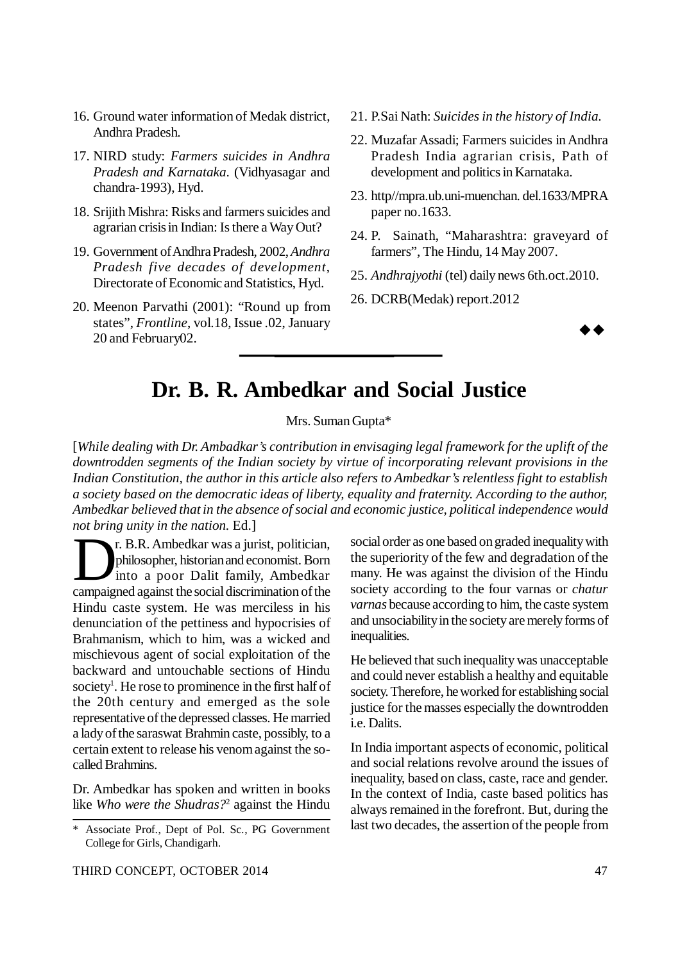- 16. Ground water information of Medak district, Andhra Pradesh.
- 17. NIRD study: *Farmers suicides in Andhra Pradesh and Karnataka*. (Vidhyasagar and chandra-1993), Hyd.
- 18. Srijith Mishra: Risks and farmers suicides and agrarian crisis in Indian: Is there a Way Out?
- 19. Government of Andhra Pradesh, 2002, *Andhra Pradesh five decades of development*, Directorate of Economic and Statistics, Hyd.
- 20. Meenon Parvathi (2001): "Round up from states", *Frontline*, vol.18, Issue .02, January 20 and February02.
- 21. P.Sai Nath: *Suicides in the history of India*.
- 22. Muzafar Assadi; Farmers suicides in Andhra Pradesh India agrarian crisis, Path of development and politics in Karnataka.
- 23. http//mpra.ub.uni-muenchan. del.1633/MPRA paper no.1633.
- 24. P. Sainath, "Maharashtra: graveyard of farmers", The Hindu, 14 May 2007.
- 25. *Andhrajyothi* (tel) daily news 6th.oct.2010.
- 26. DCRB(Medak) report.2012

 $\rightarrow \rightarrow$ 

## **Dr. B. R. Ambedkar and Social Justice**

Mrs. Suman Gupta\*

[*While dealing with Dr. Ambadkar's contribution in envisaging legal framework for the uplift of the downtrodden segments of the Indian society by virtue of incorporating relevant provisions in the Indian Constitution, the author in this article also refers to Ambedkar's relentless fight to establish a society based on the democratic ideas of liberty, equality and fraternity. According to the author, Ambedkar believed that in the absence of social and economic justice, political independence would not bring unity in the nation.* Ed.]

T. B.R. Ambedkar was a jurist, politician, philosopher, historian and economist. Born into a poor Dalit family, Ambedkar campaigned against the social discrimination of the r. B.R. Ambedkar was a jurist, politician, philosopher, historian and economist. Born into a poor Dalit family, Ambedkar Hindu caste system. He was merciless in his denunciation of the pettiness and hypocrisies of Brahmanism, which to him, was a wicked and mischievous agent of social exploitation of the backward and untouchable sections of Hindu society<sup>1</sup>. He rose to prominence in the first half of the 20th century and emerged as the sole representative of the depressed classes. He married a lady of the saraswat Brahmin caste, possibly, to a certain extent to release his venom against the socalled Brahmins.

Dr. Ambedkar has spoken and written in books like *Who were the Shudras?*<sup>2</sup> against the Hindu

social order as one based on graded inequality with the superiority of the few and degradation of the many. He was against the division of the Hindu society according to the four varnas or *chatur varnas* because according to him, the caste system and unsociability in the society are merely forms of inequalities.

He believed that such inequality was unacceptable and could never establish a healthy and equitable society. Therefore, he worked for establishing social justice for the masses especially the downtrodden i.e. Dalits.

In India important aspects of economic, political and social relations revolve around the issues of inequality, based on class, caste, race and gender. In the context of India, caste based politics has always remained in the forefront. But, during the last two decades, the assertion of the people from

Associate Prof., Dept of Pol. Sc., PG Government College for Girls, Chandigarh.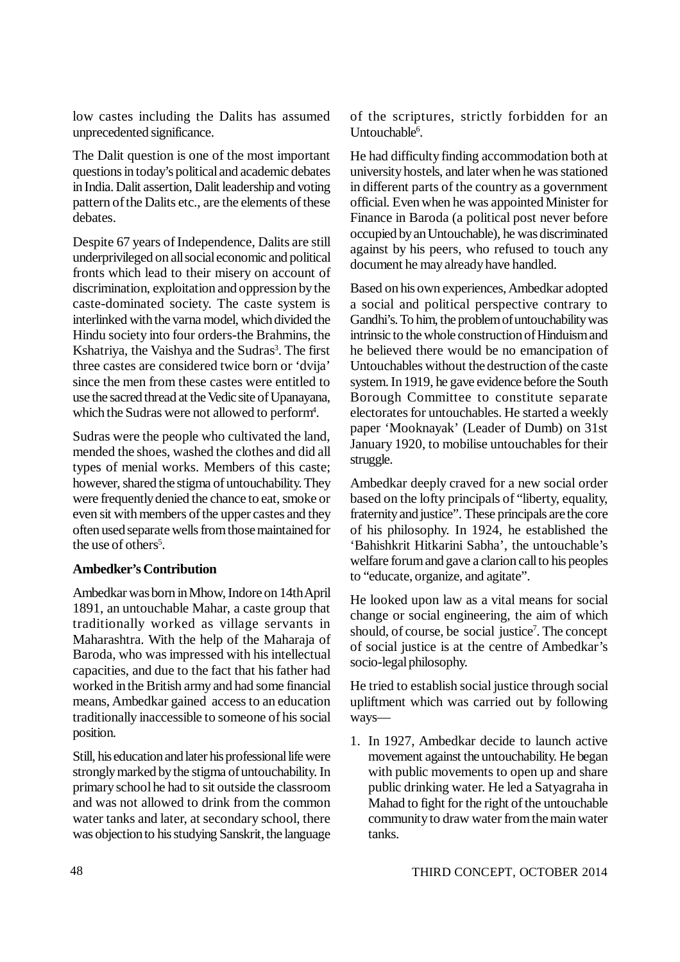low castes including the Dalits has assumed unprecedented significance.

The Dalit question is one of the most important questions in today's political and academic debates in India. Dalit assertion, Dalit leadership and voting pattern of the Dalits etc., are the elements of these debates.

Despite 67 years of Independence, Dalits are still underprivileged on all social economic and political fronts which lead to their misery on account of discrimination, exploitation and oppression by the caste-dominated society. The caste system is interlinked with the varna model, which divided the Hindu society into four orders-the Brahmins, the Kshatriya, the Vaishya and the Sudras<sup>3</sup>. The first three castes are considered twice born or 'dvija' since the men from these castes were entitled to use the sacred thread at the Vedic site of Upanayana, which the Sudras were not allowed to perform<sup>4</sup>.

Sudras were the people who cultivated the land, mended the shoes, washed the clothes and did all types of menial works. Members of this caste; however, shared the stigma of untouchability. They were frequently denied the chance to eat, smoke or even sit with members of the upper castes and they often used separate wells from those maintained for the use of others<sup>5</sup>.

#### **Ambedker's Contribution**

Ambedkar was born in Mhow, Indore on 14th April 1891, an untouchable Mahar, a caste group that traditionally worked as village servants in Maharashtra. With the help of the Maharaja of Baroda, who was impressed with his intellectual capacities, and due to the fact that his father had worked in the British army and had some financial means, Ambedkar gained access to an education traditionally inaccessible to someone of his social position.

Still, his education and later his professional life were strongly marked by the stigma of untouchability. In primary school he had to sit outside the classroom and was not allowed to drink from the common water tanks and later, at secondary school, there was objection to his studying Sanskrit, the language of the scriptures, strictly forbidden for an Untouchable<sup>6</sup>.

He had difficulty finding accommodation both at university hostels, and later when he was stationed in different parts of the country as a government official. Even when he was appointed Minister for Finance in Baroda (a political post never before occupied by an Untouchable), he was discriminated against by his peers, who refused to touch any document he may already have handled.

Based on his own experiences, Ambedkar adopted a social and political perspective contrary to Gandhi's. To him, the problem of untouchability was intrinsic to the whole construction of Hinduism and he believed there would be no emancipation of Untouchables without the destruction of the caste system. In 1919, he gave evidence before the South Borough Committee to constitute separate electorates for untouchables. He started a weekly paper 'Mooknayak' (Leader of Dumb) on 31st January 1920, to mobilise untouchables for their struggle.

Ambedkar deeply craved for a new social order based on the lofty principals of "liberty, equality, fraternity and justice". These principals are the core of his philosophy. In 1924, he established the 'Bahishkrit Hitkarini Sabha', the untouchable's welfare forum and gave a clarion call to his peoples to "educate, organize, and agitate".

He looked upon law as a vital means for social change or social engineering, the aim of which should, of course, be social justice<sup>7</sup>. The concept of social justice is at the centre of Ambedkar's socio-legal philosophy.

He tried to establish social justice through social upliftment which was carried out by following ways—

1. In 1927, Ambedkar decide to launch active movement against the untouchability. He began with public movements to open up and share public drinking water. He led a Satyagraha in Mahad to fight for the right of the untouchable community to draw water from the main water tanks.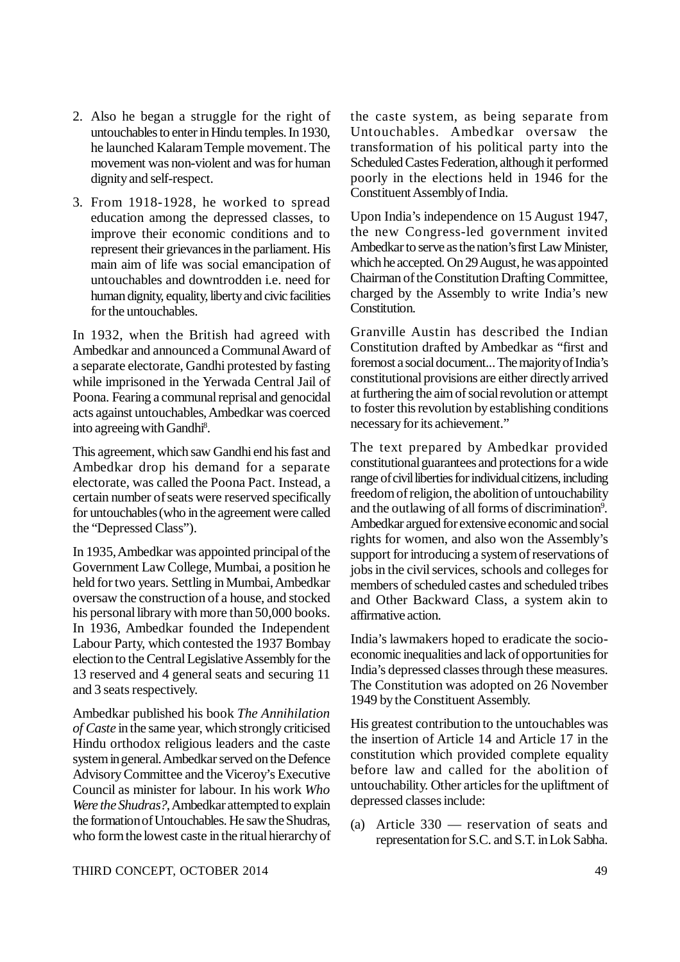- 2. Also he began a struggle for the right of untouchables to enter in Hindu temples. In 1930, he launched Kalaram Temple movement. The movement was non-violent and was for human dignity and self-respect.
- 3. From 1918-1928, he worked to spread education among the depressed classes, to improve their economic conditions and to represent their grievances in the parliament. His main aim of life was social emancipation of untouchables and downtrodden i.e. need for human dignity, equality, liberty and civic facilities for the untouchables.

In 1932, when the British had agreed with Ambedkar and announced a Communal Award of a separate electorate, Gandhi protested by fasting while imprisoned in the Yerwada Central Jail of Poona. Fearing a communal reprisal and genocidal acts against untouchables, Ambedkar was coerced into agreeing with Gandhi<sup>8</sup>.

This agreement, which saw Gandhi end his fast and Ambedkar drop his demand for a separate electorate, was called the Poona Pact. Instead, a certain number of seats were reserved specifically for untouchables (who in the agreement were called the "Depressed Class").

In 1935, Ambedkar was appointed principal of the Government Law College, Mumbai, a position he held for two years. Settling in Mumbai, Ambedkar oversaw the construction of a house, and stocked his personal library with more than 50,000 books. In 1936, Ambedkar founded the Independent Labour Party, which contested the 1937 Bombay election to the Central Legislative Assembly for the 13 reserved and 4 general seats and securing 11 and 3 seats respectively.

Ambedkar published his book *The Annihilation of Caste* in the same year, which strongly criticised Hindu orthodox religious leaders and the caste system in general. Ambedkar served on the Defence Advisory Committee and the Viceroy's Executive Council as minister for labour. In his work *Who Were the Shudras?*, Ambedkar attempted to explain the formation of Untouchables. He saw the Shudras, who form the lowest caste in the ritual hierarchy of the caste system, as being separate from Untouchables. Ambedkar oversaw the transformation of his political party into the Scheduled Castes Federation, although it performed poorly in the elections held in 1946 for the Constituent Assembly of India.

Upon India's independence on 15 August 1947, the new Congress-led government invited Ambedkar to serve as the nation's first Law Minister, which he accepted. On 29 August, he was appointed Chairman of the Constitution Drafting Committee, charged by the Assembly to write India's new Constitution.

Granville Austin has described the Indian Constitution drafted by Ambedkar as "first and foremost a social document... The majority of India's constitutional provisions are either directly arrived at furthering the aim of social revolution or attempt to foster this revolution by establishing conditions necessary for its achievement."

The text prepared by Ambedkar provided constitutional guarantees and protections for a wide range of civil liberties for individual citizens, including freedom of religion, the abolition of untouchability and the outlawing of all forms of discrimination<sup>9</sup>. Ambedkar argued for extensive economic and social rights for women, and also won the Assembly's support for introducing a system of reservations of jobs in the civil services, schools and colleges for members of scheduled castes and scheduled tribes and Other Backward Class, a system akin to affirmative action.

India's lawmakers hoped to eradicate the socioeconomic inequalities and lack of opportunities for India's depressed classes through these measures. The Constitution was adopted on 26 November 1949 by the Constituent Assembly.

His greatest contribution to the untouchables was the insertion of Article 14 and Article 17 in the constitution which provided complete equality before law and called for the abolition of untouchability. Other articles for the upliftment of depressed classes include:

(a) Article 330 — reservation of seats and representation for S.C. and S.T. in Lok Sabha.

#### THIRD CONCEPT, OCTOBER 2014 49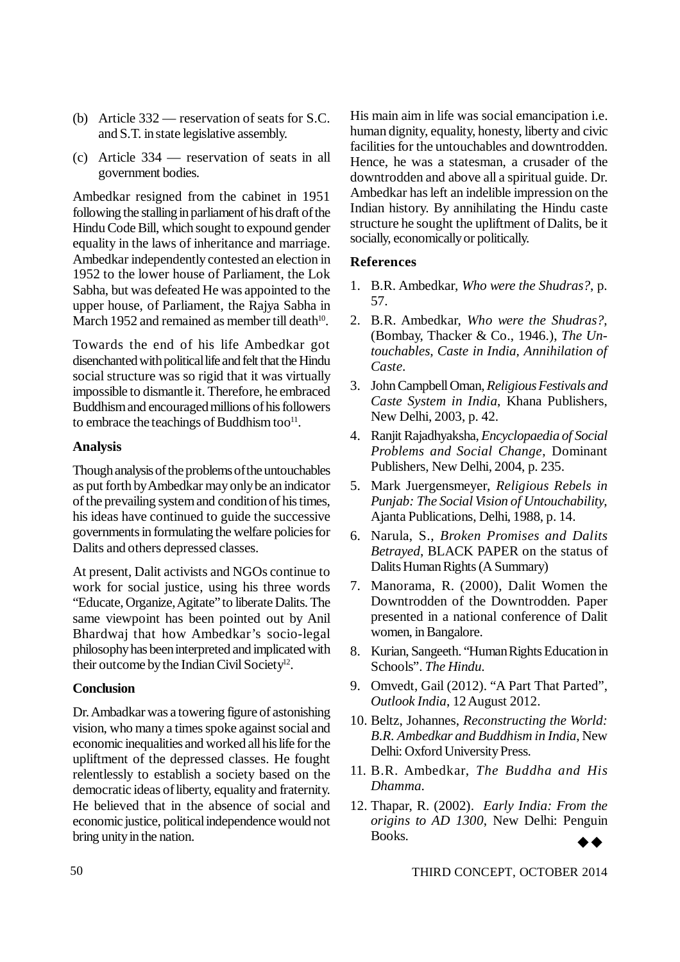- (b) Article 332 reservation of seats for S.C. and S.T. in state legislative assembly.
- (c) Article 334 reservation of seats in all government bodies.

Ambedkar resigned from the cabinet in 1951 following the stalling in parliament of his draft of the Hindu Code Bill, which sought to expound gender equality in the laws of inheritance and marriage. Ambedkar independently contested an election in 1952 to the lower house of Parliament, the Lok Sabha, but was defeated He was appointed to the upper house, of Parliament, the Rajya Sabha in March 1952 and remained as member till death $10$ .

Towards the end of his life Ambedkar got disenchanted with political life and felt that the Hindu social structure was so rigid that it was virtually impossible to dismantle it. Therefore, he embraced Buddhism and encouraged millions of his followers to embrace the teachings of Buddhism too $^{11}$ .

#### **Analysis**

Though analysis of the problems of the untouchables as put forth by Ambedkar may only be an indicator of the prevailing system and condition of his times, his ideas have continued to guide the successive governments in formulating the welfare policies for Dalits and others depressed classes.

At present, Dalit activists and NGOs continue to work for social justice, using his three words "Educate, Organize, Agitate" to liberate Dalits. The same viewpoint has been pointed out by Anil Bhardwaj that how Ambedkar's socio-legal philosophy has been interpreted and implicated with their outcome by the Indian Civil Society<sup>12</sup>.

#### **Conclusion**

Dr. Ambadkar was a towering figure of astonishing vision, who many a times spoke against social and economic inequalities and worked all his life for the upliftment of the depressed classes. He fought relentlessly to establish a society based on the democratic ideas of liberty, equality and fraternity. He believed that in the absence of social and economic justice, political independence would not bring unity in the nation.

His main aim in life was social emancipation i.e. human dignity, equality, honesty, liberty and civic facilities for the untouchables and downtrodden. Hence, he was a statesman, a crusader of the downtrodden and above all a spiritual guide. Dr. Ambedkar has left an indelible impression on the Indian history. By annihilating the Hindu caste structure he sought the upliftment of Dalits, be it socially, economically or politically.

#### **References**

- 1. B.R. Ambedkar, *Who were the Shudras?*, p. 57.
- 2. B.R. Ambedkar, *Who were the Shudras?*, (Bombay, Thacker & Co., 1946.), *The Untouchables, Caste in India, Annihilation of Caste*.
- 3. John Campbell Oman, *Religious Festivals and Caste System in India*, Khana Publishers, New Delhi, 2003, p. 42.
- 4. Ranjit Rajadhyaksha, *Encyclopaedia of Social Problems and Social Change*, Dominant Publishers, New Delhi, 2004, p. 235.
- 5. Mark Juergensmeyer, *Religious Rebels in Punjab: The Social Vision of Untouchability*, Ajanta Publications, Delhi, 1988, p. 14.
- 6. Narula, S., *Broken Promises and Dalits Betrayed*, BLACK PAPER on the status of Dalits Human Rights (A Summary)
- 7. Manorama, R. (2000), Dalit Women the Downtrodden of the Downtrodden. Paper presented in a national conference of Dalit women, in Bangalore.
- 8. Kurian, Sangeeth. "Human Rights Education in Schools". *The Hindu*.
- 9. Omvedt, Gail (2012). "A Part That Parted", *Outlook India*, 12 August 2012.
- 10. Beltz, Johannes, *Reconstructing the World: B.R. Ambedkar and Buddhism in India*, New Delhi: Oxford University Press.
- 11. B.R. Ambedkar, *The Buddha and His Dhamma*.
- 12. Thapar, R. (2002). *Early India: From the origins to AD 1300*, New Delhi: Penguin Books.

50 THIRD CONCEPT, OCTOBER 2014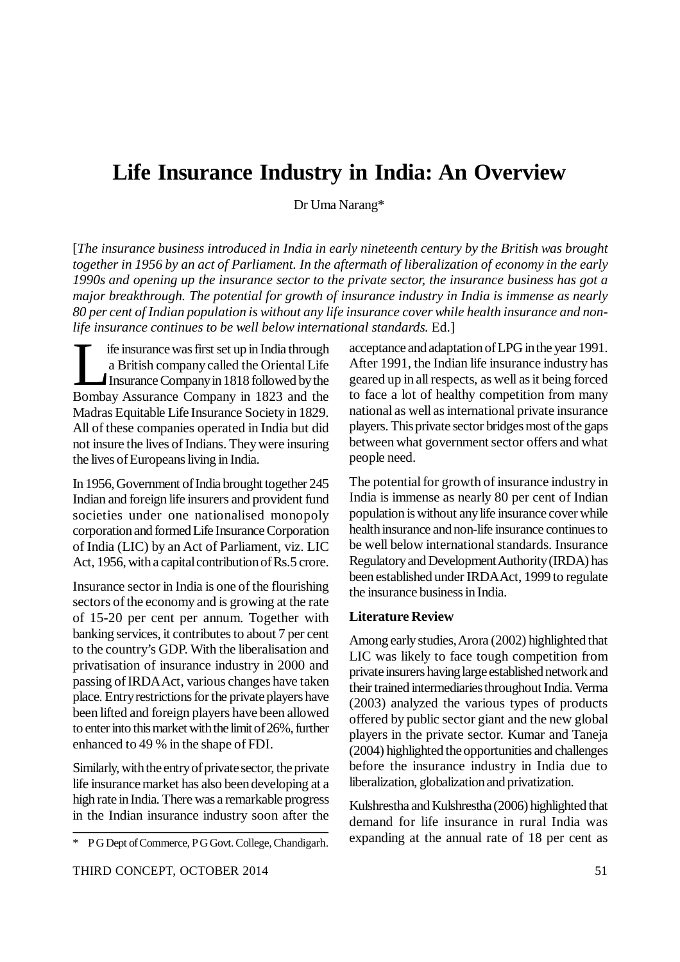## **Life Insurance Industry in India: An Overview**

Dr Uma Narang\*

[*The insurance business introduced in India in early nineteenth century by the British was brought together in 1956 by an act of Parliament. In the aftermath of liberalization of economy in the early 1990s and opening up the insurance sector to the private sector, the insurance business has got a major breakthrough. The potential for growth of insurance industry in India is immense as nearly 80 per cent of Indian population is without any life insurance cover while health insurance and nonlife insurance continues to be well below international standards.* Ed.]

If it insurance was first set up in India through<br>a British company called the Oriental Life<br>Insurance Company in 1818 followed by the<br>Bombay Assurance Company in 1823 and the ife insurance was first set up in India through a British company called the Oriental Life Insurance Company in 1818 followed by the Madras Equitable Life Insurance Society in 1829. All of these companies operated in India but did not insure the lives of Indians. They were insuring the lives of Europeans living in India.

In 1956, Government of India brought together 245 Indian and foreign life insurers and provident fund societies under one nationalised monopoly corporation and formed Life Insurance Corporation of India (LIC) by an Act of Parliament, viz. LIC Act, 1956, with a capital contribution of Rs.5 crore.

Insurance sector in India is one of the flourishing sectors of the economy and is growing at the rate of 15-20 per cent per annum. Together with banking services, it contributes to about 7 per cent to the country's GDP. With the liberalisation and privatisation of insurance industry in 2000 and passing of IRDA Act, various changes have taken place. Entry restrictions for the private players have been lifted and foreign players have been allowed to enter into this market with the limit of 26%, further enhanced to 49 % in the shape of FDI.

Similarly, with the entry of private sector, the private life insurance market has also been developing at a high rate in India. There was a remarkable progress in the Indian insurance industry soon after the

acceptance and adaptation of LPG in the year 1991. After 1991, the Indian life insurance industry has geared up in all respects, as well as it being forced to face a lot of healthy competition from many national as well as international private insurance players. This private sector bridges most of the gaps between what government sector offers and what people need.

The potential for growth of insurance industry in India is immense as nearly 80 per cent of Indian population is without any life insurance cover while health insurance and non-life insurance continues to be well below international standards. Insurance Regulatory and Development Authority (IRDA) has been established under IRDA Act, 1999 to regulate the insurance business in India.

#### **Literature Review**

Among early studies, Arora (2002) highlighted that LIC was likely to face tough competition from private insurers having large established network and their trained intermediaries throughout India. Verma (2003) analyzed the various types of products offered by public sector giant and the new global players in the private sector. Kumar and Taneja (2004) highlighted the opportunities and challenges before the insurance industry in India due to liberalization, globalization and privatization.

Kulshrestha and Kulshrestha (2006) highlighted that demand for life insurance in rural India was expanding at the annual rate of 18 per cent as

P G Dept of Commerce, P G Govt. College, Chandigarh.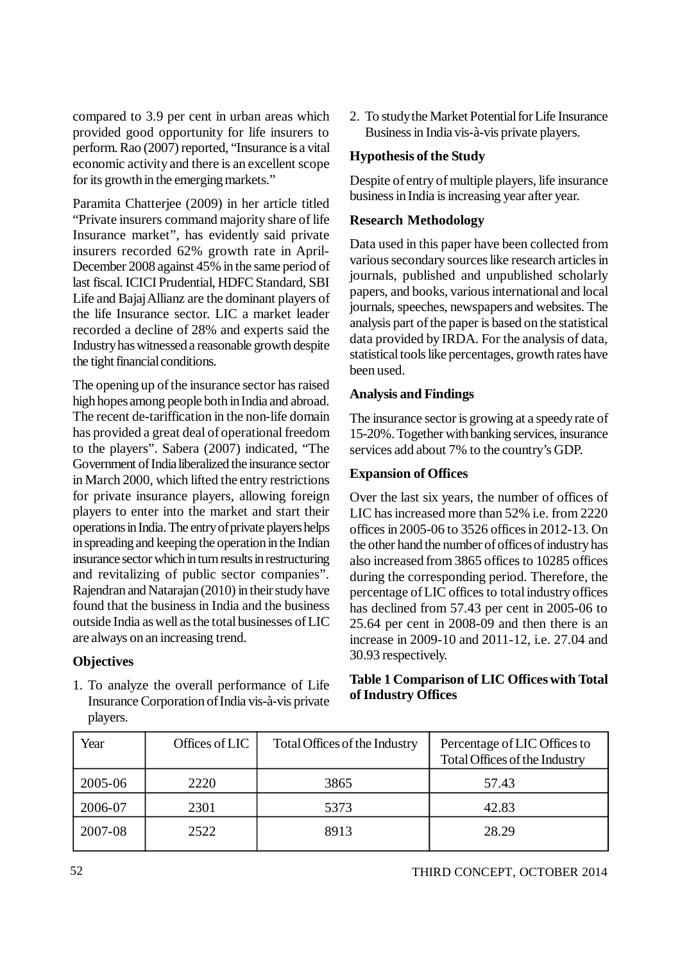compared to 3.9 per cent in urban areas which provided good opportunity for life insurers to perform. Rao (2007) reported, "Insurance is a vital economic activity and there is an excellent scope for its growth in the emerging markets."

Paramita Chatterjee (2009) in her article titled "Private insurers command majority share of life Insurance market", has evidently said private insurers recorded 62% growth rate in April-December 2008 against 45% in the same period of last fiscal. ICICI Prudential, HDFC Standard, SBI Life and Bajaj Allianz are the dominant players of the life Insurance sector. LIC a market leader recorded a decline of 28% and experts said the Industry has witnessed a reasonable growth despite the tight financial conditions.

The opening up of the insurance sector has raised high hopes among people both in India and abroad. The recent de-tariffication in the non-life domain has provided a great deal of operational freedom to the players". Sabera (2007) indicated, "The Government of India liberalized the insurance sector in March 2000, which lifted the entry restrictions for private insurance players, allowing foreign players to enter into the market and start their operations in India. The entry of private players helps in spreading and keeping the operation in the Indian insurance sector which in turn results in restructuring and revitalizing of public sector companies". Rajendran and Natarajan (2010) in their study have found that the business in India and the business outside India as well as the total businesses of LIC are always on an increasing trend.

#### **Objectives**

1. To analyze the overall performance of Life Insurance Corporation of India vis-à-vis private players.

2. To study the Market Potential for Life Insurance Business in India vis-à-vis private players.

#### **Hypothesis of the Study**

Despite of entry of multiple players, life insurance business in India is increasing year after year.

#### **Research Methodology**

Data used in this paper have been collected from various secondary sources like research articles in journals, published and unpublished scholarly papers, and books, various international and local journals, speeches, newspapers and websites. The analysis part of the paper is based on the statistical data provided by IRDA. For the analysis of data, statistical tools like percentages, growth rates have been used.

### **Analysis and Findings**

The insurance sector is growing at a speedy rate of 15-20%. Together with banking services, insurance services add about 7% to the country's GDP.

### **Expansion of Offices**

Over the last six years, the number of offices of LIC has increased more than 52% i.e. from 2220 offices in 2005-06 to 3526 offices in 2012-13. On the other hand the number of offices of industry has also increased from 3865 offices to 10285 offices during the corresponding period. Therefore, the percentage of LIC offices to total industry offices has declined from 57.43 per cent in 2005-06 to 25.64 per cent in 2008-09 and then there is an increase in 2009-10 and 2011-12, i.e. 27.04 and 30.93 respectively.

## **Table 1 Comparison of LIC Offices with Total of Industry Offices**

| Year    | Offices of LIC | Total Offices of the Industry | Percentage of LIC Offices to<br>Total Offices of the Industry |
|---------|----------------|-------------------------------|---------------------------------------------------------------|
| 2005-06 | 2220           | 3865                          | 57.43                                                         |
| 2006-07 | 2301           | 5373                          | 42.83                                                         |
| 2007-08 | 2522           | 8913                          | 28.29                                                         |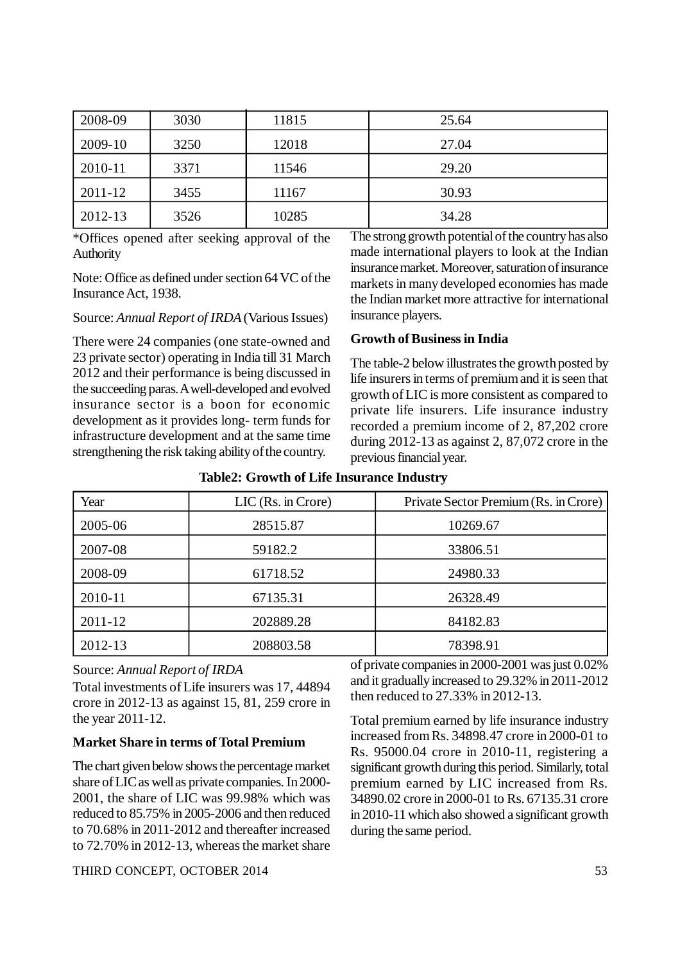| 2008-09 | 3030 | 11815 | 25.64 |
|---------|------|-------|-------|
| 2009-10 | 3250 | 12018 | 27.04 |
| 2010-11 | 3371 | 11546 | 29.20 |
| 2011-12 | 3455 | 11167 | 30.93 |
| 2012-13 | 3526 | 10285 | 34.28 |

\*Offices opened after seeking approval of the Authority

Note: Office as defined under section 64 VC of the Insurance Act, 1938.

Source: *Annual Report of IRDA* (Various Issues)

There were 24 companies (one state-owned and 23 private sector) operating in India till 31 March 2012 and their performance is being discussed in the succeeding paras. A well-developed and evolved insurance sector is a boon for economic development as it provides long- term funds for infrastructure development and at the same time strengthening the risk taking ability of the country.

The strong growth potential of the country has also made international players to look at the Indian insurance market. Moreover, saturation of insurance markets in many developed economies has made the Indian market more attractive for international insurance players.

#### **Growth of Business in India**

The table-2 below illustrates the growth posted by life insurers in terms of premium and it is seen that growth of LIC is more consistent as compared to private life insurers. Life insurance industry recorded a premium income of 2, 87,202 crore during 2012-13 as against 2, 87,072 crore in the previous financial year.

| Year    | $LIC$ (Rs. in Crore) | Private Sector Premium (Rs. in Crore) |
|---------|----------------------|---------------------------------------|
| 2005-06 | 28515.87             | 10269.67                              |
| 2007-08 | 59182.2              | 33806.51                              |
| 2008-09 | 61718.52             | 24980.33                              |
| 2010-11 | 67135.31             | 26328.49                              |
| 2011-12 | 202889.28            | 84182.83                              |
| 2012-13 | 208803.58            | 78398.91                              |

#### Source: *Annual Report of IRDA*

Total investments of Life insurers was 17, 44894 crore in 2012-13 as against 15, 81, 259 crore in the year 2011-12.

## **Market Share in terms of Total Premium**

The chart given below shows the percentage market share of LIC as well as private companies. In 2000- 2001, the share of LIC was 99.98% which was reduced to 85.75% in 2005-2006 and then reduced to 70.68% in 2011-2012 and thereafter increased to 72.70% in 2012-13, whereas the market share

of private companies in 2000-2001 was just 0.02% and it gradually increased to 29.32% in 2011-2012 then reduced to 27.33% in 2012-13.

Total premium earned by life insurance industry increased from Rs. 34898.47 crore in 2000-01 to Rs. 95000.04 crore in 2010-11, registering a significant growth during this period. Similarly, total premium earned by LIC increased from Rs. 34890.02 crore in 2000-01 to Rs. 67135.31 crore in 2010-11 which also showed a significant growth during the same period.

THIRD CONCEPT, OCTOBER 2014 53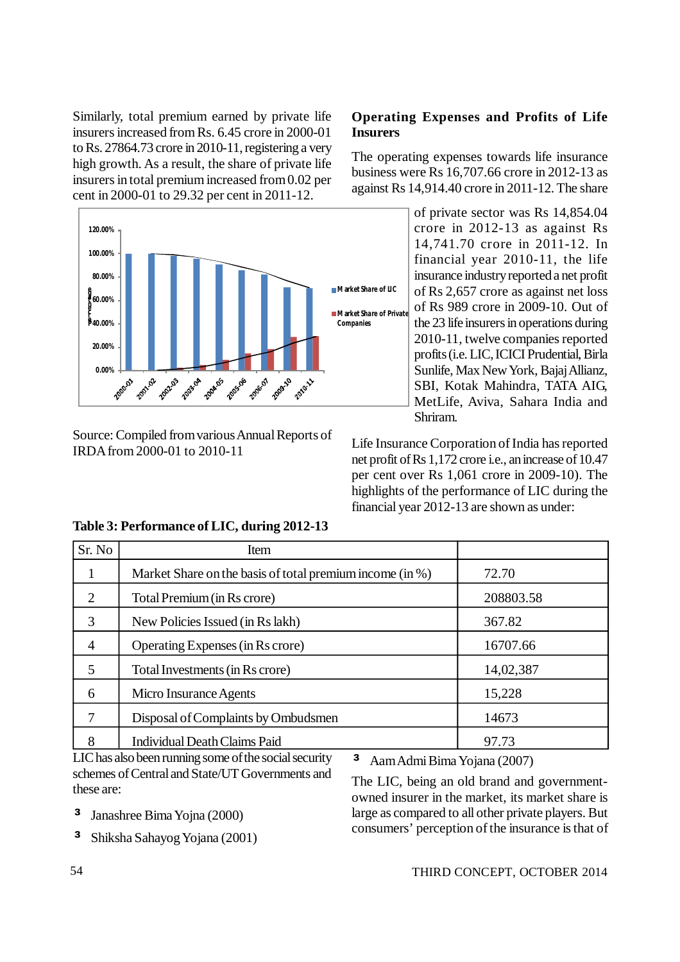Similarly, total premium earned by private life insurers increased from Rs. 6.45 crore in 2000-01 to Rs. 27864.73 crore in 2010-11, registering a very high growth. As a result, the share of private life insurers in total premium increased from 0.02 per cent in 2000-01 to 29.32 per cent in 2011-12.



Source: Compiled from various Annual Reports of IRDA from 2000-01 to 2010-11

## **Operating Expenses and Profits of Life Insurers**

The operating expenses towards life insurance business were Rs 16,707.66 crore in 2012-13 as against Rs 14,914.40 crore in 2011-12. The share

> of private sector was Rs 14,854.04 crore in 2012-13 as against Rs 14,741.70 crore in 2011-12. In financial year 2010-11, the life insurance industry reported a net profit of Rs 2,657 crore as against net loss of Rs 989 crore in 2009-10. Out of the 23 life insurers in operations during 2010-11, twelve companies reported profits (i.e. LIC, ICICI Prudential, Birla Sunlife, Max New York, Bajaj Allianz, SBI, Kotak Mahindra, TATA AIG, MetLife, Aviva, Sahara India and Shriram.

Life Insurance Corporation of India has reported net profit of Rs 1,172 crore i.e., an increase of 10.47 per cent over Rs 1,061 crore in 2009-10). The highlights of the performance of LIC during the financial year 2012-13 are shown as under:

| Sr. No         | Item                                                     |           |
|----------------|----------------------------------------------------------|-----------|
| 1              | Market Share on the basis of total premium income (in %) | 72.70     |
| $\overline{2}$ | Total Premium (in Rs crore)                              | 208803.58 |
| 3              | New Policies Issued (in Rs lakh)                         | 367.82    |
| $\overline{4}$ | Operating Expenses (in Rs crore)                         | 16707.66  |
| 5              | Total Investments (in Rs crore)                          | 14,02,387 |
| 6              | Micro Insurance Agents                                   | 15,228    |
| 7              | Disposal of Complaints by Ombudsmen                      | 14673     |
| 8              | <b>Individual Death Claims Paid</b>                      | 97.73     |

## **Table 3: Performance of LIC, during 2012-13**

LIC has also been running some of the social security schemes of Central and State/UT Governments and these are:

- **³** Janashree Bima Yojna (2000)
- **³** Shiksha Sahayog Yojana (2001)

**³** Aam Admi Bima Yojana (2007)

The LIC, being an old brand and governmentowned insurer in the market, its market share is large as compared to all other private players. But consumers' perception of the insurance is that of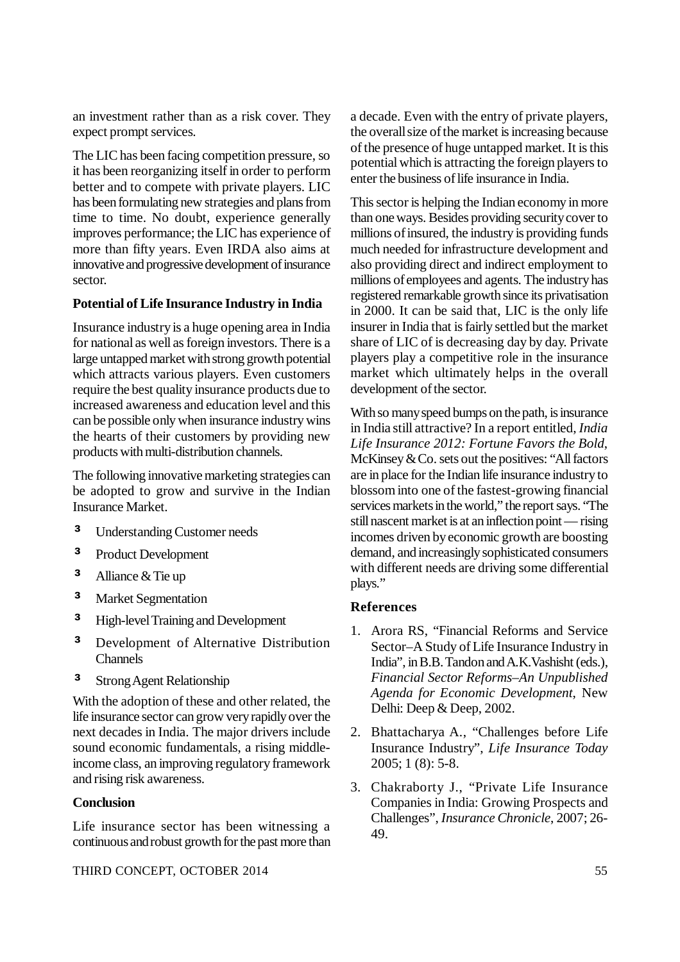an investment rather than as a risk cover. They expect prompt services.

The LIC has been facing competition pressure, so it has been reorganizing itself in order to perform better and to compete with private players. LIC has been formulating new strategies and plans from time to time. No doubt, experience generally improves performance; the LIC has experience of more than fifty years. Even IRDA also aims at innovative and progressive development of insurance sector.

#### **Potential of Life Insurance Industry in India**

Insurance industry is a huge opening area in India for national as well as foreign investors. There is a large untapped market with strong growth potential which attracts various players. Even customers require the best quality insurance products due to increased awareness and education level and this can be possible only when insurance industry wins the hearts of their customers by providing new products with multi-distribution channels.

The following innovative marketing strategies can be adopted to grow and survive in the Indian Insurance Market.

- **³** Understanding Customer needs
- **³** Product Development
- **³** Alliance & Tie up
- **³** Market Segmentation
- **³** High-level Training and Development
- **³** Development of Alternative Distribution Channels
- **³** Strong Agent Relationship

With the adoption of these and other related, the life insurance sector can grow very rapidly over the next decades in India. The major drivers include sound economic fundamentals, a rising middleincome class, an improving regulatory framework and rising risk awareness.

#### **Conclusion**

Life insurance sector has been witnessing a continuous and robust growth for the past more than

THIRD CONCEPT, OCTOBER 2014 **55** 

a decade. Even with the entry of private players, the overall size of the market is increasing because of the presence of huge untapped market. It is this potential which is attracting the foreign players to enter the business of life insurance in India.

This sector is helping the Indian economy in more than one ways. Besides providing security cover to millions of insured, the industry is providing funds much needed for infrastructure development and also providing direct and indirect employment to millions of employees and agents. The industry has registered remarkable growth since its privatisation in 2000. It can be said that, LIC is the only life insurer in India that is fairly settled but the market share of LIC of is decreasing day by day. Private players play a competitive role in the insurance market which ultimately helps in the overall development of the sector.

With so many speed bumps on the path, is insurance in India still attractive? In a report entitled, *India Life Insurance 2012: Fortune Favors the Bold*, McKinsey & Co. sets out the positives: "All factors are in place for the Indian life insurance industry to blossom into one of the fastest-growing financial services markets in the world," the report says. "The still nascent market is at an inflection point — rising incomes driven by economic growth are boosting demand, and increasingly sophisticated consumers with different needs are driving some differential plays."

#### **References**

- 1. Arora RS, "Financial Reforms and Service Sector–A Study of Life Insurance Industry in India", in B.B. Tandon and A.K.Vashisht (eds.), *Financial Sector Reforms–An Unpublished Agenda for Economic Development*, New Delhi: Deep & Deep, 2002.
- 2. Bhattacharya A., "Challenges before Life Insurance Industry", *Life Insurance Today* 2005; 1 (8): 5-8.
- 3. Chakraborty J., "Private Life Insurance Companies in India: Growing Prospects and Challenges", *Insurance Chronicle*, 2007; 26- 49.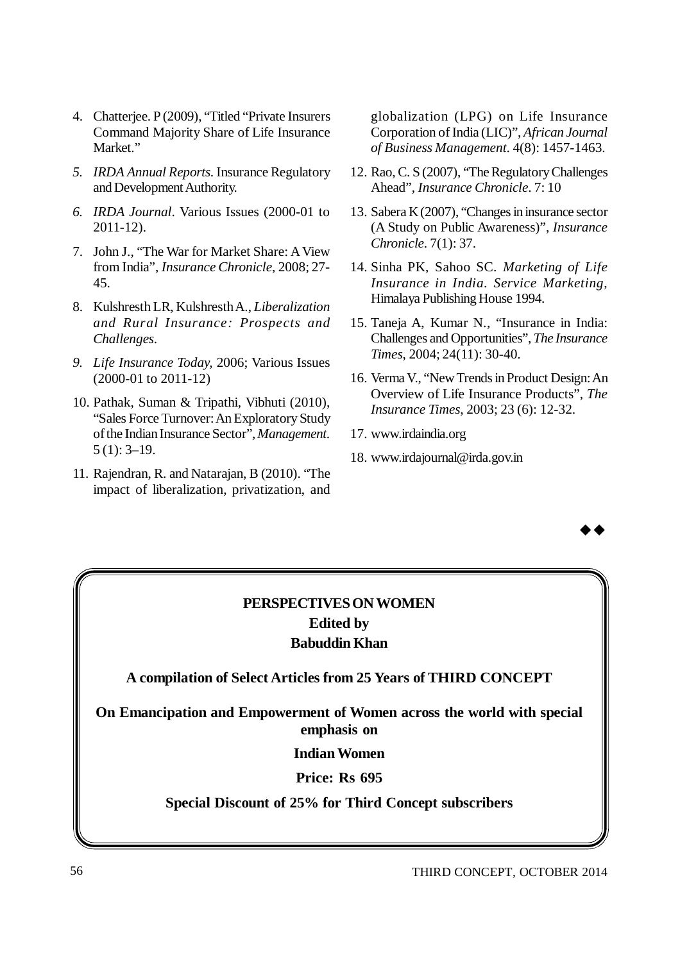- 4. Chatterjee. P (2009), "Titled "Private Insurers Command Majority Share of Life Insurance Market."
- *5. IRDA Annual Reports*. Insurance Regulatory and Development Authority.
- *6. IRDA Journal*. Various Issues (2000-01 to 2011-12).
- 7. John J., "The War for Market Share: A View from India", *Insurance Chronicle*, 2008; 27- 45.
- 8. Kulshresth LR, Kulshresth A., *Liberalization and Rural Insurance: Prospects and Challenges*.
- *9. Life Insurance Today,* 2006; Various Issues (2000-01 to 2011-12)
- 10. Pathak, Suman & Tripathi, Vibhuti (2010), "Sales Force Turnover: An Exploratory Study of the Indian Insurance Sector", *Management*. 5 (1): 3–19.
- 11. Rajendran, R. and Natarajan, B (2010). "The impact of liberalization, privatization, and

globalization (LPG) on Life Insurance Corporation of India (LIC)", *African Journal of Business Management*. 4(8): 1457-1463.

- 12. Rao, C. S (2007), "The Regulatory Challenges Ahead", *Insurance Chronicle*. 7: 10
- 13. Sabera K (2007), "Changes in insurance sector (A Study on Public Awareness)", *Insurance Chronicle*. 7(1): 37.
- 14. Sinha PK, Sahoo SC. *Marketing of Life Insurance in India. Service Marketing*, Himalaya Publishing House 1994.
- 15. Taneja A, Kumar N., "Insurance in India: Challenges and Opportunities", *The Insurance Times*, 2004; 24(11): 30-40.
- 16. Verma V., "New Trends in Product Design: An Overview of Life Insurance Products", *The Insurance Times*, 2003; 23 (6): 12-32.

 $\rightarrow \rightarrow$ 

- 17. www.irdaindia.org
- 18. www.irdajournal@irda.gov.in

## **PERSPECTIVES ON WOMEN Edited by Babuddin Khan**

**A compilation of Select Articles from 25 Years of THIRD CONCEPT**

**On Emancipation and Empowerment of Women across the world with special emphasis on**

**Indian Women**

**Price: Rs 695**

**Special Discount of 25% for Third Concept subscribers**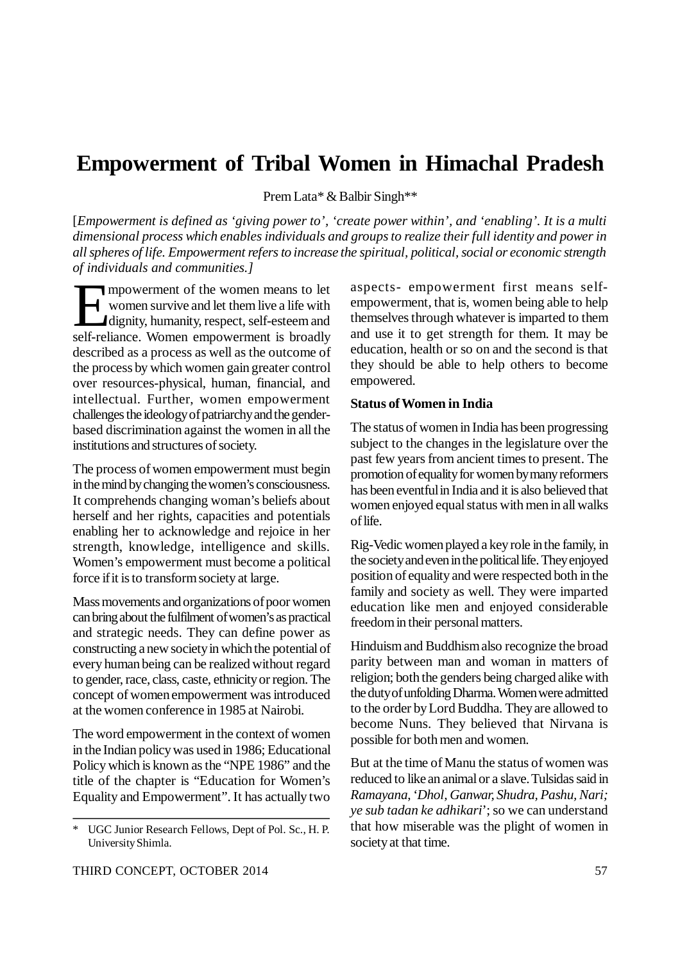## **Empowerment of Tribal Women in Himachal Pradesh**

Prem Lata\* & Balbir Singh\*\*

[*Empowerment is defined as 'giving power to', 'create power within', and 'enabling'. It is a multi dimensional process which enables individuals and groups to realize their full identity and power in all spheres of life. Empowerment refers to increase the spiritual, political, social or economic strength of individuals and communities.]*

Impowerment of the women means to let<br>women survive and let them live a life with<br>dignity, humanity, respect, self-esteem and<br>self-reliance. Women empowerment is broadly mpowerment of the women means to let women survive and let them live a life with dignity, humanity, respect, self-esteem and described as a process as well as the outcome of the process by which women gain greater control over resources-physical, human, financial, and intellectual. Further, women empowerment challenges the ideology of patriarchy and the genderbased discrimination against the women in all the institutions and structures of society.

The process of women empowerment must begin in the mind by changing the women's consciousness. It comprehends changing woman's beliefs about herself and her rights, capacities and potentials enabling her to acknowledge and rejoice in her strength, knowledge, intelligence and skills. Women's empowerment must become a political force if it is to transform society at large.

Mass movements and organizations of poor women can bring about the fulfilment of women's as practical and strategic needs. They can define power as constructing a new society in which the potential of every human being can be realized without regard to gender, race, class, caste, ethnicity or region. The concept of women empowerment was introduced at the women conference in 1985 at Nairobi.

The word empowerment in the context of women in the Indian policy was used in 1986; Educational Policy which is known as the "NPE 1986" and the title of the chapter is "Education for Women's Equality and Empowerment". It has actually two

aspects- empowerment first means selfempowerment, that is, women being able to help themselves through whatever is imparted to them and use it to get strength for them. It may be education, health or so on and the second is that they should be able to help others to become empowered.

#### **Status of Women in India**

The status of women in India has been progressing subject to the changes in the legislature over the past few years from ancient times to present. The promotion of equality for women by many reformers has been eventful in India and it is also believed that women enjoyed equal status with men in all walks of life.

Rig-Vedic women played a key role in the family, in the society and even in the political life. They enjoyed position of equality and were respected both in the family and society as well. They were imparted education like men and enjoyed considerable freedom in their personal matters.

Hinduism and Buddhism also recognize the broad parity between man and woman in matters of religion; both the genders being charged alike with the duty of unfolding Dharma. Women were admitted to the order by Lord Buddha. They are allowed to become Nuns. They believed that Nirvana is possible for both men and women.

But at the time of Manu the status of women was reduced to like an animal or a slave. Tulsidas said in *Ramayana*, '*Dhol, Ganwar, Shudra, Pashu, Nari; ye sub tadan ke adhikari*'; so we can understand that how miserable was the plight of women in society at that time.

UGC Junior Research Fellows, Dept of Pol. Sc., H. P. University Shimla.